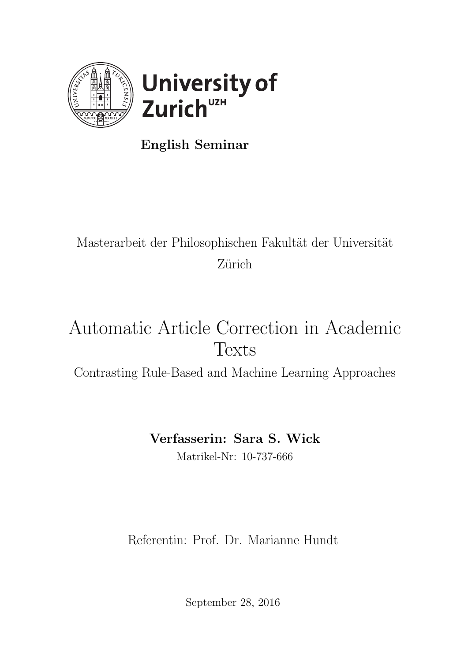

English Seminar

## Masterarbeit der Philosophischen Fakultät der Universität Zürich

# Automatic Article Correction in Academic Texts

Contrasting Rule-Based and Machine Learning Approaches

## Verfasserin: Sara S. Wick

Matrikel-Nr: 10-737-666

Referentin: Prof. Dr. Marianne Hundt

September 28, 2016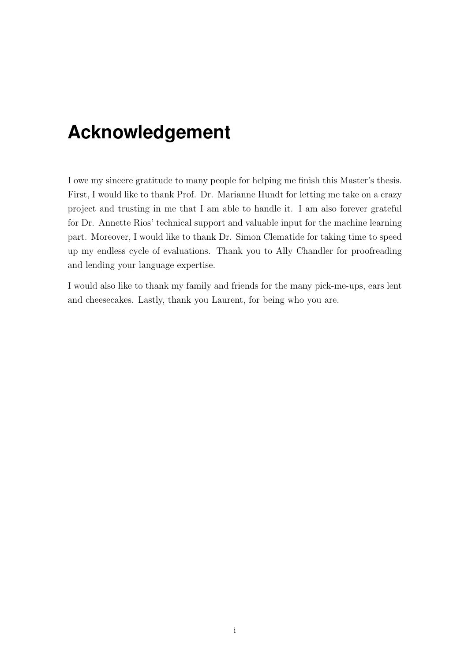## <span id="page-1-0"></span>**Acknowledgement**

I owe my sincere gratitude to many people for helping me finish this Master's thesis. First, I would like to thank Prof. Dr. Marianne Hundt for letting me take on a crazy project and trusting in me that I am able to handle it. I am also forever grateful for Dr. Annette Rios' technical support and valuable input for the machine learning part. Moreover, I would like to thank Dr. Simon Clematide for taking time to speed up my endless cycle of evaluations. Thank you to Ally Chandler for proofreading and lending your language expertise.

I would also like to thank my family and friends for the many pick-me-ups, ears lent and cheesecakes. Lastly, thank you Laurent, for being who you are.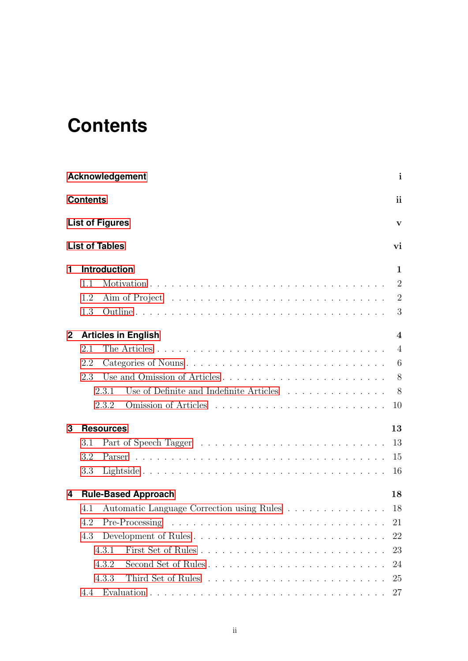# <span id="page-2-0"></span>**Contents**

|              | <b>Acknowledgement</b>                           | $\mathbf{i}$   |
|--------------|--------------------------------------------------|----------------|
|              | <b>Contents</b>                                  | ii             |
|              | <b>List of Figures</b>                           | $\mathbf{V}$   |
|              | <b>List of Tables</b>                            | vi             |
| 1            | <b>Introduction</b>                              | 1              |
|              | 1.1                                              | $\overline{2}$ |
|              | 1.2                                              | $\overline{2}$ |
|              | 1.3                                              | 3              |
| $\mathbf{2}$ | <b>Articles in English</b>                       | $\overline{4}$ |
|              | 2.1                                              | $\overline{4}$ |
|              | 2.2                                              | 6              |
|              | 2.3                                              |                |
|              | Use of Definite and Indefinite Articles<br>2.3.1 | 8              |
|              | 2.3.2                                            | 10             |
| 3            | <b>Resources</b>                                 | 13             |
|              | 3.1                                              | 13             |
|              | 3.2                                              | 15             |
|              | 3.3                                              | 16             |
| 4            | <b>Rule-Based Approach</b>                       | 18             |
|              | Automatic Language Correction using Rules<br>4.1 | 18             |
|              | Pre-Processing<br>4.2                            | 21             |
|              | Development of Rules<br>4.3                      | 22             |
|              | 4.3.1                                            | 23             |
|              | Second Set of Rules<br>4.3.2                     | 24             |
|              | 4.3.3                                            | 25             |
|              | 4.4                                              | 27             |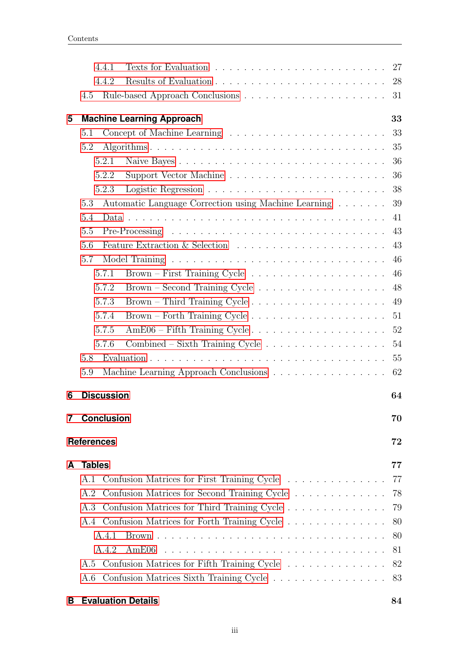|   | 4.4.2             |                                                                          | 28 |
|---|-------------------|--------------------------------------------------------------------------|----|
|   | 4.5               |                                                                          | 31 |
| 5 |                   | <b>Machine Learning Approach</b>                                         | 33 |
|   | 5.1               |                                                                          | 33 |
|   | 5.2               |                                                                          | 35 |
|   | 5.2.1             | Naive Bayes                                                              | 36 |
|   | 5.2.2             |                                                                          | 36 |
|   | 5.2.3             |                                                                          | 38 |
|   | 5.3               | Automatic Language Correction using Machine Learning                     | 39 |
|   | 5.4               |                                                                          | 41 |
|   | 5.5               |                                                                          | 43 |
|   | 5.6               |                                                                          | 43 |
|   | 5.7               |                                                                          | 46 |
|   | 5.7.1             | $Brown - First Training Cycle \dots \dots \dots \dots \dots \dots \dots$ | 46 |
|   | 5.7.2             |                                                                          | 48 |
|   | 5.7.3             | $Brown - Third Training Cycle$                                           | 49 |
|   | 5.7.4             |                                                                          | 51 |
|   | 5.7.5             |                                                                          |    |
|   | 5.7.6             | $Combined - Sixth Training Cycle \dots \dots \dots \dots \dots \dots$    | 54 |
|   | 5.8               |                                                                          | 55 |
|   | 5.9               | Machine Learning Approach Conclusions                                    | 62 |
| 6 | <b>Discussion</b> |                                                                          | 64 |
| 7 | <b>Conclusion</b> |                                                                          | 70 |
|   | <b>References</b> |                                                                          | 72 |
| A | <b>Tables</b>     |                                                                          | 77 |
|   |                   | A.1 Confusion Matrices for First Training Cycle                          | 77 |
|   | A.2               | Confusion Matrices for Second Training Cycle                             | 78 |
|   | A.3               | Confusion Matrices for Third Training Cycle                              | 79 |
|   |                   | A.4 Confusion Matrices for Forth Training Cycle                          | 80 |
|   | A.4.1             |                                                                          | 80 |
|   | A.4.2             | AmE06                                                                    | 81 |
|   |                   |                                                                          |    |
|   | A.6               |                                                                          |    |
| B |                   | <b>Evaluation Details</b>                                                | 84 |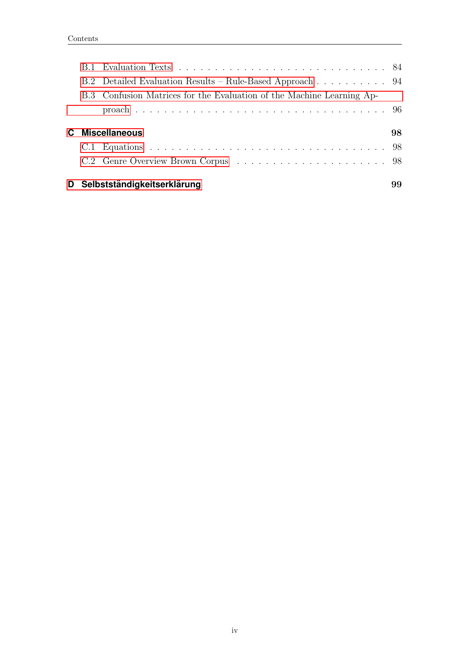|  | B.2 Detailed Evaluation Results – Rule-Based Approach 94              |    |
|--|-----------------------------------------------------------------------|----|
|  | B.3 Confusion Matrices for the Evaluation of the Machine Learning Ap- |    |
|  |                                                                       |    |
|  |                                                                       |    |
|  |                                                                       |    |
|  | C Miscellaneous                                                       | 98 |
|  |                                                                       |    |
|  |                                                                       |    |
|  | D Selbstständigkeitserklärung                                         | 99 |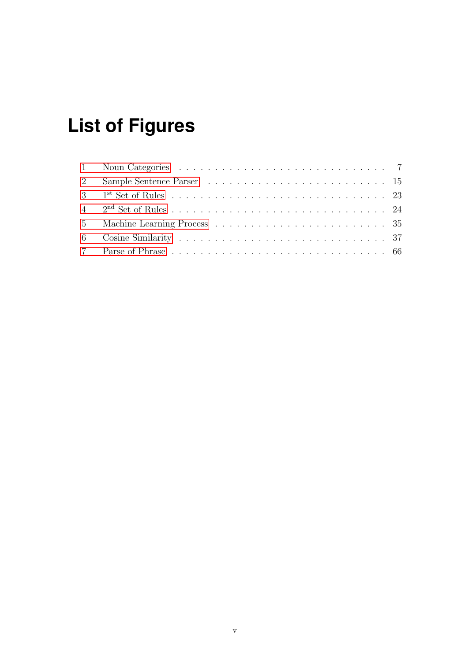# <span id="page-5-0"></span>**List of Figures**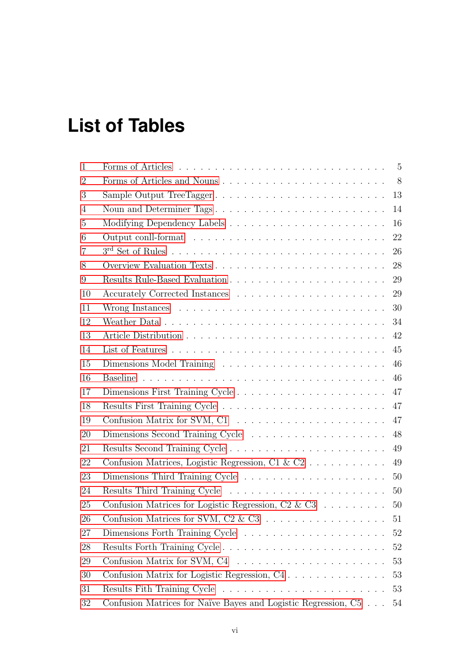# <span id="page-6-0"></span>**List of Tables**

| $\mathbf{1}$   |                                                                               | $5\phantom{0}$ |
|----------------|-------------------------------------------------------------------------------|----------------|
| $\overline{2}$ |                                                                               | 8 <sup>8</sup> |
| 3              | Sample Output TreeTagger                                                      | 13             |
| 4              | Noun and Determiner Tags                                                      | 14             |
| 5              |                                                                               | 16             |
| 6              |                                                                               | 22             |
| 7              |                                                                               | 26             |
| 8              |                                                                               | 28             |
| 9              |                                                                               | 29             |
| 10             |                                                                               | 29             |
| 11             |                                                                               | 30             |
| 12             |                                                                               | 34             |
| 13             |                                                                               | 42             |
| 14             |                                                                               | 45             |
| 15             |                                                                               | 46             |
| 16             |                                                                               | 46             |
| 17             |                                                                               | 47             |
| 18             |                                                                               | 47             |
| 19             |                                                                               | 47             |
| 20             | Dimensions Second Training Cycle                                              | 48             |
| 21             |                                                                               | 49             |
| 22             |                                                                               | 49             |
| 23             |                                                                               | 50             |
| 24             |                                                                               | 50             |
| 25             | Confusion Matrices for Logistic Regression, C2 & C3 $\ldots \ldots \ldots$ 50 |                |
| 26             |                                                                               | 51             |
| 27             |                                                                               | 52             |
| 28             |                                                                               | 52             |
| 29             |                                                                               | 53             |
| 30             | Confusion Matrix for Logistic Regression, C4                                  | 53             |
| 31             |                                                                               | 53             |
| 32             | Confusion Matrices for Naïve Bayes and Logistic Regression, C5                | 54             |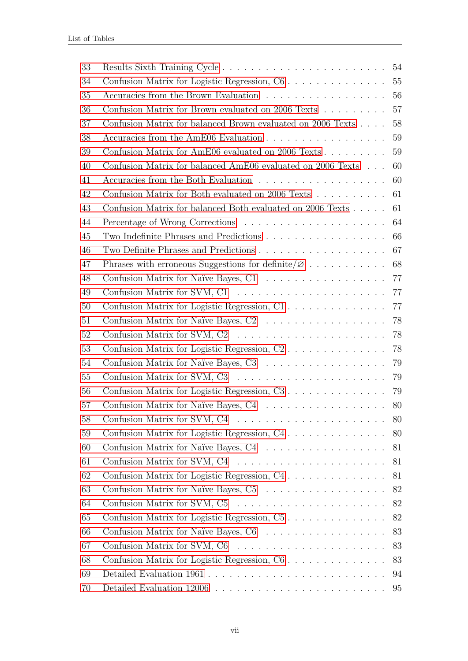| 33 |                                                                                     |    |
|----|-------------------------------------------------------------------------------------|----|
| 34 |                                                                                     |    |
| 35 | Accuracies from the Brown Evaluation $\ldots \ldots \ldots \ldots \ldots \ldots 56$ |    |
| 36 | Confusion Matrix for Brown evaluated on 2006 Texts 57                               |    |
| 37 | Confusion Matrix for balanced Brown evaluated on 2006 Texts 58                      |    |
| 38 | Accuracies from the AmE06 Evaluation 59                                             |    |
| 39 | Confusion Matrix for AmE06 evaluated on 2006 Texts 59                               |    |
| 40 | Confusion Matrix for balanced AmE06 evaluated on 2006 Texts 60                      |    |
| 41 | Accuracies from the Both Evaluation $\ldots \ldots \ldots \ldots \ldots \ldots$ 60  |    |
| 42 | Confusion Matrix for Both evaluated on 2006 Texts 61                                |    |
| 43 | Confusion Matrix for balanced Both evaluated on 2006 Texts                          | 61 |
| 44 |                                                                                     | 64 |
| 45 | Two Indefinite Phrases and Predictions 66                                           |    |
| 46 |                                                                                     |    |
| 47 |                                                                                     |    |
| 48 | Confusion Matrix for Naïve Bayes, C1 $\ldots \ldots \ldots \ldots \ldots \ldots$ 77 |    |
| 49 |                                                                                     |    |
| 50 | Confusion Matrix for Logistic Regression, C1 77                                     |    |
| 51 |                                                                                     |    |
| 52 |                                                                                     |    |
| 53 |                                                                                     |    |
| 54 |                                                                                     |    |
| 55 |                                                                                     |    |
| 56 |                                                                                     |    |
| 57 | Confusion Matrix for Naïve Bayes, C4 80                                             |    |
| 58 |                                                                                     | 80 |
| 59 | Confusion Matrix for Logistic Regression, C4                                        | 80 |
| 60 |                                                                                     | 81 |
| 61 |                                                                                     | 81 |
| 62 | Confusion Matrix for Logistic Regression, C4                                        | 81 |
| 63 | Confusion Matrix for Naïve Bayes, C5                                                | 82 |
| 64 |                                                                                     | 82 |
| 65 | Confusion Matrix for Logistic Regression, C5                                        | 82 |
| 66 |                                                                                     | 83 |
| 67 |                                                                                     | 83 |
| 68 | Confusion Matrix for Logistic Regression, C6                                        | 83 |
| 69 |                                                                                     | 94 |
| 70 |                                                                                     | 95 |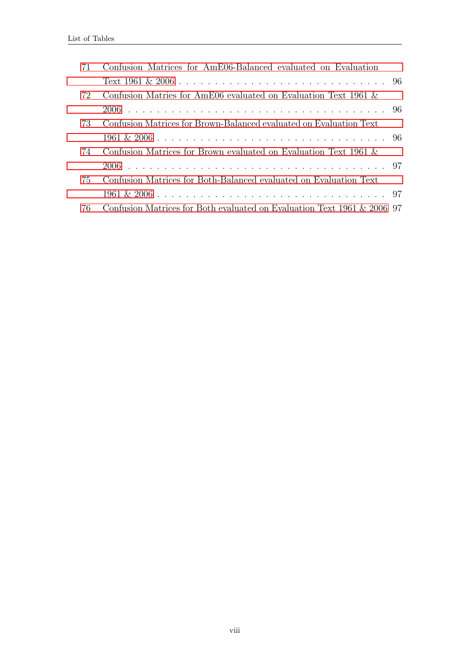| 71 | Confusion Matrices for AmE06-Balanced evaluated on Evaluation           |  |
|----|-------------------------------------------------------------------------|--|
|    |                                                                         |  |
| 72 | Confusion Matries for AmE06 evaluated on Evaluation Text 1961 &         |  |
|    |                                                                         |  |
| 73 | Confusion Matrices for Brown-Balanced evaluated on Evaluation Text      |  |
|    |                                                                         |  |
| 74 | Confusion Matrices for Brown evaluated on Evaluation Text 1961 &        |  |
|    |                                                                         |  |
| 75 | Confusion Matrices for Both-Balanced evaluated on Evaluation Text       |  |
|    |                                                                         |  |
| 76 | Confusion Matrices for Both evaluated on Evaluation Text 1961 & 2006 97 |  |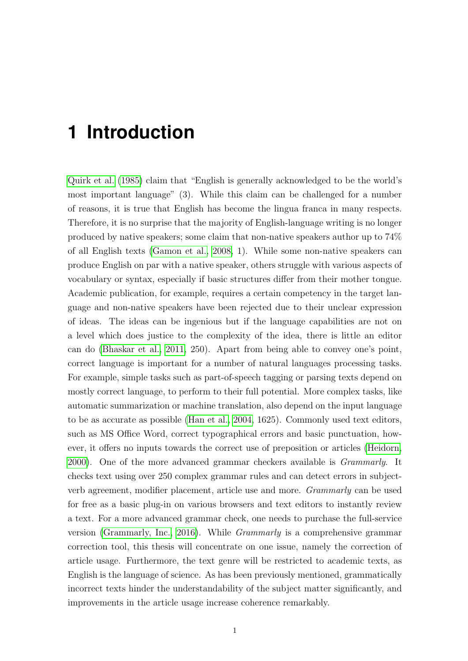## <span id="page-9-0"></span>**1 Introduction**

[Quirk et al.](#page-83-0) [\(1985\)](#page-83-0) claim that "English is generally acknowledged to be the world's most important language" (3). While this claim can be challenged for a number of reasons, it is true that English has become the lingua franca in many respects. Therefore, it is no surprise that the majority of English-language writing is no longer produced by native speakers; some claim that non-native speakers author up to 74% of all English texts [\(Gamon et al., 2008,](#page-81-0) 1). While some non-native speakers can produce English on par with a native speaker, others struggle with various aspects of vocabulary or syntax, especially if basic structures differ from their mother tongue. Academic publication, for example, requires a certain competency in the target language and non-native speakers have been rejected due to their unclear expression of ideas. The ideas can be ingenious but if the language capabilities are not on a level which does justice to the complexity of the idea, there is little an editor can do [\(Bhaskar et al., 2011,](#page-80-1) 250). Apart from being able to convey one's point, correct language is important for a number of natural languages processing tasks. For example, simple tasks such as part-of-speech tagging or parsing texts depend on mostly correct language, to perform to their full potential. More complex tasks, like automatic summarization or machine translation, also depend on the input language to be as accurate as possible [\(Han et al., 2004,](#page-81-1) 1625). Commonly used text editors, such as MS Office Word, correct typographical errors and basic punctuation, however, it offers no inputs towards the correct use of preposition or articles [\(Heidorn,](#page-81-2) [2000\)](#page-81-2). One of the more advanced grammar checkers available is Grammarly. It checks text using over 250 complex grammar rules and can detect errors in subjectverb agreement, modifier placement, article use and more. Grammarly can be used for free as a basic plug-in on various browsers and text editors to instantly review a text. For a more advanced grammar check, one needs to purchase the full-service version [\(Grammarly, Inc., 2016\)](#page-81-3). While Grammarly is a comprehensive grammar correction tool, this thesis will concentrate on one issue, namely the correction of article usage. Furthermore, the text genre will be restricted to academic texts, as English is the language of science. As has been previously mentioned, grammatically incorrect texts hinder the understandability of the subject matter significantly, and improvements in the article usage increase coherence remarkably.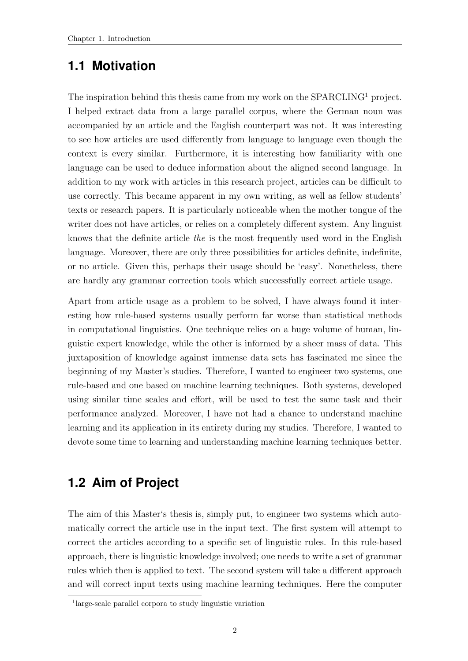### <span id="page-10-0"></span>**1.1 Motivation**

The inspiration behind this thesis came from my work on the SPARCLING<sup>1</sup> project. I helped extract data from a large parallel corpus, where the German noun was accompanied by an article and the English counterpart was not. It was interesting to see how articles are used differently from language to language even though the context is every similar. Furthermore, it is interesting how familiarity with one language can be used to deduce information about the aligned second language. In addition to my work with articles in this research project, articles can be difficult to use correctly. This became apparent in my own writing, as well as fellow students' texts or research papers. It is particularly noticeable when the mother tongue of the writer does not have articles, or relies on a completely different system. Any linguist knows that the definite article the is the most frequently used word in the English language. Moreover, there are only three possibilities for articles definite, indefinite, or no article. Given this, perhaps their usage should be 'easy'. Nonetheless, there are hardly any grammar correction tools which successfully correct article usage.

Apart from article usage as a problem to be solved, I have always found it interesting how rule-based systems usually perform far worse than statistical methods in computational linguistics. One technique relies on a huge volume of human, linguistic expert knowledge, while the other is informed by a sheer mass of data. This juxtaposition of knowledge against immense data sets has fascinated me since the beginning of my Master's studies. Therefore, I wanted to engineer two systems, one rule-based and one based on machine learning techniques. Both systems, developed using similar time scales and effort, will be used to test the same task and their performance analyzed. Moreover, I have not had a chance to understand machine learning and its application in its entirety during my studies. Therefore, I wanted to devote some time to learning and understanding machine learning techniques better.

### <span id="page-10-1"></span>**1.2 Aim of Project**

The aim of this Master's thesis is, simply put, to engineer two systems which automatically correct the article use in the input text. The first system will attempt to correct the articles according to a specific set of linguistic rules. In this rule-based approach, there is linguistic knowledge involved; one needs to write a set of grammar rules which then is applied to text. The second system will take a different approach and will correct input texts using machine learning techniques. Here the computer

<sup>1</sup> large-scale parallel corpora to study linguistic variation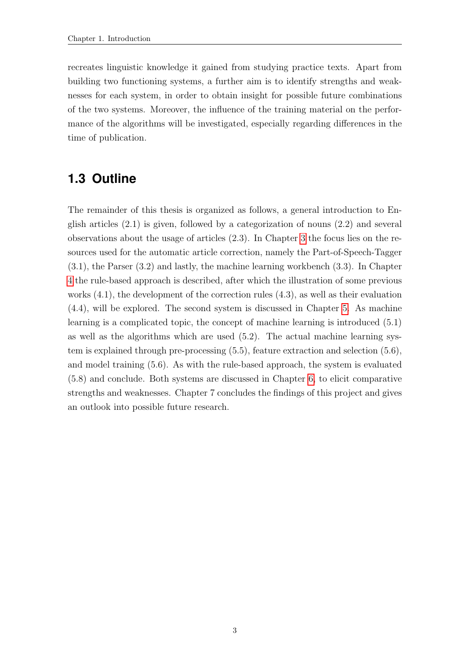recreates linguistic knowledge it gained from studying practice texts. Apart from building two functioning systems, a further aim is to identify strengths and weaknesses for each system, in order to obtain insight for possible future combinations of the two systems. Moreover, the influence of the training material on the performance of the algorithms will be investigated, especially regarding differences in the time of publication.

### <span id="page-11-0"></span>**1.3 Outline**

The remainder of this thesis is organized as follows, a general introduction to English articles (2.1) is given, followed by a categorization of nouns (2.2) and several observations about the usage of articles (2.3). In Chapter [3](#page-21-0) the focus lies on the resources used for the automatic article correction, namely the Part-of-Speech-Tagger (3.1), the Parser (3.2) and lastly, the machine learning workbench (3.3). In Chapter [4](#page-26-0) the rule-based approach is described, after which the illustration of some previous works  $(4.1)$ , the development of the correction rules  $(4.3)$ , as well as their evaluation (4.4), will be explored. The second system is discussed in Chapter [5.](#page-41-0) As machine learning is a complicated topic, the concept of machine learning is introduced (5.1) as well as the algorithms which are used (5.2). The actual machine learning system is explained through pre-processing (5.5), feature extraction and selection (5.6), and model training (5.6). As with the rule-based approach, the system is evaluated (5.8) and conclude. Both systems are discussed in Chapter [6,](#page-72-0) to elicit comparative strengths and weaknesses. Chapter 7 concludes the findings of this project and gives an outlook into possible future research.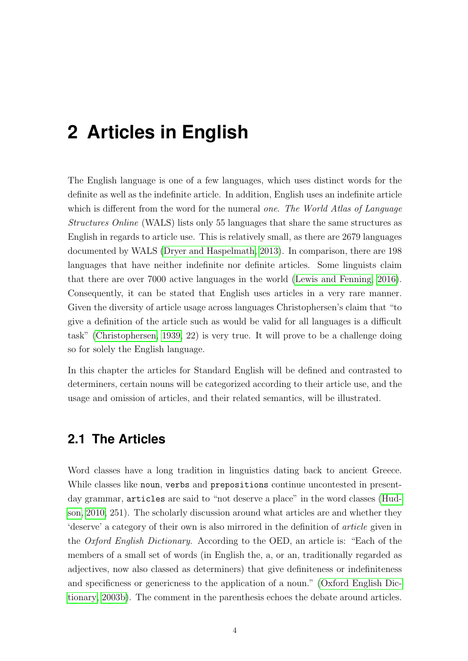## <span id="page-12-0"></span>**2 Articles in English**

The English language is one of a few languages, which uses distinct words for the definite as well as the indefinite article. In addition, English uses an indefinite article which is different from the word for the numeral one. The World Atlas of Language Structures Online (WALS) lists only 55 languages that share the same structures as English in regards to article use. This is relatively small, as there are 2679 languages documented by WALS [\(Dryer and Haspelmath, 2013\)](#page-81-4). In comparison, there are 198 languages that have neither indefinite nor definite articles. Some linguists claim that there are over 7000 active languages in the world [\(Lewis and Fenning, 2016\)](#page-82-0). Consequently, it can be stated that English uses articles in a very rare manner. Given the diversity of article usage across languages Christophersen's claim that "to give a definition of the article such as would be valid for all languages is a difficult task" [\(Christophersen, 1939,](#page-80-2) 22) is very true. It will prove to be a challenge doing so for solely the English language.

In this chapter the articles for Standard English will be defined and contrasted to determiners, certain nouns will be categorized according to their article use, and the usage and omission of articles, and their related semantics, will be illustrated.

### <span id="page-12-1"></span>**2.1 The Articles**

Word classes have a long tradition in linguistics dating back to ancient Greece. While classes like noun, verbs and prepositions continue uncontested in presentday grammar, articles are said to "not deserve a place" in the word classes [\(Hud](#page-81-5)[son, 2010,](#page-81-5) 251). The scholarly discussion around what articles are and whether they 'deserve' a category of their own is also mirrored in the definition of article given in the Oxford English Dictionary. According to the OED, an article is: "Each of the members of a small set of words (in English the, a, or an, traditionally regarded as adjectives, now also classed as determiners) that give definiteness or indefiniteness and specificness or genericness to the application of a noun." [\(Oxford English Dic](#page-83-1)[tionary, 2003b\)](#page-83-1). The comment in the parenthesis echoes the debate around articles.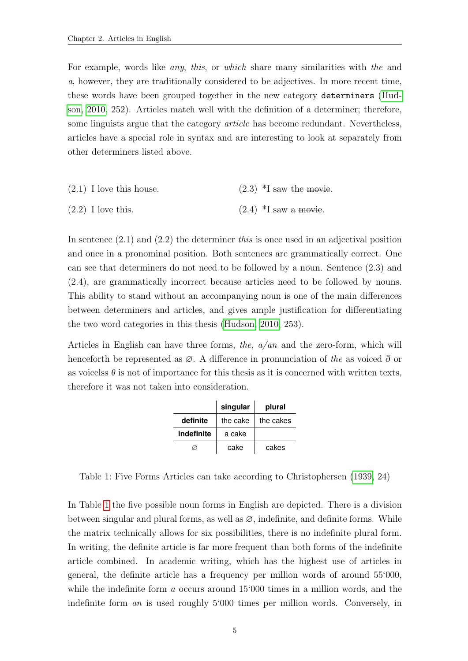For example, words like any, this, or which share many similarities with the and a, however, they are traditionally considered to be adjectives. In more recent time, these words have been grouped together in the new category determiners [\(Hud](#page-81-5)[son, 2010,](#page-81-5) 252). Articles match well with the definition of a determiner; therefore, some linguists argue that the category article has become redundant. Nevertheless, articles have a special role in syntax and are interesting to look at separately from other determiners listed above.

| $(2.1)$ I love this house. | $(2.3)$ *I saw the movie. |
|----------------------------|---------------------------|
| $(2.2)$ I love this.       | $(2.4)$ *I saw a movie.   |

In sentence  $(2.1)$  and  $(2.2)$  the determiner this is once used in an adjectival position and once in a pronominal position. Both sentences are grammatically correct. One can see that determiners do not need to be followed by a noun. Sentence (2.3) and (2.4), are grammatically incorrect because articles need to be followed by nouns. This ability to stand without an accompanying noun is one of the main differences between determiners and articles, and gives ample justification for differentiating the two word categories in this thesis [\(Hudson, 2010,](#page-81-5) 253).

<span id="page-13-0"></span>Articles in English can have three forms, the,  $a/an$  and the zero-form, which will henceforth be represented as  $\varnothing$ . A difference in pronunciation of the as voiced  $\delta$  or as voicelss  $\theta$  is not of importance for this thesis as it is concerned with written texts, therefore it was not taken into consideration.

|            | singular | plural    |
|------------|----------|-----------|
| definite   | the cake | the cakes |
| indefinite | a cake   |           |
| cake       |          | cakes     |

Table 1: Five Forms Articles can take according to Christophersen [\(1939,](#page-80-2) 24)

In Table [1](#page-13-0) the five possible noun forms in English are depicted. There is a division between singular and plural forms, as well as  $\varnothing$ , indefinite, and definite forms. While the matrix technically allows for six possibilities, there is no indefinite plural form. In writing, the definite article is far more frequent than both forms of the indefinite article combined. In academic writing, which has the highest use of articles in general, the definite article has a frequency per million words of around 55'000, while the indefinite form a occurs around 15'000 times in a million words, and the indefinite form an is used roughly 5'000 times per million words. Conversely, in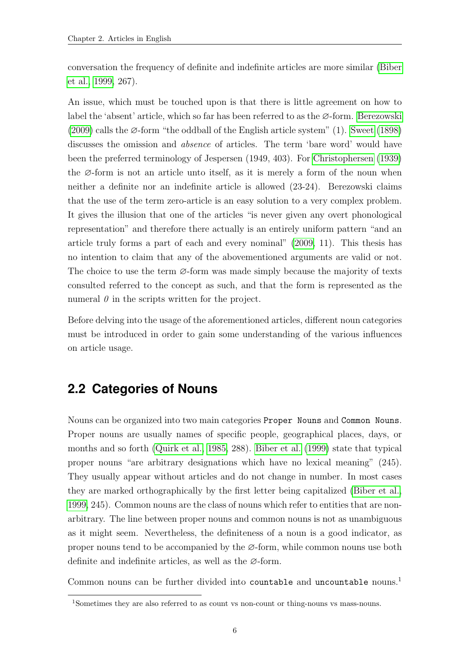conversation the frequency of definite and indefinite articles are more similar [\(Biber](#page-80-3) [et al., 1999,](#page-80-3) 267).

An issue, which must be touched upon is that there is little agreement on how to label the 'absent' article, which so far has been referred to as the ∅-form. [Berezowski](#page-80-4) [\(2009\)](#page-80-4) calls the ∅-form "the oddball of the English article system" (1). [Sweet](#page-84-0) [\(1898\)](#page-84-0) discusses the omission and absence of articles. The term 'bare word' would have been the preferred terminology of Jespersen (1949, 403). For [Christophersen](#page-80-2) [\(1939\)](#page-80-2) the ∅-form is not an article unto itself, as it is merely a form of the noun when neither a definite nor an indefinite article is allowed (23-24). Berezowski claims that the use of the term zero-article is an easy solution to a very complex problem. It gives the illusion that one of the articles "is never given any overt phonological representation" and therefore there actually is an entirely uniform pattern "and an article truly forms a part of each and every nominal" [\(2009,](#page-80-4) 11). This thesis has no intention to claim that any of the abovementioned arguments are valid or not. The choice to use the term ∅-form was made simply because the majority of texts consulted referred to the concept as such, and that the form is represented as the numeral  $\theta$  in the scripts written for the project.

Before delving into the usage of the aforementioned articles, different noun categories must be introduced in order to gain some understanding of the various influences on article usage.

### <span id="page-14-0"></span>**2.2 Categories of Nouns**

Nouns can be organized into two main categories Proper Nouns and Common Nouns. Proper nouns are usually names of specific people, geographical places, days, or months and so forth [\(Quirk et al., 1985,](#page-83-0) 288). [Biber et al.](#page-80-3) [\(1999\)](#page-80-3) state that typical proper nouns "are arbitrary designations which have no lexical meaning" (245). They usually appear without articles and do not change in number. In most cases they are marked orthographically by the first letter being capitalized [\(Biber et al.,](#page-80-3) [1999,](#page-80-3) 245). Common nouns are the class of nouns which refer to entities that are nonarbitrary. The line between proper nouns and common nouns is not as unambiguous as it might seem. Nevertheless, the definiteness of a noun is a good indicator, as proper nouns tend to be accompanied by the ∅-form, while common nouns use both definite and indefinite articles, as well as the ∅-form.

Common nouns can be further divided into countable and uncountable nouns.<sup>1</sup>

<sup>1</sup>Sometimes they are also referred to as count vs non-count or thing-nouns vs mass-nouns.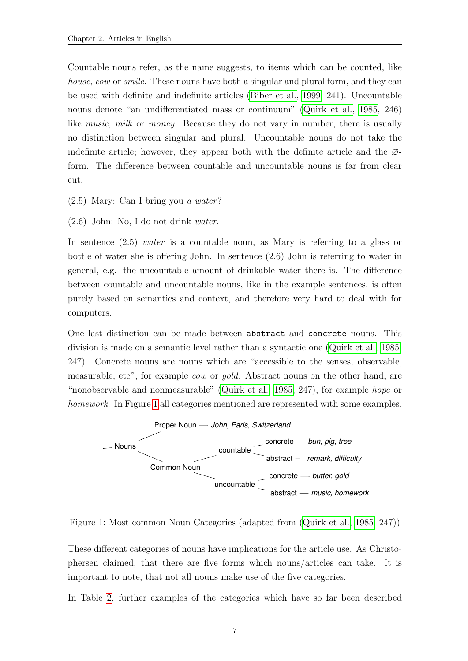Countable nouns refer, as the name suggests, to items which can be counted, like house, cow or smile. These nouns have both a singular and plural form, and they can be used with definite and indefinite articles [\(Biber et al., 1999,](#page-80-3) 241). Uncountable nouns denote "an undifferentiated mass or continuum" [\(Quirk et al., 1985,](#page-83-0) 246) like *music*, *milk* or *money*. Because they do not vary in number, there is usually no distinction between singular and plural. Uncountable nouns do not take the indefinite article; however, they appear both with the definite article and the  $\varnothing$ form. The difference between countable and uncountable nouns is far from clear cut.

- (2.5) Mary: Can I bring you a water?
- (2.6) John: No, I do not drink water.

In sentence  $(2.5)$  *water* is a countable noun, as Mary is referring to a glass or bottle of water she is offering John. In sentence (2.6) John is referring to water in general, e.g. the uncountable amount of drinkable water there is. The difference between countable and uncountable nouns, like in the example sentences, is often purely based on semantics and context, and therefore very hard to deal with for computers.

One last distinction can be made between abstract and concrete nouns. This division is made on a semantic level rather than a syntactic one [\(Quirk et al., 1985,](#page-83-0) 247). Concrete nouns are nouns which are "accessible to the senses, observable, measurable, etc", for example cow or gold. Abstract nouns on the other hand, are "nonobservable and nonmeasurable" [\(Quirk et al., 1985,](#page-83-0) 247), for example hope or homework. In Figure [1](#page-15-0) all categories mentioned are represented with some examples.

<span id="page-15-0"></span>

Figure 1: Most common Noun Categories (adapted from [\(Quirk et al., 1985,](#page-83-0) 247))

These different categories of nouns have implications for the article use. As Christophersen claimed, that there are five forms which nouns/articles can take. It is important to note, that not all nouns make use of the five categories.

In Table [2,](#page-16-2) further examples of the categories which have so far been described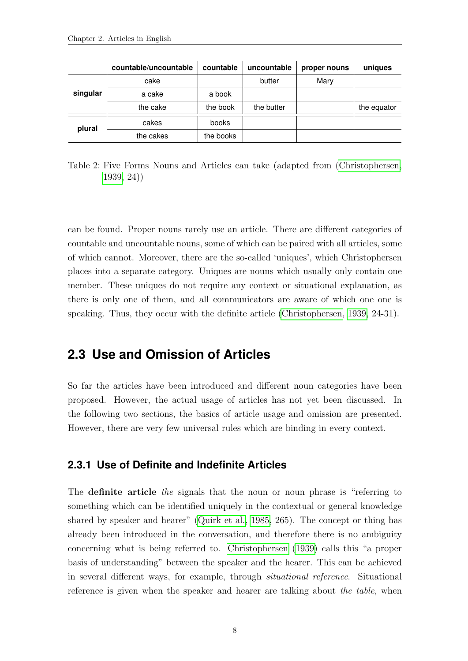<span id="page-16-2"></span>

|          | countable/uncountable | countable | uncountable | proper nouns | uniques     |
|----------|-----------------------|-----------|-------------|--------------|-------------|
|          | cake                  |           | butter      | Mary         |             |
| singular | a cake                | a book    |             |              |             |
|          | the cake              | the book  | the butter  |              | the equator |
| plural   | cakes                 | books     |             |              |             |
|          | the cakes             | the books |             |              |             |

Table 2: Five Forms Nouns and Articles can take (adapted from [\(Christophersen,](#page-80-2) [1939,](#page-80-2) 24))

can be found. Proper nouns rarely use an article. There are different categories of countable and uncountable nouns, some of which can be paired with all articles, some of which cannot. Moreover, there are the so-called 'uniques', which Christophersen places into a separate category. Uniques are nouns which usually only contain one member. These uniques do not require any context or situational explanation, as there is only one of them, and all communicators are aware of which one one is speaking. Thus, they occur with the definite article [\(Christophersen, 1939,](#page-80-2) 24-31).

### <span id="page-16-0"></span>**2.3 Use and Omission of Articles**

So far the articles have been introduced and different noun categories have been proposed. However, the actual usage of articles has not yet been discussed. In the following two sections, the basics of article usage and omission are presented. However, there are very few universal rules which are binding in every context.

#### <span id="page-16-1"></span>**2.3.1 Use of Definite and Indefinite Articles**

The **definite article** the signals that the noun or noun phrase is "referring to something which can be identified uniquely in the contextual or general knowledge shared by speaker and hearer" [\(Quirk et al., 1985,](#page-83-0) 265). The concept or thing has already been introduced in the conversation, and therefore there is no ambiguity concerning what is being referred to. [Christophersen](#page-80-2) [\(1939\)](#page-80-2) calls this "a proper basis of understanding" between the speaker and the hearer. This can be achieved in several different ways, for example, through situational reference. Situational reference is given when the speaker and hearer are talking about the table, when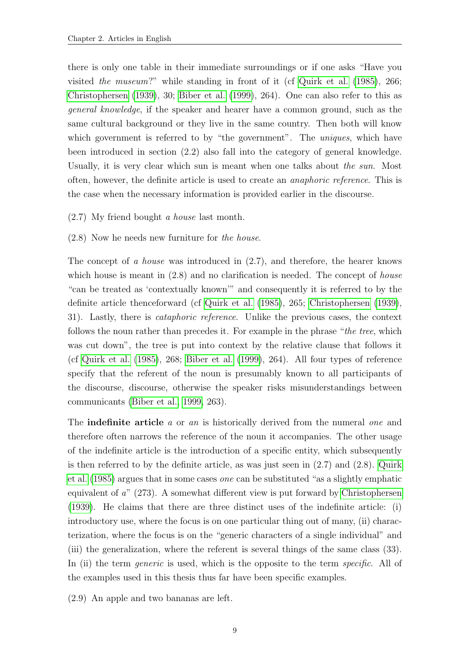there is only one table in their immediate surroundings or if one asks "Have you visited the museum?" while standing in front of it (cf [Quirk et al.](#page-83-0) [\(1985\)](#page-83-0), 266; [Christophersen](#page-80-2) [\(1939\)](#page-80-2), 30; [Biber et al.](#page-80-3) [\(1999\)](#page-80-3), 264). One can also refer to this as general knowledge, if the speaker and hearer have a common ground, such as the same cultural background or they live in the same country. Then both will know which government is referred to by "the government". The *uniques*, which have been introduced in section (2.2) also fall into the category of general knowledge. Usually, it is very clear which sun is meant when one talks about the sun. Most often, however, the definite article is used to create an anaphoric reference. This is the case when the necessary information is provided earlier in the discourse.

- (2.7) My friend bought a house last month.
- (2.8) Now he needs new furniture for the house.

The concept of a house was introduced in (2.7), and therefore, the hearer knows which house is meant in  $(2.8)$  and no clarification is needed. The concept of *house* "can be treated as 'contextually known'" and consequently it is referred to by the definite article thenceforward (cf [Quirk et al.](#page-83-0) [\(1985\)](#page-83-0), 265; [Christophersen](#page-80-2) [\(1939\)](#page-80-2), 31). Lastly, there is cataphoric reference. Unlike the previous cases, the context follows the noun rather than precedes it. For example in the phrase "the tree, which was cut down", the tree is put into context by the relative clause that follows it (cf [Quirk et al.](#page-83-0) [\(1985\)](#page-83-0), 268; [Biber et al.](#page-80-3) [\(1999\)](#page-80-3), 264). All four types of reference specify that the referent of the noun is presumably known to all participants of the discourse, discourse, otherwise the speaker risks misunderstandings between communicants [\(Biber et al., 1999,](#page-80-3) 263).

The **indefinite article** a or an is historically derived from the numeral one and therefore often narrows the reference of the noun it accompanies. The other usage of the indefinite article is the introduction of a specific entity, which subsequently is then referred to by the definite article, as was just seen in (2.7) and (2.8). [Quirk](#page-83-0) [et al.](#page-83-0) [\(1985\)](#page-83-0) argues that in some cases one can be substituted "as a slightly emphatic equivalent of a" (273). A somewhat different view is put forward by [Christophersen](#page-80-2) [\(1939\)](#page-80-2). He claims that there are three distinct uses of the indefinite article: (i) introductory use, where the focus is on one particular thing out of many, (ii) characterization, where the focus is on the "generic characters of a single individual" and (iii) the generalization, where the referent is several things of the same class (33). In (ii) the term *generic* is used, which is the opposite to the term *specific*. All of the examples used in this thesis thus far have been specific examples.

(2.9) An apple and two bananas are left.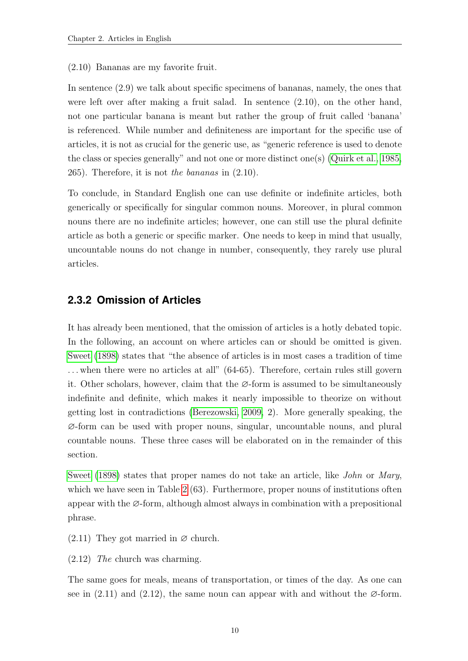(2.10) Bananas are my favorite fruit.

In sentence (2.9) we talk about specific specimens of bananas, namely, the ones that were left over after making a fruit salad. In sentence (2.10), on the other hand, not one particular banana is meant but rather the group of fruit called 'banana' is referenced. While number and definiteness are important for the specific use of articles, it is not as crucial for the generic use, as "generic reference is used to denote the class or species generally" and not one or more distinct one(s) [\(Quirk et al., 1985,](#page-83-0) 265). Therefore, it is not the bananas in (2.10).

To conclude, in Standard English one can use definite or indefinite articles, both generically or specifically for singular common nouns. Moreover, in plural common nouns there are no indefinite articles; however, one can still use the plural definite article as both a generic or specific marker. One needs to keep in mind that usually, uncountable nouns do not change in number, consequently, they rarely use plural articles.

#### <span id="page-18-0"></span>**2.3.2 Omission of Articles**

It has already been mentioned, that the omission of articles is a hotly debated topic. In the following, an account on where articles can or should be omitted is given. [Sweet](#page-84-0) [\(1898\)](#page-84-0) states that "the absence of articles is in most cases a tradition of time . . . when there were no articles at all" (64-65). Therefore, certain rules still govern it. Other scholars, however, claim that the ∅-form is assumed to be simultaneously indefinite and definite, which makes it nearly impossible to theorize on without getting lost in contradictions [\(Berezowski, 2009,](#page-80-4) 2). More generally speaking, the ∅-form can be used with proper nouns, singular, uncountable nouns, and plural countable nouns. These three cases will be elaborated on in the remainder of this section.

[Sweet](#page-84-0) [\(1898\)](#page-84-0) states that proper names do not take an article, like *John* or *Mary*, which we have seen in Table [2](#page-16-2) (63). Furthermore, proper nouns of institutions often appear with the ∅-form, although almost always in combination with a prepositional phrase.

 $(2.11)$  They got married in  $\varnothing$  church.

(2.12) The church was charming.

The same goes for meals, means of transportation, or times of the day. As one can see in  $(2.11)$  and  $(2.12)$ , the same noun can appear with and without the  $\varnothing$ -form.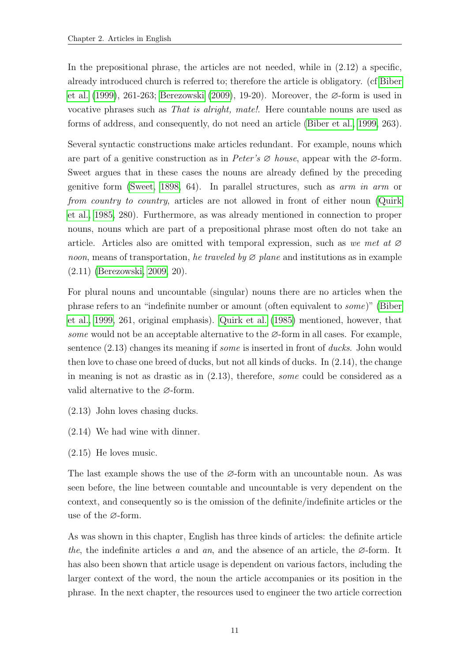In the prepositional phrase, the articles are not needed, while in (2.12) a specific, already introduced church is referred to; therefore the article is obligatory. (cf [Biber](#page-80-3) [et al.](#page-80-3) [\(1999\)](#page-80-3), 261-263; [Berezowski](#page-80-4) [\(2009\)](#page-80-4), 19-20). Moreover, the ∅-form is used in vocative phrases such as That is alright, mate!. Here countable nouns are used as forms of address, and consequently, do not need an article [\(Biber et al., 1999,](#page-80-3) 263).

Several syntactic constructions make articles redundant. For example, nouns which are part of a genitive construction as in Peter's  $\varnothing$  house, appear with the  $\varnothing$ -form. Sweet argues that in these cases the nouns are already defined by the preceding genitive form [\(Sweet, 1898,](#page-84-0) 64). In parallel structures, such as arm in arm or from country to country, articles are not allowed in front of either noun [\(Quirk](#page-83-0) [et al., 1985,](#page-83-0) 280). Furthermore, as was already mentioned in connection to proper nouns, nouns which are part of a prepositional phrase most often do not take an article. Articles also are omitted with temporal expression, such as we met at  $\varnothing$ noon, means of transportation, he traveled by  $\varnothing$  plane and institutions as in example (2.11) [\(Berezowski, 2009,](#page-80-4) 20).

For plural nouns and uncountable (singular) nouns there are no articles when the phrase refers to an "indefinite number or amount (often equivalent to some)" [\(Biber](#page-80-3) [et al., 1999,](#page-80-3) 261, original emphasis). [Quirk et al.](#page-83-0) [\(1985\)](#page-83-0) mentioned, however, that some would not be an acceptable alternative to the  $\varnothing$ -form in all cases. For example, sentence (2.13) changes its meaning if some is inserted in front of ducks. John would then love to chase one breed of ducks, but not all kinds of ducks. In (2.14), the change in meaning is not as drastic as in (2.13), therefore, some could be considered as a valid alternative to the ∅-form.

- (2.13) John loves chasing ducks.
- (2.14) We had wine with dinner.
- (2.15) He loves music.

The last example shows the use of the  $\varnothing$ -form with an uncountable noun. As was seen before, the line between countable and uncountable is very dependent on the context, and consequently so is the omission of the definite/indefinite articles or the use of the ∅-form.

As was shown in this chapter, English has three kinds of articles: the definite article the, the indefinite articles a and an, and the absence of an article, the  $\varnothing$ -form. It has also been shown that article usage is dependent on various factors, including the larger context of the word, the noun the article accompanies or its position in the phrase. In the next chapter, the resources used to engineer the two article correction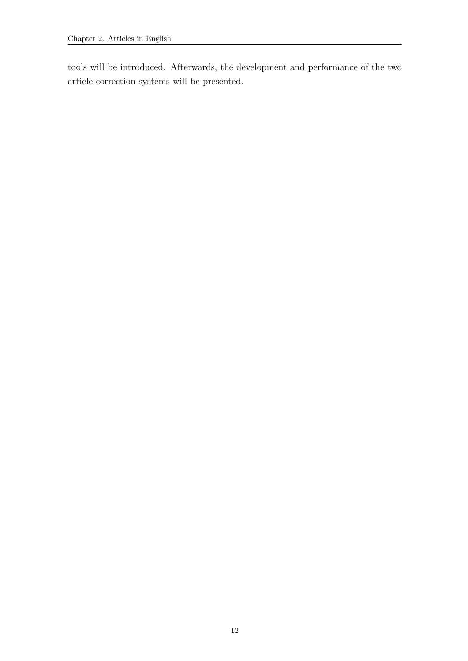tools will be introduced. Afterwards, the development and performance of the two article correction systems will be presented.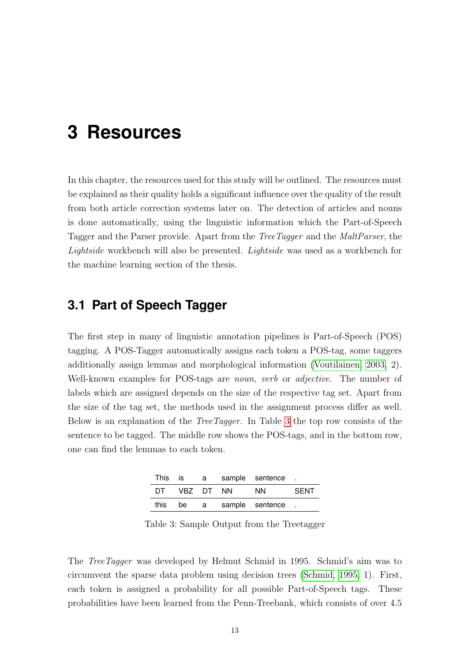## <span id="page-21-0"></span>**3 Resources**

In this chapter, the resources used for this study will be outlined. The resources must be explained as their quality holds a significant influence over the quality of the result from both article correction systems later on. The detection of articles and nouns is done automatically, using the linguistic information which the Part-of-Speech Tagger and the Parser provide. Apart from the TreeTagger and the MaltParser, the Lightside workbench will also be presented. Lightside was used as a workbench for the machine learning section of the thesis.

### <span id="page-21-1"></span>**3.1 Part of Speech Tagger**

The first step in many of linguistic annotation pipelines is Part-of-Speech (POS) tagging. A POS-Tagger automatically assigns each token a POS-tag, some taggers additionally assign lemmas and morphological information [\(Voutilainen, 2003,](#page-84-1) 2). Well-known examples for POS-tags are *noun, verb* or *adjective*. The number of labels which are assigned depends on the size of the respective tag set. Apart from the size of the tag set, the methods used in the assignment process differ as well. Below is an explanation of the TreeTagger. In Table [3](#page-21-2) the top row consists of the sentence to be tagged. The middle row shows the POS-tags, and in the bottom row, one can find the lemmas to each token.

<span id="page-21-2"></span>

| This | is i   | a - |     | sample sentence. |      |
|------|--------|-----|-----|------------------|------|
| DT   | VBZ DT |     | NN. | NN.              | SENT |
| this | be     | a — |     | sample sentence. |      |

Table 3: Sample Output from the Treetagger

The TreeTagger was developed by Helmut Schmid in 1995. Schmid's aim was to circumvent the sparse data problem using decision trees [\(Schmid, 1995,](#page-83-2) 1). First, each token is assigned a probability for all possible Part-of-Speech tags. These probabilities have been learned from the Penn-Treebank, which consists of over 4.5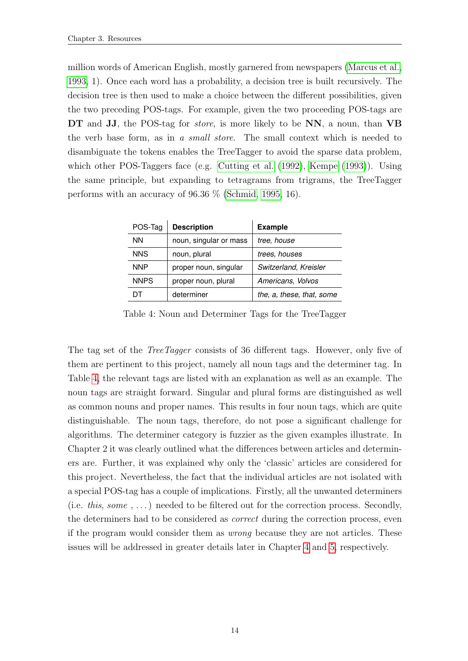million words of American English, mostly garnered from newspapers [\(Marcus et al.,](#page-82-1) [1993,](#page-82-1) 1). Once each word has a probability, a decision tree is built recursively. The decision tree is then used to make a choice between the different possibilities, given the two preceding POS-tags. For example, given the two proceeding POS-tags are DT and JJ, the POS-tag for *store*, is more likely to be NN, a noun, than VB the verb base form, as in a small store. The small context which is needed to disambiguate the tokens enables the TreeTagger to avoid the sparse data problem, which other POS-Taggers face (e.g. [Cutting et al.](#page-80-5) [\(1992\)](#page-80-5), [Kempe](#page-82-2) [\(1993\)](#page-82-2)). Using the same principle, but expanding to tetragrams from trigrams, the TreeTagger performs with an accuracy of 96.36 % [\(Schmid, 1995,](#page-83-2) 16).

<span id="page-22-0"></span>

| POS-Tag     | <b>Description</b>     | <b>Example</b>            |
|-------------|------------------------|---------------------------|
| <b>NN</b>   | noun, singular or mass | tree, house               |
| <b>NNS</b>  | noun, plural           | trees, houses             |
| <b>NNP</b>  | proper noun, singular  | Switzerland, Kreisler     |
| <b>NNPS</b> | proper noun, plural    | Americans, Volvos         |
|             | determiner             | the, a, these, that, some |

Table 4: Noun and Determiner Tags for the TreeTagger

The tag set of the *TreeTagger* consists of 36 different tags. However, only five of them are pertinent to this project, namely all noun tags and the determiner tag. In Table [4,](#page-22-0) the relevant tags are listed with an explanation as well as an example. The noun tags are straight forward. Singular and plural forms are distinguished as well as common nouns and proper names. This results in four noun tags, which are quite distinguishable. The noun tags, therefore, do not pose a significant challenge for algorithms. The determiner category is fuzzier as the given examples illustrate. In Chapter 2 it was clearly outlined what the differences between articles and determiners are. Further, it was explained why only the 'classic' articles are considered for this project. Nevertheless, the fact that the individual articles are not isolated with a special POS-tag has a couple of implications. Firstly, all the unwanted determiners (i.e. this, some , ...) needed to be filtered out for the correction process. Secondly, the determiners had to be considered as correct during the correction process, even if the program would consider them as wrong because they are not articles. These issues will be addressed in greater details later in Chapter [4](#page-26-0) and [5,](#page-41-0) respectively.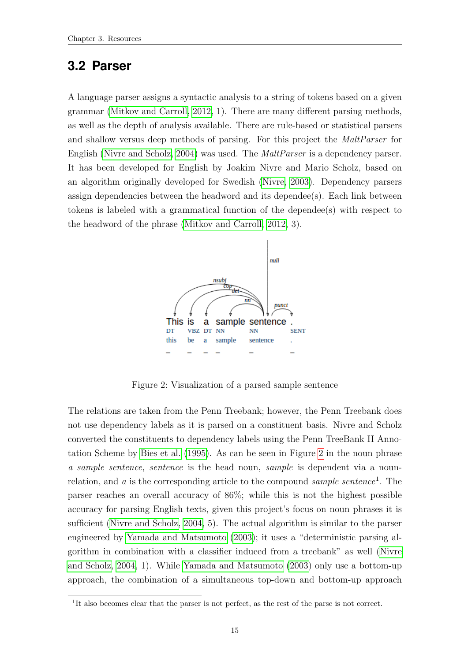### <span id="page-23-0"></span>**3.2 Parser**

A language parser assigns a syntactic analysis to a string of tokens based on a given grammar [\(Mitkov and Carroll, 2012,](#page-82-3) 1). There are many different parsing methods, as well as the depth of analysis available. There are rule-based or statistical parsers and shallow versus deep methods of parsing. For this project the MaltParser for English [\(Nivre and Scholz, 2004\)](#page-82-4) was used. The MaltParser is a dependency parser. It has been developed for English by Joakim Nivre and Mario Scholz, based on an algorithm originally developed for Swedish [\(Nivre, 2003\)](#page-82-5). Dependency parsers assign dependencies between the headword and its dependee(s). Each link between tokens is labeled with a grammatical function of the dependee(s) with respect to the headword of the phrase [\(Mitkov and Carroll, 2012,](#page-82-3) 3).

<span id="page-23-1"></span>

Figure 2: Visualization of a parsed sample sentence

The relations are taken from the Penn Treebank; however, the Penn Treebank does not use dependency labels as it is parsed on a constituent basis. Nivre and Scholz converted the constituents to dependency labels using the Penn TreeBank II Annotation Scheme by [Bies et al.](#page-80-6) [\(1995\)](#page-80-6). As can be seen in Figure [2](#page-23-1) in the noun phrase a sample sentence, sentence is the head noun, sample is dependent via a nounrelation, and a is the corresponding article to the compound sample sentence<sup>1</sup>. The parser reaches an overall accuracy of 86%; while this is not the highest possible accuracy for parsing English texts, given this project's focus on noun phrases it is sufficient [\(Nivre and Scholz, 2004,](#page-82-4) 5). The actual algorithm is similar to the parser engineered by [Yamada and Matsumoto](#page-84-2) [\(2003\)](#page-84-2); it uses a "deterministic parsing algorithm in combination with a classifier induced from a treebank" as well [\(Nivre](#page-82-4) [and Scholz, 2004,](#page-82-4) 1). While [Yamada and Matsumoto](#page-84-2) [\(2003\)](#page-84-2) only use a bottom-up approach, the combination of a simultaneous top-down and bottom-up approach

<sup>&</sup>lt;sup>1</sup>It also becomes clear that the parser is not perfect, as the rest of the parse is not correct.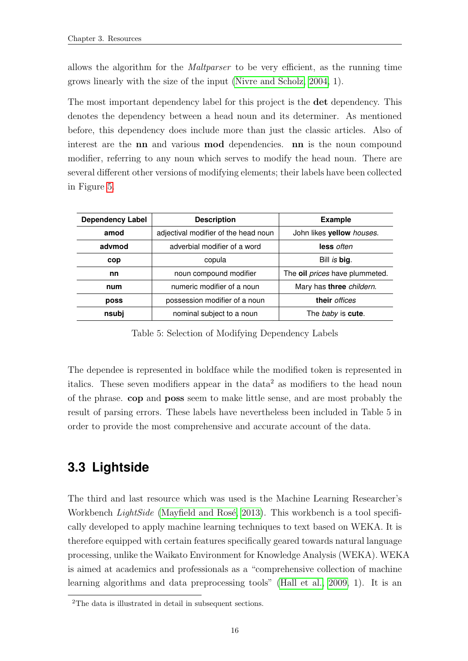allows the algorithm for the Maltparser to be very efficient, as the running time grows linearly with the size of the input [\(Nivre and Scholz, 2004,](#page-82-4) 1).

The most important dependency label for this project is the det dependency. This denotes the dependency between a head noun and its determiner. As mentioned before, this dependency does include more than just the classic articles. Also of interest are the nn and various mod dependencies. nn is the noun compound modifier, referring to any noun which serves to modify the head noun. There are several different other versions of modifying elements; their labels have been collected in Figure [5.](#page-24-1)

<span id="page-24-1"></span>

| <b>Dependency Label</b>            | <b>Description</b>                                    | <b>Example</b>                   |  |  |  |
|------------------------------------|-------------------------------------------------------|----------------------------------|--|--|--|
| amod                               | adjectival modifier of the head noun                  | John likes yellow houses.        |  |  |  |
| advmod                             | adverbial modifier of a word                          | less often                       |  |  |  |
| cop                                | copula                                                | Bill is big.                     |  |  |  |
| nn                                 | noun compound modifier                                | The oil prices have plummeted.   |  |  |  |
| num                                | numeric modifier of a noun                            | Mary has three childern.         |  |  |  |
| poss                               | their <i>offices</i><br>possession modifier of a noun |                                  |  |  |  |
| nominal subject to a noun<br>nsubj |                                                       | The <i>baby</i> is <b>cute</b> . |  |  |  |

Table 5: Selection of Modifying Dependency Labels

The dependee is represented in boldface while the modified token is represented in italics. These seven modifiers appear in the data<sup>2</sup> as modifiers to the head noun of the phrase. cop and poss seem to make little sense, and are most probably the result of parsing errors. These labels have nevertheless been included in Table 5 in order to provide the most comprehensive and accurate account of the data.

### <span id="page-24-0"></span>**3.3 Lightside**

The third and last resource which was used is the Machine Learning Researcher's Workbench *LightSide* (Mayfield and Rosé, 2013). This workbench is a tool specifically developed to apply machine learning techniques to text based on WEKA. It is therefore equipped with certain features specifically geared towards natural language processing, unlike the Waikato Environment for Knowledge Analysis (WEKA). WEKA is aimed at academics and professionals as a "comprehensive collection of machine learning algorithms and data preprocessing tools" [\(Hall et al., 2009,](#page-81-6) 1). It is an

<sup>2</sup>The data is illustrated in detail in subsequent sections.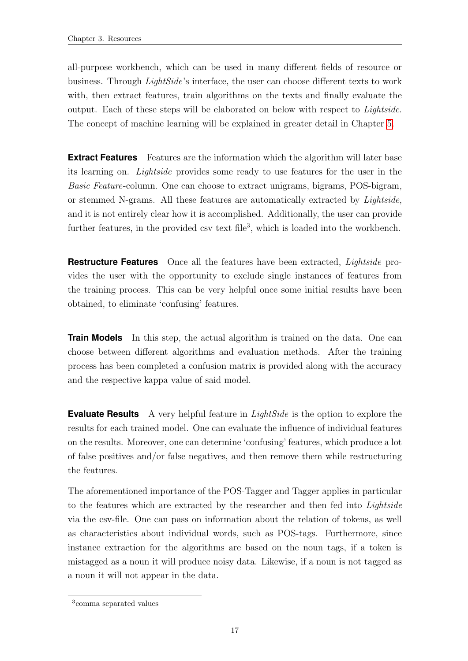all-purpose workbench, which can be used in many different fields of resource or business. Through LightSide's interface, the user can choose different texts to work with, then extract features, train algorithms on the texts and finally evaluate the output. Each of these steps will be elaborated on below with respect to Lightside. The concept of machine learning will be explained in greater detail in Chapter [5.](#page-41-0)

**Extract Features** Features are the information which the algorithm will later base its learning on. Lightside provides some ready to use features for the user in the Basic Feature-column. One can choose to extract unigrams, bigrams, POS-bigram, or stemmed N-grams. All these features are automatically extracted by Lightside, and it is not entirely clear how it is accomplished. Additionally, the user can provide further features, in the provided csv text file<sup>3</sup>, which is loaded into the workbench.

**Restructure Features** Once all the features have been extracted, Lightside provides the user with the opportunity to exclude single instances of features from the training process. This can be very helpful once some initial results have been obtained, to eliminate 'confusing' features.

**Train Models** In this step, the actual algorithm is trained on the data. One can choose between different algorithms and evaluation methods. After the training process has been completed a confusion matrix is provided along with the accuracy and the respective kappa value of said model.

**Evaluate Results** A very helpful feature in *LightSide* is the option to explore the results for each trained model. One can evaluate the influence of individual features on the results. Moreover, one can determine 'confusing' features, which produce a lot of false positives and/or false negatives, and then remove them while restructuring the features.

The aforementioned importance of the POS-Tagger and Tagger applies in particular to the features which are extracted by the researcher and then fed into Lightside via the csv-file. One can pass on information about the relation of tokens, as well as characteristics about individual words, such as POS-tags. Furthermore, since instance extraction for the algorithms are based on the noun tags, if a token is mistagged as a noun it will produce noisy data. Likewise, if a noun is not tagged as a noun it will not appear in the data.

<sup>3</sup> comma separated values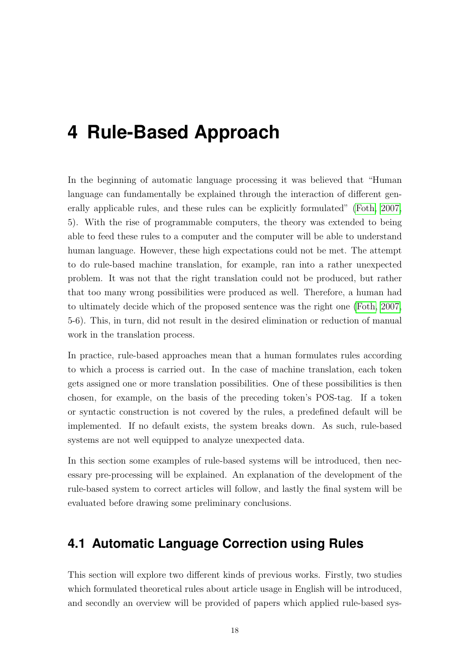## <span id="page-26-0"></span>**4 Rule-Based Approach**

In the beginning of automatic language processing it was believed that "Human language can fundamentally be explained through the interaction of different generally applicable rules, and these rules can be explicitly formulated" [\(Foth, 2007,](#page-81-7) 5). With the rise of programmable computers, the theory was extended to being able to feed these rules to a computer and the computer will be able to understand human language. However, these high expectations could not be met. The attempt to do rule-based machine translation, for example, ran into a rather unexpected problem. It was not that the right translation could not be produced, but rather that too many wrong possibilities were produced as well. Therefore, a human had to ultimately decide which of the proposed sentence was the right one [\(Foth, 2007,](#page-81-7) 5-6). This, in turn, did not result in the desired elimination or reduction of manual work in the translation process.

In practice, rule-based approaches mean that a human formulates rules according to which a process is carried out. In the case of machine translation, each token gets assigned one or more translation possibilities. One of these possibilities is then chosen, for example, on the basis of the preceding token's POS-tag. If a token or syntactic construction is not covered by the rules, a predefined default will be implemented. If no default exists, the system breaks down. As such, rule-based systems are not well equipped to analyze unexpected data.

In this section some examples of rule-based systems will be introduced, then necessary pre-processing will be explained. An explanation of the development of the rule-based system to correct articles will follow, and lastly the final system will be evaluated before drawing some preliminary conclusions.

### <span id="page-26-1"></span>**4.1 Automatic Language Correction using Rules**

This section will explore two different kinds of previous works. Firstly, two studies which formulated theoretical rules about article usage in English will be introduced, and secondly an overview will be provided of papers which applied rule-based sys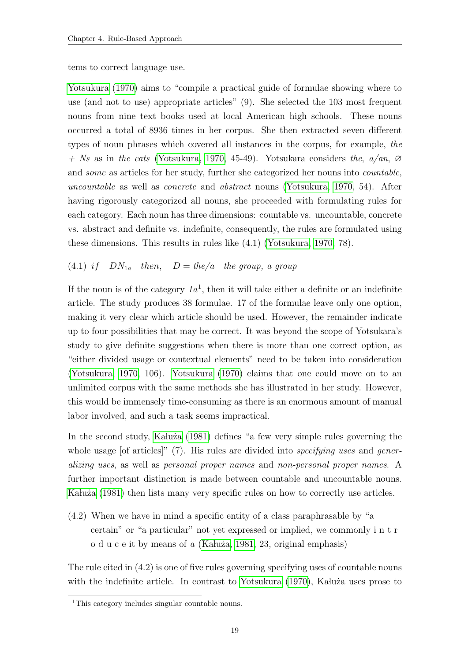tems to correct language use.

[Yotsukura](#page-84-3) [\(1970\)](#page-84-3) aims to "compile a practical guide of formulae showing where to use (and not to use) appropriate articles" (9). She selected the 103 most frequent nouns from nine text books used at local American high schools. These nouns occurred a total of 8936 times in her corpus. She then extracted seven different types of noun phrases which covered all instances in the corpus, for example, the  $+$  Ns as in the cats [\(Yotsukura, 1970,](#page-84-3) 45-49). Yotsukara considers the,  $a/an$ , Ø and some as articles for her study, further she categorized her nouns into countable, uncountable as well as concrete and abstract nouns [\(Yotsukura, 1970,](#page-84-3) 54). After having rigorously categorized all nouns, she proceeded with formulating rules for each category. Each noun has three dimensions: countable vs. uncountable, concrete vs. abstract and definite vs. indefinite, consequently, the rules are formulated using these dimensions. This results in rules like (4.1) [\(Yotsukura, 1970,](#page-84-3) 78).

#### (4.1) if  $DN_{1a}$  then,  $D = the/a$  the group, a group

If the noun is of the category  $1a<sup>1</sup>$ , then it will take either a definite or an indefinite article. The study produces 38 formulae. 17 of the formulae leave only one option, making it very clear which article should be used. However, the remainder indicate up to four possibilities that may be correct. It was beyond the scope of Yotsukara's study to give definite suggestions when there is more than one correct option, as "either divided usage or contextual elements" need to be taken into consideration [\(Yotsukura, 1970,](#page-84-3) 106). [Yotsukura](#page-84-3) [\(1970\)](#page-84-3) claims that one could move on to an unlimited corpus with the same methods she has illustrated in her study. However, this would be immensely time-consuming as there is an enormous amount of manual labor involved, and such a task seems impractical.

In the second study, Kaluża [\(1981\)](#page-82-7) defines "a few very simple rules governing the whole usage [of articles]"  $(7)$ . His rules are divided into *specifying uses* and *gener*alizing uses, as well as personal proper names and non-personal proper names. A further important distinction is made between countable and uncountable nouns. Ka lu $\dot{\mathcal{Z}}$  [\(1981\)](#page-82-7) then lists many very specific rules on how to correctly use articles.

(4.2) When we have in mind a specific entity of a class paraphrasable by "a certain" or "a particular" not yet expressed or implied, we commonly i n t r o d u c e it by means of  $a$  (Kaluża, 1981, 23, original emphasis)

The rule cited in (4.2) is one of five rules governing specifying uses of countable nouns with the indefinite article. In contrast to [Yotsukura](#page-84-3)  $(1970)$ , Kalu $\dot{z}$ a uses prose to

<sup>&</sup>lt;sup>1</sup>This category includes singular countable nouns.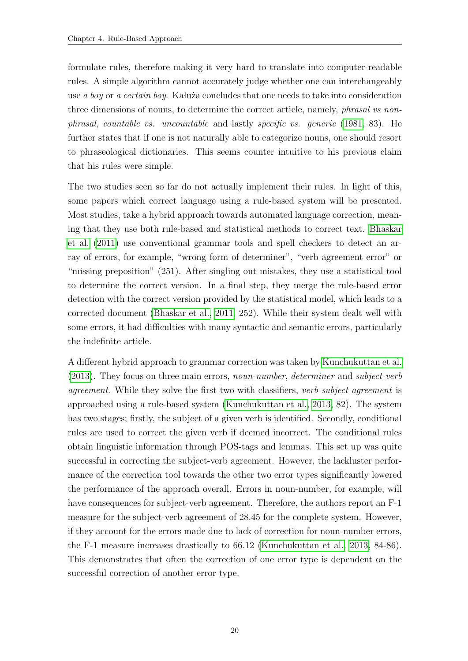formulate rules, therefore making it very hard to translate into computer-readable rules. A simple algorithm cannot accurately judge whether one can interchangeably use a boy or a certain boy. Kaluza concludes that one needs to take into consideration three dimensions of nouns, to determine the correct article, namely, phrasal vs nonphrasal, countable vs. uncountable and lastly specific vs. generic [\(1981,](#page-82-7) 83). He further states that if one is not naturally able to categorize nouns, one should resort to phraseological dictionaries. This seems counter intuitive to his previous claim that his rules were simple.

The two studies seen so far do not actually implement their rules. In light of this, some papers which correct language using a rule-based system will be presented. Most studies, take a hybrid approach towards automated language correction, meaning that they use both rule-based and statistical methods to correct text. [Bhaskar](#page-80-1) [et al.](#page-80-1) [\(2011\)](#page-80-1) use conventional grammar tools and spell checkers to detect an array of errors, for example, "wrong form of determiner", "verb agreement error" or "missing preposition" (251). After singling out mistakes, they use a statistical tool to determine the correct version. In a final step, they merge the rule-based error detection with the correct version provided by the statistical model, which leads to a corrected document [\(Bhaskar et al., 2011,](#page-80-1) 252). While their system dealt well with some errors, it had difficulties with many syntactic and semantic errors, particularly the indefinite article.

A different hybrid approach to grammar correction was taken by [Kunchukuttan et al.](#page-82-8) [\(2013\)](#page-82-8). They focus on three main errors, noun-number, determiner and subject-verb agreement. While they solve the first two with classifiers, verb-subject agreement is approached using a rule-based system [\(Kunchukuttan et al., 2013,](#page-82-8) 82). The system has two stages; firstly, the subject of a given verb is identified. Secondly, conditional rules are used to correct the given verb if deemed incorrect. The conditional rules obtain linguistic information through POS-tags and lemmas. This set up was quite successful in correcting the subject-verb agreement. However, the lackluster performance of the correction tool towards the other two error types significantly lowered the performance of the approach overall. Errors in noun-number, for example, will have consequences for subject-verb agreement. Therefore, the authors report an  $F-1$ measure for the subject-verb agreement of 28.45 for the complete system. However, if they account for the errors made due to lack of correction for noun-number errors, the F-1 measure increases drastically to 66.12 [\(Kunchukuttan et al., 2013,](#page-82-8) 84-86). This demonstrates that often the correction of one error type is dependent on the successful correction of another error type.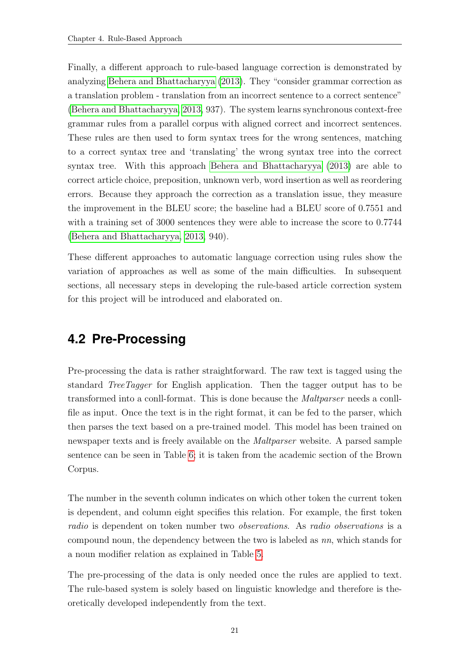Finally, a different approach to rule-based language correction is demonstrated by analyzing [Behera and Bhattacharyya](#page-80-7) [\(2013\)](#page-80-7). They "consider grammar correction as a translation problem - translation from an incorrect sentence to a correct sentence" [\(Behera and Bhattacharyya, 2013,](#page-80-7) 937). The system learns synchronous context-free grammar rules from a parallel corpus with aligned correct and incorrect sentences. These rules are then used to form syntax trees for the wrong sentences, matching to a correct syntax tree and 'translating' the wrong syntax tree into the correct syntax tree. With this approach [Behera and Bhattacharyya](#page-80-7) [\(2013\)](#page-80-7) are able to correct article choice, preposition, unknown verb, word insertion as well as reordering errors. Because they approach the correction as a translation issue, they measure the improvement in the BLEU score; the baseline had a BLEU score of 0.7551 and with a training set of 3000 sentences they were able to increase the score to 0.7744 [\(Behera and Bhattacharyya, 2013,](#page-80-7) 940).

These different approaches to automatic language correction using rules show the variation of approaches as well as some of the main difficulties. In subsequent sections, all necessary steps in developing the rule-based article correction system for this project will be introduced and elaborated on.

### <span id="page-29-0"></span>**4.2 Pre-Processing**

Pre-processing the data is rather straightforward. The raw text is tagged using the standard TreeTagger for English application. Then the tagger output has to be transformed into a conll-format. This is done because the Maltparser needs a conllfile as input. Once the text is in the right format, it can be fed to the parser, which then parses the text based on a pre-trained model. This model has been trained on newspaper texts and is freely available on the Maltparser website. A parsed sample sentence can be seen in Table [6;](#page-30-1) it is taken from the academic section of the Brown Corpus.

The number in the seventh column indicates on which other token the current token is dependent, and column eight specifies this relation. For example, the first token radio is dependent on token number two observations. As radio observations is a compound noun, the dependency between the two is labeled as nn, which stands for a noun modifier relation as explained in Table [5.](#page-24-1)

The pre-processing of the data is only needed once the rules are applied to text. The rule-based system is solely based on linguistic knowledge and therefore is theoretically developed independently from the text.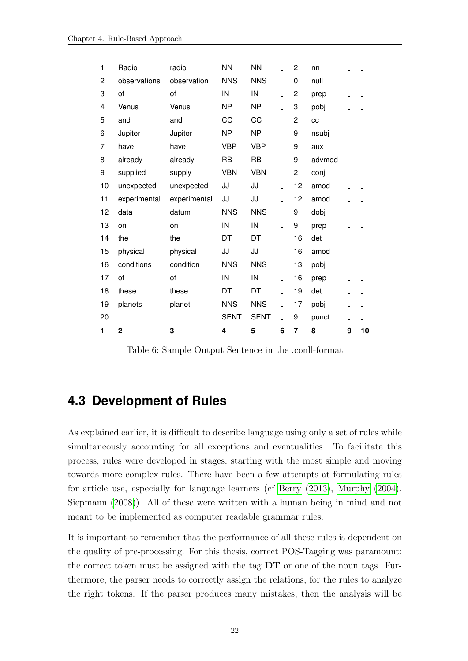<span id="page-30-1"></span>

| 1  | $\overline{2}$ | 3            | 4           | 5           | 6              | $\overline{7}$ | 8      | 9              | 10             |
|----|----------------|--------------|-------------|-------------|----------------|----------------|--------|----------------|----------------|
| 20 | L.             | ä.           | <b>SENT</b> | <b>SENT</b> | $\overline{a}$ | 9              | punct  | $\overline{a}$ | $\overline{a}$ |
| 19 | planets        | planet       | <b>NNS</b>  | <b>NNS</b>  |                | 17             | pobj   |                |                |
| 18 | these          | these        | DT          | DT          |                | 19             | det    |                |                |
| 17 | of             | of           | IN          | IN          |                | 16             | prep   |                |                |
| 16 | conditions     | condition    | <b>NNS</b>  | <b>NNS</b>  | $\overline{a}$ | 13             | pobj   |                |                |
| 15 | physical       | physical     | JJ          | JJ          |                | 16             | amod   |                |                |
| 14 | the            | the          | DT          | DT          |                | 16             | det    |                |                |
| 13 | on             | on           | IN          | IN          |                | 9              | prep   |                |                |
| 12 | data           | datum        | <b>NNS</b>  | <b>NNS</b>  | $\overline{a}$ | 9              | dobj   |                |                |
| 11 | experimental   | experimental | JJ          | JJ          | $\overline{a}$ | 12             | amod   |                |                |
| 10 | unexpected     | unexpected   | JJ          | JJ          |                | 12             | amod   |                |                |
| 9  | supplied       | supply       | <b>VBN</b>  | <b>VBN</b>  |                | 2              | conj   |                |                |
| 8  | already        | already      | <b>RB</b>   | <b>RB</b>   |                | 9              | advmod | $\overline{a}$ |                |
| 7  | have           | have         | <b>VBP</b>  | <b>VBP</b>  |                | 9              | aux    |                |                |
| 6  | Jupiter        | Jupiter      | <b>NP</b>   | <b>NP</b>   |                | 9              | nsubj  |                |                |
| 5  | and            | and          | CC          | CC          |                | 2              | cc     |                |                |
| 4  | Venus          | Venus        | <b>NP</b>   | <b>NP</b>   |                | 3              | pobj   |                |                |
| 3  | of             | of           | IN          | IN          |                | 2              | prep   |                |                |
| 2  | observations   | observation  | <b>NNS</b>  | <b>NNS</b>  | $\overline{a}$ | 0              | null   |                |                |
| 1  | Radio          | radio        | <b>NN</b>   | <b>NN</b>   |                | 2              | nn     |                |                |

Table 6: Sample Output Sentence in the .conll-format

### <span id="page-30-0"></span>**4.3 Development of Rules**

As explained earlier, it is difficult to describe language using only a set of rules while simultaneously accounting for all exceptions and eventualities. To facilitate this process, rules were developed in stages, starting with the most simple and moving towards more complex rules. There have been a few attempts at formulating rules for article use, especially for language learners (cf [Berry](#page-80-8) [\(2013\)](#page-80-8), [Murphy](#page-82-9) [\(2004\)](#page-82-9), [Siepmann](#page-84-4) [\(2008\)](#page-84-4)). All of these were written with a human being in mind and not meant to be implemented as computer readable grammar rules.

It is important to remember that the performance of all these rules is dependent on the quality of pre-processing. For this thesis, correct POS-Tagging was paramount; the correct token must be assigned with the tag DT or one of the noun tags. Furthermore, the parser needs to correctly assign the relations, for the rules to analyze the right tokens. If the parser produces many mistakes, then the analysis will be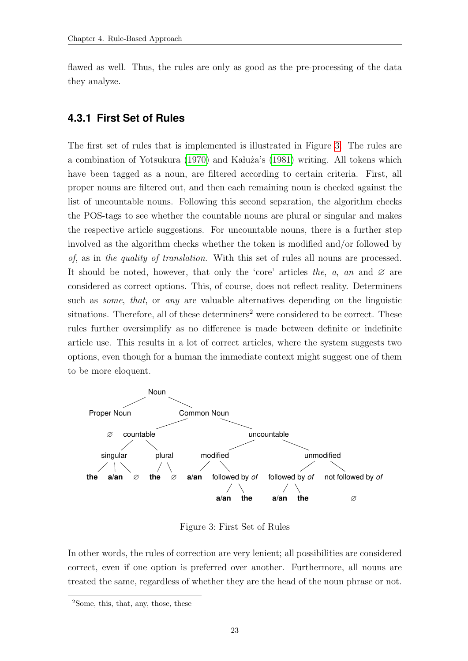flawed as well. Thus, the rules are only as good as the pre-processing of the data they analyze.

#### <span id="page-31-0"></span>**4.3.1 First Set of Rules**

The first set of rules that is implemented is illustrated in Figure [3.](#page-31-1) The rules are a combination of Yotsukura [\(1970\)](#page-84-3) and Kałuża's [\(1981\)](#page-82-7) writing. All tokens which have been tagged as a noun, are filtered according to certain criteria. First, all proper nouns are filtered out, and then each remaining noun is checked against the list of uncountable nouns. Following this second separation, the algorithm checks the POS-tags to see whether the countable nouns are plural or singular and makes the respective article suggestions. For uncountable nouns, there is a further step involved as the algorithm checks whether the token is modified and/or followed by of, as in the quality of translation. With this set of rules all nouns are processed. It should be noted, however, that only the 'core' articles the, a, an and  $\varnothing$  are considered as correct options. This, of course, does not reflect reality. Determiners such as *some*, that, or any are valuable alternatives depending on the linguistic situations. Therefore, all of these determiners<sup>2</sup> were considered to be correct. These rules further oversimplify as no difference is made between definite or indefinite article use. This results in a lot of correct articles, where the system suggests two options, even though for a human the immediate context might suggest one of them to be more eloquent.

<span id="page-31-1"></span>

Figure 3: First Set of Rules

In other words, the rules of correction are very lenient; all possibilities are considered correct, even if one option is preferred over another. Furthermore, all nouns are treated the same, regardless of whether they are the head of the noun phrase or not.

<sup>2</sup>Some, this, that, any, those, these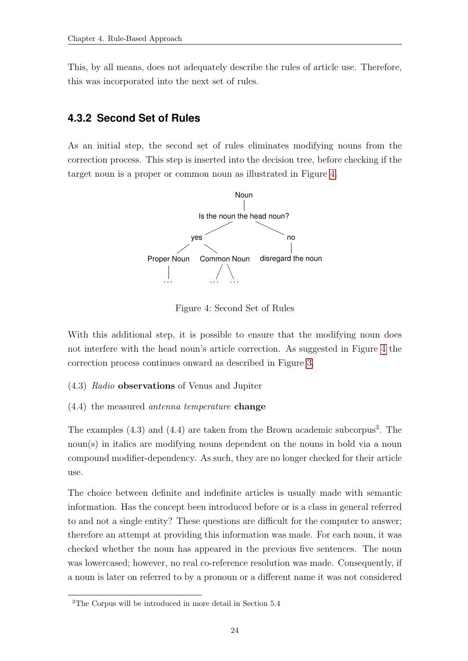This, by all means, does not adequately describe the rules of article use. Therefore, this was incorporated into the next set of rules.

#### <span id="page-32-0"></span>**4.3.2 Second Set of Rules**

<span id="page-32-1"></span>As an initial step, the second set of rules eliminates modifying nouns from the correction process. This step is inserted into the decision tree, before checking if the target noun is a proper or common noun as illustrated in Figure [4.](#page-32-1)



Figure 4: Second Set of Rules

With this additional step, it is possible to ensure that the modifying noun does not interfere with the head noun's article correction. As suggested in Figure [4](#page-32-1) the correction process continues onward as described in Figure [3.](#page-31-1)

- (4.3) Radio observations of Venus and Jupiter
- (4.4) the measured antenna temperature change

The examples  $(4.3)$  and  $(4.4)$  are taken from the Brown academic subcorpus<sup>3</sup>. The noun(s) in italics are modifying nouns dependent on the nouns in bold via a noun compound modifier-dependency. As such, they are no longer checked for their article use.

The choice between definite and indefinite articles is usually made with semantic information. Has the concept been introduced before or is a class in general referred to and not a single entity? These questions are difficult for the computer to answer; therefore an attempt at providing this information was made. For each noun, it was checked whether the noun has appeared in the previous five sentences. The noun was lowercased; however, no real co-reference resolution was made. Consequently, if a noun is later on referred to by a pronoun or a different name it was not considered

<sup>3</sup>The Corpus will be introduced in more detail in Section 5.4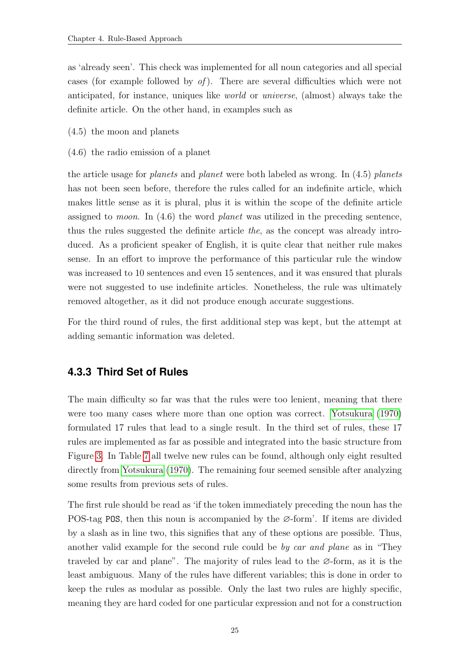as 'already seen'. This check was implemented for all noun categories and all special cases (for example followed by  $of$ ). There are several difficulties which were not anticipated, for instance, uniques like world or universe, (almost) always take the definite article. On the other hand, in examples such as

- (4.5) the moon and planets
- (4.6) the radio emission of a planet

the article usage for planets and planet were both labeled as wrong. In (4.5) planets has not been seen before, therefore the rules called for an indefinite article, which makes little sense as it is plural, plus it is within the scope of the definite article assigned to moon. In (4.6) the word planet was utilized in the preceding sentence, thus the rules suggested the definite article the, as the concept was already introduced. As a proficient speaker of English, it is quite clear that neither rule makes sense. In an effort to improve the performance of this particular rule the window was increased to 10 sentences and even 15 sentences, and it was ensured that plurals were not suggested to use indefinite articles. Nonetheless, the rule was ultimately removed altogether, as it did not produce enough accurate suggestions.

For the third round of rules, the first additional step was kept, but the attempt at adding semantic information was deleted.

#### <span id="page-33-0"></span>**4.3.3 Third Set of Rules**

The main difficulty so far was that the rules were too lenient, meaning that there were too many cases where more than one option was correct. [Yotsukura](#page-84-3) [\(1970\)](#page-84-3) formulated 17 rules that lead to a single result. In the third set of rules, these 17 rules are implemented as far as possible and integrated into the basic structure from Figure [3.](#page-31-1) In Table [7](#page-34-0) all twelve new rules can be found, although only eight resulted directly from [Yotsukura](#page-84-3) [\(1970\)](#page-84-3). The remaining four seemed sensible after analyzing some results from previous sets of rules.

The first rule should be read as 'if the token immediately preceding the noun has the POS-tag POS, then this noun is accompanied by the ∅-form'. If items are divided by a slash as in line two, this signifies that any of these options are possible. Thus, another valid example for the second rule could be by car and plane as in "They traveled by car and plane". The majority of rules lead to the  $\varnothing$ -form, as it is the least ambiguous. Many of the rules have different variables; this is done in order to keep the rules as modular as possible. Only the last two rules are highly specific, meaning they are hard coded for one particular expression and not for a construction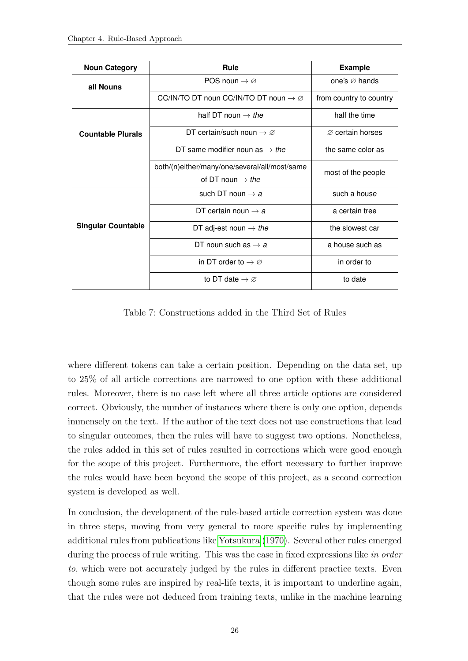<span id="page-34-0"></span>

| <b>Noun Category</b>      | Rule                                                        | <b>Example</b>               |  |  |
|---------------------------|-------------------------------------------------------------|------------------------------|--|--|
| all Nouns                 | POS noun $\rightarrow \varnothing$                          | one's $\varnothing$ hands    |  |  |
|                           | CC/IN/TO DT noun CC/IN/TO DT noun $\rightarrow \varnothing$ | from country to country      |  |  |
|                           | half DT noun $\rightarrow$ the                              | half the time                |  |  |
| <b>Countable Plurals</b>  | DT certain/such noun $\rightarrow \varnothing$              | $\varnothing$ certain horses |  |  |
|                           | DT same modifier noun as $\rightarrow$ the                  | the same color as            |  |  |
|                           | both/(n)either/many/one/several/all/most/same               |                              |  |  |
|                           | of DT noun $\rightarrow$ the                                | most of the people           |  |  |
|                           | such DT noun $\rightarrow$ a                                | such a house                 |  |  |
|                           | DT certain noun $\rightarrow$ a                             | a certain tree               |  |  |
| <b>Singular Countable</b> | DT adj-est noun $\rightarrow$ the                           | the slowest car              |  |  |
|                           | DT noun such as $\rightarrow$ a                             | a house such as              |  |  |
|                           | in DT order to $\rightarrow \varnothing$                    | in order to                  |  |  |
|                           | to DT date $\rightarrow \varnothing$                        | to date                      |  |  |

Table 7: Constructions added in the Third Set of Rules

where different tokens can take a certain position. Depending on the data set, up to 25% of all article corrections are narrowed to one option with these additional rules. Moreover, there is no case left where all three article options are considered correct. Obviously, the number of instances where there is only one option, depends immensely on the text. If the author of the text does not use constructions that lead to singular outcomes, then the rules will have to suggest two options. Nonetheless, the rules added in this set of rules resulted in corrections which were good enough for the scope of this project. Furthermore, the effort necessary to further improve the rules would have been beyond the scope of this project, as a second correction system is developed as well.

In conclusion, the development of the rule-based article correction system was done in three steps, moving from very general to more specific rules by implementing additional rules from publications like [Yotsukura](#page-84-3) [\(1970\)](#page-84-3). Several other rules emerged during the process of rule writing. This was the case in fixed expressions like in order to, which were not accurately judged by the rules in different practice texts. Even though some rules are inspired by real-life texts, it is important to underline again, that the rules were not deduced from training texts, unlike in the machine learning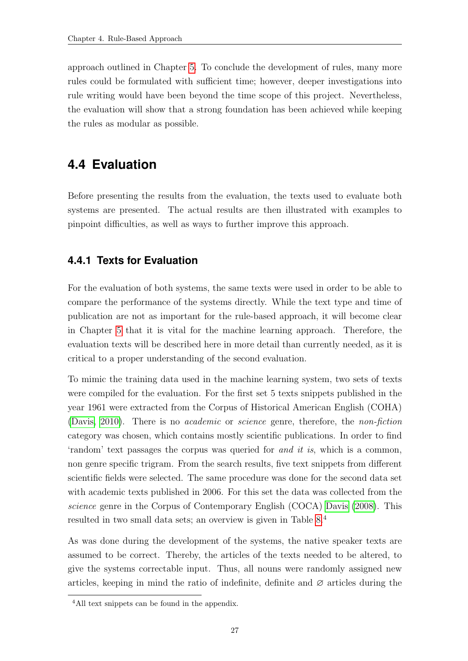approach outlined in Chapter [5.](#page-41-0) To conclude the development of rules, many more rules could be formulated with sufficient time; however, deeper investigations into rule writing would have been beyond the time scope of this project. Nevertheless, the evaluation will show that a strong foundation has been achieved while keeping the rules as modular as possible.

### <span id="page-35-0"></span>**4.4 Evaluation**

Before presenting the results from the evaluation, the texts used to evaluate both systems are presented. The actual results are then illustrated with examples to pinpoint difficulties, as well as ways to further improve this approach.

#### <span id="page-35-1"></span>**4.4.1 Texts for Evaluation**

For the evaluation of both systems, the same texts were used in order to be able to compare the performance of the systems directly. While the text type and time of publication are not as important for the rule-based approach, it will become clear in Chapter [5](#page-41-0) that it is vital for the machine learning approach. Therefore, the evaluation texts will be described here in more detail than currently needed, as it is critical to a proper understanding of the second evaluation.

To mimic the training data used in the machine learning system, two sets of texts were compiled for the evaluation. For the first set 5 texts snippets published in the year 1961 were extracted from the Corpus of Historical American English (COHA) [\(Davis, 2010\)](#page-81-8). There is no academic or science genre, therefore, the non-fiction category was chosen, which contains mostly scientific publications. In order to find 'random' text passages the corpus was queried for and it is, which is a common, non genre specific trigram. From the search results, five text snippets from different scientific fields were selected. The same procedure was done for the second data set with academic texts published in 2006. For this set the data was collected from the science genre in the Corpus of Contemporary English (COCA) [Davis](#page-81-9) [\(2008\)](#page-81-9). This resulted in two small data sets; an overview is given in Table [8.](#page-36-1)<sup>4</sup>

As was done during the development of the systems, the native speaker texts are assumed to be correct. Thereby, the articles of the texts needed to be altered, to give the systems correctable input. Thus, all nouns were randomly assigned new articles, keeping in mind the ratio of indefinite, definite and  $\varnothing$  articles during the

<sup>4</sup>All text snippets can be found in the appendix.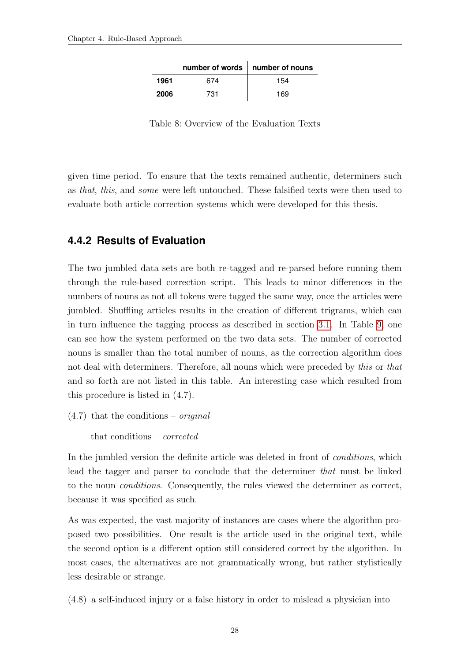|      |     | number of words   number of nouns |
|------|-----|-----------------------------------|
| 1961 | 674 | 154                               |
| 2006 | 731 | 169                               |

Table 8: Overview of the Evaluation Texts

given time period. To ensure that the texts remained authentic, determiners such as that, this, and some were left untouched. These falsified texts were then used to evaluate both article correction systems which were developed for this thesis.

#### **4.4.2 Results of Evaluation**

The two jumbled data sets are both re-tagged and re-parsed before running them through the rule-based correction script. This leads to minor differences in the numbers of nouns as not all tokens were tagged the same way, once the articles were jumbled. Shuffling articles results in the creation of different trigrams, which can in turn influence the tagging process as described in section [3.1.](#page-21-0) In Table [9,](#page-37-0) one can see how the system performed on the two data sets. The number of corrected nouns is smaller than the total number of nouns, as the correction algorithm does not deal with determiners. Therefore, all nouns which were preceded by this or that and so forth are not listed in this table. An interesting case which resulted from this procedure is listed in (4.7).

 $(4.7)$  that the conditions – *original* 

that conditions – corrected

In the jumbled version the definite article was deleted in front of *conditions*, which lead the tagger and parser to conclude that the determiner that must be linked to the noun conditions. Consequently, the rules viewed the determiner as correct, because it was specified as such.

As was expected, the vast majority of instances are cases where the algorithm proposed two possibilities. One result is the article used in the original text, while the second option is a different option still considered correct by the algorithm. In most cases, the alternatives are not grammatically wrong, but rather stylistically less desirable or strange.

(4.8) a self-induced injury or a false history in order to mislead a physician into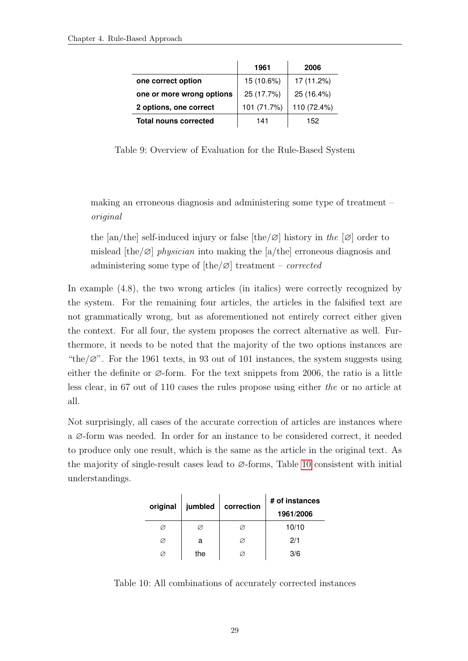<span id="page-37-0"></span>

|                              | 1961        | 2006        |
|------------------------------|-------------|-------------|
| one correct option           | 15 (10.6%)  | 17 (11.2%)  |
| one or more wrong options    | 25 (17.7%)  | 25 (16.4%)  |
| 2 options, one correct       | 101 (71.7%) | 110 (72.4%) |
| <b>Total nouns corrected</b> | 141         | 152         |

Table 9: Overview of Evaluation for the Rule-Based System

making an erroneous diagnosis and administering some type of treatment – original

the [an/the] self-induced injury or false [the/∅] history in the [∅] order to mislead  $[the/\varnothing]$  physician into making the [a/the] erroneous diagnosis and administering some type of  $[the/\varnothing]$  treatment – *corrected* 

In example (4.8), the two wrong articles (in italics) were correctly recognized by the system. For the remaining four articles, the articles in the falsified text are not grammatically wrong, but as aforementioned not entirely correct either given the context. For all four, the system proposes the correct alternative as well. Furthermore, it needs to be noted that the majority of the two options instances are "the/ $\varnothing$ ". For the 1961 texts, in 93 out of 101 instances, the system suggests using either the definite or ∅-form. For the text snippets from 2006, the ratio is a little less clear, in 67 out of 110 cases the rules propose using either the or no article at all.

<span id="page-37-1"></span>Not surprisingly, all cases of the accurate correction of articles are instances where a ∅-form was needed. In order for an instance to be considered correct, it needed to produce only one result, which is the same as the article in the original text. As the majority of single-result cases lead to ∅-forms, Table [10](#page-37-1) consistent with initial understandings.

| original | jumbled | correction | # of instances |
|----------|---------|------------|----------------|
|          |         |            | 1961/2006      |
|          |         | Ø          | 10/10          |
| Ø        | a       | Ø          | 2/1            |
|          | the     | Ø          | 3/6            |

Table 10: All combinations of accurately corrected instances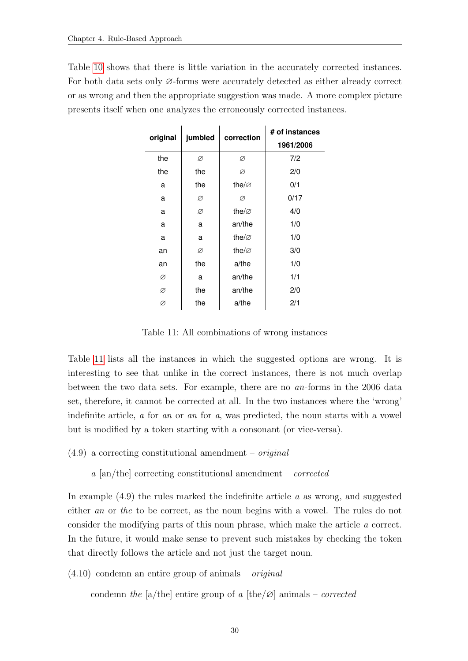<span id="page-38-0"></span>Table [10](#page-37-1) shows that there is little variation in the accurately corrected instances. For both data sets only ∅-forms were accurately detected as either already correct or as wrong and then the appropriate suggestion was made. A more complex picture presents itself when one analyzes the erroneously corrected instances.

| original | jumbled | correction         | # of instances |
|----------|---------|--------------------|----------------|
|          |         |                    | 1961/2006      |
| the      | Ø       | Ø                  | 7/2            |
| the      | the     | Ø                  | 2/0            |
| a        | the     | the/ $\varnothing$ | 0/1            |
| a        | Ø       | Ø                  | 0/17           |
| a        | Ø       | the/ $\varnothing$ | 4/0            |
| a        | a       | an/the             | 1/0            |
| a        | a       | the/ $\varnothing$ | 1/0            |
| an       | Ø       | the/ $\varnothing$ | 3/0            |
| an       | the     | a/the              | 1/0            |
| Ø        | a       | an/the             | 1/1            |
| Ø        | the     | an/the             | 2/0            |
| Ø        | the     | a/the              | 2/1            |

Table 11: All combinations of wrong instances

Table [11](#page-38-0) lists all the instances in which the suggested options are wrong. It is interesting to see that unlike in the correct instances, there is not much overlap between the two data sets. For example, there are no an-forms in the 2006 data set, therefore, it cannot be corrected at all. In the two instances where the 'wrong' indefinite article, a for an or an for a, was predicted, the noun starts with a vowel but is modified by a token starting with a consonant (or vice-versa).

 $(4.9)$  a correcting constitutional amendment – *original* 

a [an/the] correcting constitutional amendment – corrected

In example  $(4.9)$  the rules marked the indefinite article a as wrong, and suggested either an or the to be correct, as the noun begins with a vowel. The rules do not consider the modifying parts of this noun phrase, which make the article a correct. In the future, it would make sense to prevent such mistakes by checking the token that directly follows the article and not just the target noun.

 $(4.10)$  condemn an entire group of animals – *original* 

condemn the [a/the] entire group of a  $[the/\varnothing]$  animals – corrected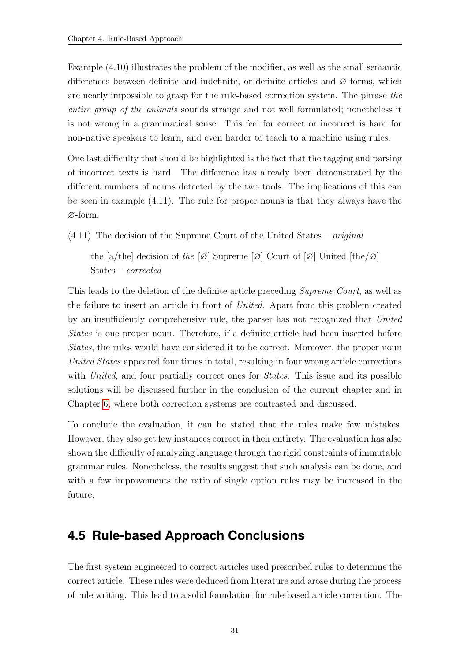Example (4.10) illustrates the problem of the modifier, as well as the small semantic differences between definite and indefinite, or definite articles and  $\varnothing$  forms, which are nearly impossible to grasp for the rule-based correction system. The phrase the entire group of the animals sounds strange and not well formulated; nonetheless it is not wrong in a grammatical sense. This feel for correct or incorrect is hard for non-native speakers to learn, and even harder to teach to a machine using rules.

One last difficulty that should be highlighted is the fact that the tagging and parsing of incorrect texts is hard. The difference has already been demonstrated by the different numbers of nouns detected by the two tools. The implications of this can be seen in example (4.11). The rule for proper nouns is that they always have the ∅-form.

(4.11) The decision of the Supreme Court of the United States – original

the [a/the] decision of the  $[\emptyset]$  Supreme  $[\emptyset]$  Court of  $[\emptyset]$  United [the/ $\emptyset]$ ] States – corrected

This leads to the deletion of the definite article preceding Supreme Court, as well as the failure to insert an article in front of United. Apart from this problem created by an insufficiently comprehensive rule, the parser has not recognized that United States is one proper noun. Therefore, if a definite article had been inserted before States, the rules would have considered it to be correct. Moreover, the proper noun United States appeared four times in total, resulting in four wrong article corrections with United, and four partially correct ones for *States*. This issue and its possible solutions will be discussed further in the conclusion of the current chapter and in Chapter [6,](#page-72-0) where both correction systems are contrasted and discussed.

To conclude the evaluation, it can be stated that the rules make few mistakes. However, they also get few instances correct in their entirety. The evaluation has also shown the difficulty of analyzing language through the rigid constraints of immutable grammar rules. Nonetheless, the results suggest that such analysis can be done, and with a few improvements the ratio of single option rules may be increased in the future.

# **4.5 Rule-based Approach Conclusions**

The first system engineered to correct articles used prescribed rules to determine the correct article. These rules were deduced from literature and arose during the process of rule writing. This lead to a solid foundation for rule-based article correction. The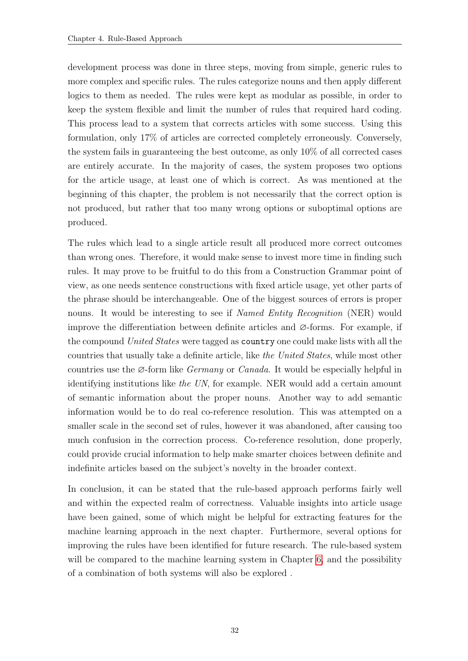development process was done in three steps, moving from simple, generic rules to more complex and specific rules. The rules categorize nouns and then apply different logics to them as needed. The rules were kept as modular as possible, in order to keep the system flexible and limit the number of rules that required hard coding. This process lead to a system that corrects articles with some success. Using this formulation, only 17% of articles are corrected completely erroneously. Conversely, the system fails in guaranteeing the best outcome, as only 10% of all corrected cases are entirely accurate. In the majority of cases, the system proposes two options for the article usage, at least one of which is correct. As was mentioned at the beginning of this chapter, the problem is not necessarily that the correct option is not produced, but rather that too many wrong options or suboptimal options are produced.

The rules which lead to a single article result all produced more correct outcomes than wrong ones. Therefore, it would make sense to invest more time in finding such rules. It may prove to be fruitful to do this from a Construction Grammar point of view, as one needs sentence constructions with fixed article usage, yet other parts of the phrase should be interchangeable. One of the biggest sources of errors is proper nouns. It would be interesting to see if *Named Entity Recognition* (NER) would improve the differentiation between definite articles and ∅-forms. For example, if the compound United States were tagged as country one could make lists with all the countries that usually take a definite article, like the United States, while most other countries use the ∅-form like Germany or Canada. It would be especially helpful in identifying institutions like the UN, for example. NER would add a certain amount of semantic information about the proper nouns. Another way to add semantic information would be to do real co-reference resolution. This was attempted on a smaller scale in the second set of rules, however it was abandoned, after causing too much confusion in the correction process. Co-reference resolution, done properly, could provide crucial information to help make smarter choices between definite and indefinite articles based on the subject's novelty in the broader context.

In conclusion, it can be stated that the rule-based approach performs fairly well and within the expected realm of correctness. Valuable insights into article usage have been gained, some of which might be helpful for extracting features for the machine learning approach in the next chapter. Furthermore, several options for improving the rules have been identified for future research. The rule-based system will be compared to the machine learning system in Chapter [6,](#page-72-0) and the possibility of a combination of both systems will also be explored .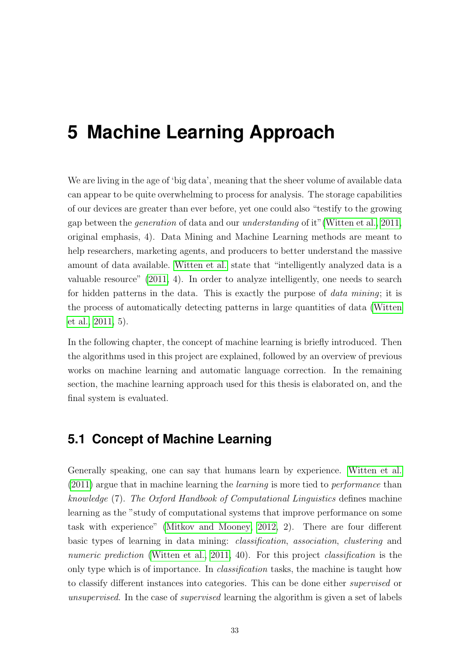# **5 Machine Learning Approach**

We are living in the age of 'big data', meaning that the sheer volume of available data can appear to be quite overwhelming to process for analysis. The storage capabilities of our devices are greater than ever before, yet one could also "testify to the growing gap between the generation of data and our understanding of it"[\(Witten et al., 2011,](#page-84-0) original emphasis, 4). Data Mining and Machine Learning methods are meant to help researchers, marketing agents, and producers to better understand the massive amount of data available. [Witten et al.](#page-84-0) state that "intelligently analyzed data is a valuable resource" [\(2011,](#page-84-0) 4). In order to analyze intelligently, one needs to search for hidden patterns in the data. This is exactly the purpose of data mining; it is the process of automatically detecting patterns in large quantities of data [\(Witten](#page-84-0) [et al., 2011,](#page-84-0) 5).

In the following chapter, the concept of machine learning is briefly introduced. Then the algorithms used in this project are explained, followed by an overview of previous works on machine learning and automatic language correction. In the remaining section, the machine learning approach used for this thesis is elaborated on, and the final system is evaluated.

### **5.1 Concept of Machine Learning**

Generally speaking, one can say that humans learn by experience. [Witten et al.](#page-84-0) [\(2011\)](#page-84-0) argue that in machine learning the learning is more tied to performance than knowledge (7). The Oxford Handbook of Computational Linguistics defines machine learning as the "study of computational systems that improve performance on some task with experience" [\(Mitkov and Mooney, 2012,](#page-82-0) 2). There are four different basic types of learning in data mining: classification, association, clustering and numeric prediction [\(Witten et al., 2011,](#page-84-0) 40). For this project *classification* is the only type which is of importance. In classification tasks, the machine is taught how to classify different instances into categories. This can be done either supervised or unsupervised. In the case of *supervised* learning the algorithm is given a set of labels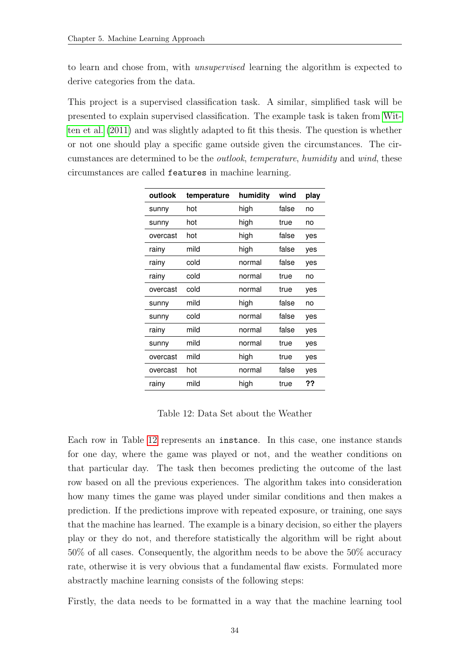to learn and chose from, with unsupervised learning the algorithm is expected to derive categories from the data.

This project is a supervised classification task. A similar, simplified task will be presented to explain supervised classification. The example task is taken from [Wit](#page-84-0)[ten et al.](#page-84-0) [\(2011\)](#page-84-0) and was slightly adapted to fit this thesis. The question is whether or not one should play a specific game outside given the circumstances. The circumstances are determined to be the outlook, temperature, humidity and wind, these circumstances are called features in machine learning.

<span id="page-42-0"></span>

| outlook  | temperature | humidity | wind  | play |
|----------|-------------|----------|-------|------|
| sunny    | hot         | high     | false | no   |
| sunny    | hot         | high     | true  | no   |
| overcast | hot         | high     | false | yes  |
| rainy    | mild        | high     | false | yes  |
| rainy    | cold        | normal   | false | yes  |
| rainy    | cold        | normal   | true  | no   |
| overcast | cold        | normal   | true  | yes  |
| sunny    | mild        | high     | false | no   |
| sunny    | cold        | normal   | false | yes  |
| rainy    | mild        | normal   | false | yes  |
| sunny    | mild        | normal   | true  | yes  |
| overcast | mild        | high     | true  | yes  |
| overcast | hot         | normal   | false | yes  |
| rainy    | mild        | high     | true  | ??   |

Table 12: Data Set about the Weather

Each row in Table [12](#page-42-0) represents an instance. In this case, one instance stands for one day, where the game was played or not, and the weather conditions on that particular day. The task then becomes predicting the outcome of the last row based on all the previous experiences. The algorithm takes into consideration how many times the game was played under similar conditions and then makes a prediction. If the predictions improve with repeated exposure, or training, one says that the machine has learned. The example is a binary decision, so either the players play or they do not, and therefore statistically the algorithm will be right about 50% of all cases. Consequently, the algorithm needs to be above the 50% accuracy rate, otherwise it is very obvious that a fundamental flaw exists. Formulated more abstractly machine learning consists of the following steps:

Firstly, the data needs to be formatted in a way that the machine learning tool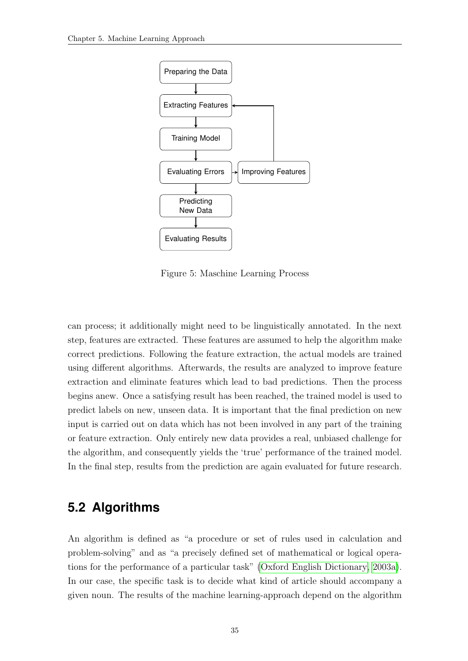<span id="page-43-0"></span>

Figure 5: Maschine Learning Process

can process; it additionally might need to be linguistically annotated. In the next step, features are extracted. These features are assumed to help the algorithm make correct predictions. Following the feature extraction, the actual models are trained using different algorithms. Afterwards, the results are analyzed to improve feature extraction and eliminate features which lead to bad predictions. Then the process begins anew. Once a satisfying result has been reached, the trained model is used to predict labels on new, unseen data. It is important that the final prediction on new input is carried out on data which has not been involved in any part of the training or feature extraction. Only entirely new data provides a real, unbiased challenge for the algorithm, and consequently yields the 'true' performance of the trained model. In the final step, results from the prediction are again evaluated for future research.

### **5.2 Algorithms**

An algorithm is defined as "a procedure or set of rules used in calculation and problem-solving" and as "a precisely defined set of mathematical or logical operations for the performance of a particular task" [\(Oxford English Dictionary, 2003a\)](#page-82-1). In our case, the specific task is to decide what kind of article should accompany a given noun. The results of the machine learning-approach depend on the algorithm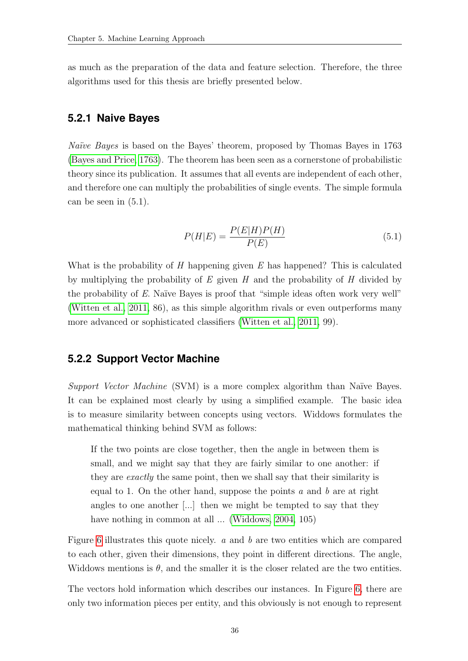as much as the preparation of the data and feature selection. Therefore, the three algorithms used for this thesis are briefly presented below.

#### **5.2.1 Naive Bayes**

Naïve Bayes is based on the Bayes' theorem, proposed by Thomas Bayes in 1763 [\(Bayes and Price, 1763\)](#page-80-0). The theorem has been seen as a cornerstone of probabilistic theory since its publication. It assumes that all events are independent of each other, and therefore one can multiply the probabilities of single events. The simple formula can be seen in (5.1).

$$
P(H|E) = \frac{P(E|H)P(H)}{P(E)}\tag{5.1}
$$

What is the probability of  $H$  happening given  $E$  has happened? This is calculated by multiplying the probability of  $E$  given  $H$  and the probability of  $H$  divided by the probability of  $E$ . Naïve Bayes is proof that "simple ideas often work very well" [\(Witten et al., 2011,](#page-84-0) 86), as this simple algorithm rivals or even outperforms many more advanced or sophisticated classifiers [\(Witten et al., 2011,](#page-84-0) 99).

#### **5.2.2 Support Vector Machine**

Support Vector Machine  $(SVM)$  is a more complex algorithm than Naïve Bayes. It can be explained most clearly by using a simplified example. The basic idea is to measure similarity between concepts using vectors. Widdows formulates the mathematical thinking behind SVM as follows:

If the two points are close together, then the angle in between them is small, and we might say that they are fairly similar to one another: if they are exactly the same point, then we shall say that their similarity is equal to 1. On the other hand, suppose the points  $a$  and  $b$  are at right angles to one another [...] then we might be tempted to say that they have nothing in common at all ... [\(Widdows, 2004,](#page-84-1) 105)

Figure [6](#page-45-0) illustrates this quote nicely. a and b are two entities which are compared to each other, given their dimensions, they point in different directions. The angle, Widdows mentions is  $\theta$ , and the smaller it is the closer related are the two entities.

The vectors hold information which describes our instances. In Figure [6,](#page-45-0) there are only two information pieces per entity, and this obviously is not enough to represent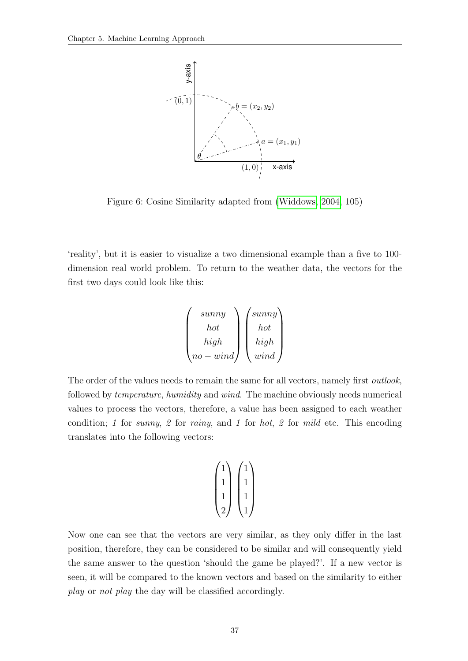<span id="page-45-0"></span>

Figure 6: Cosine Similarity adapted from [\(Widdows, 2004,](#page-84-1) 105)

'reality', but it is easier to visualize a two dimensional example than a five to 100 dimension real world problem. To return to the weather data, the vectors for the first two days could look like this:

$$
\begin{pmatrix}\nsum\n\\hot\n\\high\n\\no-wind\n\end{pmatrix}\n\begin{pmatrix}\nsunny\n\\ hot\n\\ high\n\\ wind\n\end{pmatrix}
$$

The order of the values needs to remain the same for all vectors, namely first *outlook*, followed by temperature, humidity and wind. The machine obviously needs numerical values to process the vectors, therefore, a value has been assigned to each weather condition; 1 for sunny, 2 for rainy, and 1 for hot, 2 for mild etc. This encoding translates into the following vectors:

$$
\begin{pmatrix} 1 \\ 1 \\ 1 \\ 1 \\ 2 \end{pmatrix} \begin{pmatrix} 1 \\ 1 \\ 1 \\ 1 \\ 1 \end{pmatrix}
$$

Now one can see that the vectors are very similar, as they only differ in the last position, therefore, they can be considered to be similar and will consequently yield the same answer to the question 'should the game be played?'. If a new vector is seen, it will be compared to the known vectors and based on the similarity to either play or not play the day will be classified accordingly.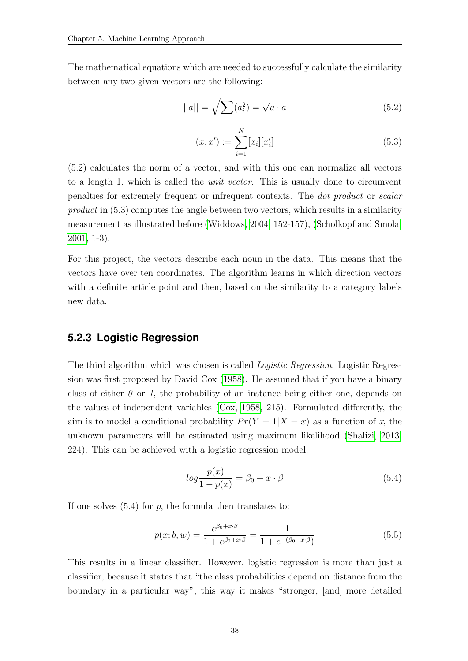The mathematical equations which are needed to successfully calculate the similarity between any two given vectors are the following:

$$
||a|| = \sqrt{\sum (a_i^2)} = \sqrt{a \cdot a}
$$
\n(5.2)

$$
(x, x') := \sum_{i=1}^{N} [x_i][x'_i]
$$
 (5.3)

(5.2) calculates the norm of a vector, and with this one can normalize all vectors to a length 1, which is called the *unit vector*. This is usually done to circumvent penalties for extremely frequent or infrequent contexts. The dot product or scalar product in (5.3) computes the angle between two vectors, which results in a similarity measurement as illustrated before [\(Widdows, 2004,](#page-84-1) 152-157), [\(Scholkopf and Smola,](#page-83-0) [2001,](#page-83-0) 1-3).

For this project, the vectors describe each noun in the data. This means that the vectors have over ten coordinates. The algorithm learns in which direction vectors with a definite article point and then, based on the similarity to a category labels new data.

#### **5.2.3 Logistic Regression**

The third algorithm which was chosen is called *Logistic Regression*. Logistic Regression was first proposed by David Cox [\(1958\)](#page-80-1). He assumed that if you have a binary class of either  $\theta$  or 1, the probability of an instance being either one, depends on the values of independent variables [\(Cox, 1958,](#page-80-1) 215). Formulated differently, the aim is to model a conditional probability  $Pr(Y = 1 | X = x)$  as a function of x, the unknown parameters will be estimated using maximum likelihood [\(Shalizi, 2013,](#page-83-1) 224). This can be achieved with a logistic regression model.

$$
log\frac{p(x)}{1 - p(x)} = \beta_0 + x \cdot \beta \tag{5.4}
$$

If one solves  $(5.4)$  for p, the formula then translates to:

$$
p(x; b, w) = \frac{e^{\beta_0 + x \cdot \beta}}{1 + e^{\beta_0 + x \cdot \beta}} = \frac{1}{1 + e^{-(\beta_0 + x \cdot \beta)}}
$$
(5.5)

This results in a linear classifier. However, logistic regression is more than just a classifier, because it states that "the class probabilities depend on distance from the boundary in a particular way", this way it makes "stronger, [and] more detailed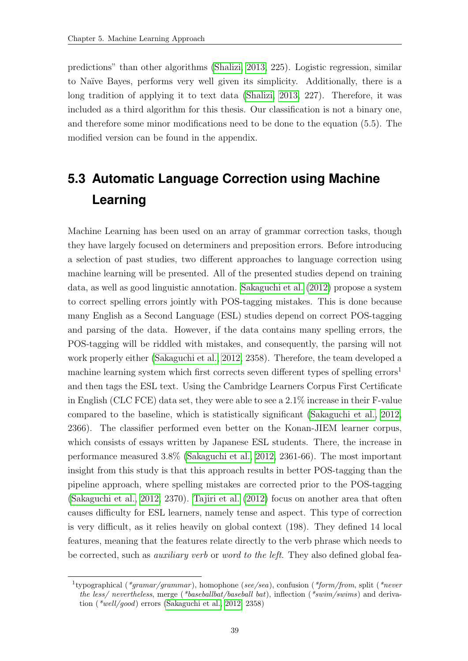predictions" than other algorithms [\(Shalizi, 2013,](#page-83-1) 225). Logistic regression, similar to Naïve Bayes, performs very well given its simplicity. Additionally, there is a long tradition of applying it to text data [\(Shalizi, 2013,](#page-83-1) 227). Therefore, it was included as a third algorithm for this thesis. Our classification is not a binary one, and therefore some minor modifications need to be done to the equation (5.5). The modified version can be found in the appendix.

# **5.3 Automatic Language Correction using Machine Learning**

Machine Learning has been used on an array of grammar correction tasks, though they have largely focused on determiners and preposition errors. Before introducing a selection of past studies, two different approaches to language correction using machine learning will be presented. All of the presented studies depend on training data, as well as good linguistic annotation. [Sakaguchi et al.](#page-83-2) [\(2012\)](#page-83-2) propose a system to correct spelling errors jointly with POS-tagging mistakes. This is done because many English as a Second Language (ESL) studies depend on correct POS-tagging and parsing of the data. However, if the data contains many spelling errors, the POS-tagging will be riddled with mistakes, and consequently, the parsing will not work properly either [\(Sakaguchi et al., 2012,](#page-83-2) 2358). Therefore, the team developed a machine learning system which first corrects seven different types of spelling errors<sup>1</sup> and then tags the ESL text. Using the Cambridge Learners Corpus First Certificate in English (CLC FCE) data set, they were able to see a 2.1% increase in their F-value compared to the baseline, which is statistically significant [\(Sakaguchi et al., 2012,](#page-83-2) 2366). The classifier performed even better on the Konan-JIEM learner corpus, which consists of essays written by Japanese ESL students. There, the increase in performance measured 3.8% [\(Sakaguchi et al., 2012,](#page-83-2) 2361-66). The most important insight from this study is that this approach results in better POS-tagging than the pipeline approach, where spelling mistakes are corrected prior to the POS-tagging [\(Sakaguchi et al., 2012,](#page-83-2) 2370). [Tajiri et al.](#page-84-2) [\(2012\)](#page-84-2) focus on another area that often causes difficulty for ESL learners, namely tense and aspect. This type of correction is very difficult, as it relies heavily on global context (198). They defined 14 local features, meaning that the features relate directly to the verb phrase which needs to be corrected, such as auxiliary verb or word to the left. They also defined global fea-

<sup>&</sup>lt;sup>1</sup>typographical (*\*gramar/grammar*), homophone (see/sea), confusion (*\*form/from*, split (*\*never* the less/ nevertheless, merge (\*baseballbat/baseball bat), inflection (\*swim/swims) and derivation (\*well/good) errors [\(Sakaguchi et al., 2012,](#page-83-2) 2358)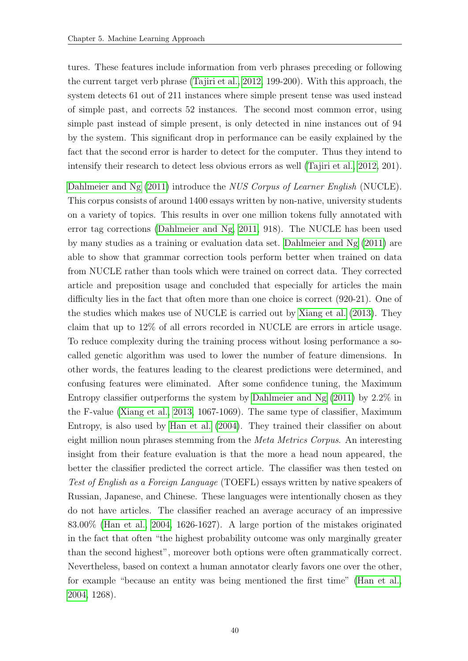tures. These features include information from verb phrases preceding or following the current target verb phrase [\(Tajiri et al., 2012,](#page-84-2) 199-200). With this approach, the system detects 61 out of 211 instances where simple present tense was used instead of simple past, and corrects 52 instances. The second most common error, using simple past instead of simple present, is only detected in nine instances out of 94 by the system. This significant drop in performance can be easily explained by the fact that the second error is harder to detect for the computer. Thus they intend to intensify their research to detect less obvious errors as well [\(Tajiri et al., 2012,](#page-84-2) 201).

[Dahlmeier and Ng](#page-81-0) [\(2011\)](#page-81-0) introduce the *NUS Corpus of Learner English* (NUCLE). This corpus consists of around 1400 essays written by non-native, university students on a variety of topics. This results in over one million tokens fully annotated with error tag corrections [\(Dahlmeier and Ng, 2011,](#page-81-0) 918). The NUCLE has been used by many studies as a training or evaluation data set. [Dahlmeier and Ng](#page-81-0) [\(2011\)](#page-81-0) are able to show that grammar correction tools perform better when trained on data from NUCLE rather than tools which were trained on correct data. They corrected article and preposition usage and concluded that especially for articles the main difficulty lies in the fact that often more than one choice is correct (920-21). One of the studies which makes use of NUCLE is carried out by [Xiang et al.](#page-84-3) [\(2013\)](#page-84-3). They claim that up to 12% of all errors recorded in NUCLE are errors in article usage. To reduce complexity during the training process without losing performance a socalled genetic algorithm was used to lower the number of feature dimensions. In other words, the features leading to the clearest predictions were determined, and confusing features were eliminated. After some confidence tuning, the Maximum Entropy classifier outperforms the system by [Dahlmeier and Ng](#page-81-0) [\(2011\)](#page-81-0) by 2.2% in the F-value [\(Xiang et al., 2013,](#page-84-3) 1067-1069). The same type of classifier, Maximum Entropy, is also used by [Han et al.](#page-81-1) [\(2004\)](#page-81-1). They trained their classifier on about eight million noun phrases stemming from the Meta Metrics Corpus. An interesting insight from their feature evaluation is that the more a head noun appeared, the better the classifier predicted the correct article. The classifier was then tested on Test of English as a Foreign Language (TOEFL) essays written by native speakers of Russian, Japanese, and Chinese. These languages were intentionally chosen as they do not have articles. The classifier reached an average accuracy of an impressive 83.00% [\(Han et al., 2004,](#page-81-1) 1626-1627). A large portion of the mistakes originated in the fact that often "the highest probability outcome was only marginally greater than the second highest", moreover both options were often grammatically correct. Nevertheless, based on context a human annotator clearly favors one over the other, for example "because an entity was being mentioned the first time" [\(Han et al.,](#page-81-1) [2004,](#page-81-1) 1268).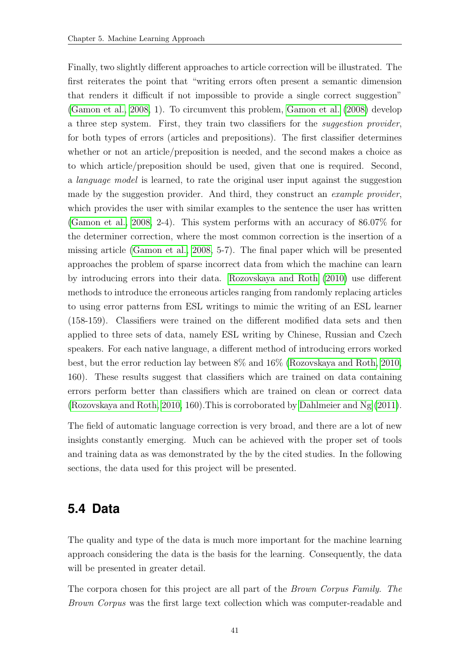Finally, two slightly different approaches to article correction will be illustrated. The first reiterates the point that "writing errors often present a semantic dimension that renders it difficult if not impossible to provide a single correct suggestion" [\(Gamon et al., 2008,](#page-81-2) 1). To circumvent this problem, [Gamon et al.](#page-81-2) [\(2008\)](#page-81-2) develop a three step system. First, they train two classifiers for the suggestion provider, for both types of errors (articles and prepositions). The first classifier determines whether or not an article/preposition is needed, and the second makes a choice as to which article/preposition should be used, given that one is required. Second, a language model is learned, to rate the original user input against the suggestion made by the suggestion provider. And third, they construct an example provider, which provides the user with similar examples to the sentence the user has written [\(Gamon et al., 2008,](#page-81-2) 2-4). This system performs with an accuracy of 86.07% for the determiner correction, where the most common correction is the insertion of a missing article [\(Gamon et al., 2008,](#page-81-2) 5-7). The final paper which will be presented approaches the problem of sparse incorrect data from which the machine can learn by introducing errors into their data. [Rozovskaya and Roth](#page-83-3) [\(2010\)](#page-83-3) use different methods to introduce the erroneous articles ranging from randomly replacing articles to using error patterns from ESL writings to mimic the writing of an ESL learner (158-159). Classifiers were trained on the different modified data sets and then applied to three sets of data, namely ESL writing by Chinese, Russian and Czech speakers. For each native language, a different method of introducing errors worked best, but the error reduction lay between 8% and 16% [\(Rozovskaya and Roth, 2010,](#page-83-3) 160). These results suggest that classifiers which are trained on data containing errors perform better than classifiers which are trained on clean or correct data [\(Rozovskaya and Roth, 2010,](#page-83-3) 160).This is corroborated by [Dahlmeier and Ng](#page-81-0) [\(2011\)](#page-81-0).

The field of automatic language correction is very broad, and there are a lot of new insights constantly emerging. Much can be achieved with the proper set of tools and training data as was demonstrated by the by the cited studies. In the following sections, the data used for this project will be presented.

### <span id="page-49-0"></span>**5.4 Data**

The quality and type of the data is much more important for the machine learning approach considering the data is the basis for the learning. Consequently, the data will be presented in greater detail.

The corpora chosen for this project are all part of the Brown Corpus Family. The Brown Corpus was the first large text collection which was computer-readable and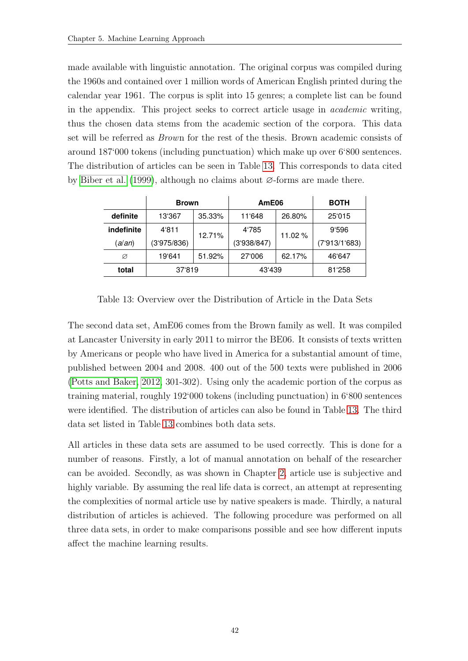made available with linguistic annotation. The original corpus was compiled during the 1960s and contained over 1 million words of American English printed during the calendar year 1961. The corpus is split into 15 genres; a complete list can be found in the appendix. This project seeks to correct article usage in academic writing, thus the chosen data stems from the academic section of the corpora. This data set will be referred as Brown for the rest of the thesis. Brown academic consists of around 187'000 tokens (including punctuation) which make up over 6'800 sentences. The distribution of articles can be seen in Table [13.](#page-50-0) This corresponds to data cited by [Biber et al.](#page-80-2) [\(1999\)](#page-80-2), although no claims about ∅-forms are made there.

<span id="page-50-0"></span>

|            | <b>Brown</b> | AmE06                 |                  | <b>BOTH</b> |               |
|------------|--------------|-----------------------|------------------|-------------|---------------|
| definite   | 13'367       | 35.33%                | 11'648           | 26.80%      | 25'015        |
| indefinite | 4'811        |                       | 4'785<br>11.02 % | 9'596       |               |
| (a/an)     | (3'975/836)  | 12.71%<br>(3'938/847) |                  |             | (7'913/1'683) |
| Ø          | 19'641       | 51.92%                | 27'006           | 62.17%      | 46'647        |
| total      | 37'819       |                       | 43'439           |             | 81'258        |

Table 13: Overview over the Distribution of Article in the Data Sets

The second data set, AmE06 comes from the Brown family as well. It was compiled at Lancaster University in early 2011 to mirror the BE06. It consists of texts written by Americans or people who have lived in America for a substantial amount of time, published between 2004 and 2008. 400 out of the 500 texts were published in 2006 [\(Potts and Baker, 2012,](#page-83-4) 301-302). Using only the academic portion of the corpus as training material, roughly 192'000 tokens (including punctuation) in 6'800 sentences were identified. The distribution of articles can also be found in Table [13.](#page-50-0) The third data set listed in Table [13](#page-50-0) combines both data sets.

All articles in these data sets are assumed to be used correctly. This is done for a number of reasons. Firstly, a lot of manual annotation on behalf of the researcher can be avoided. Secondly, as was shown in Chapter [2,](#page-12-0) article use is subjective and highly variable. By assuming the real life data is correct, an attempt at representing the complexities of normal article use by native speakers is made. Thirdly, a natural distribution of articles is achieved. The following procedure was performed on all three data sets, in order to make comparisons possible and see how different inputs affect the machine learning results.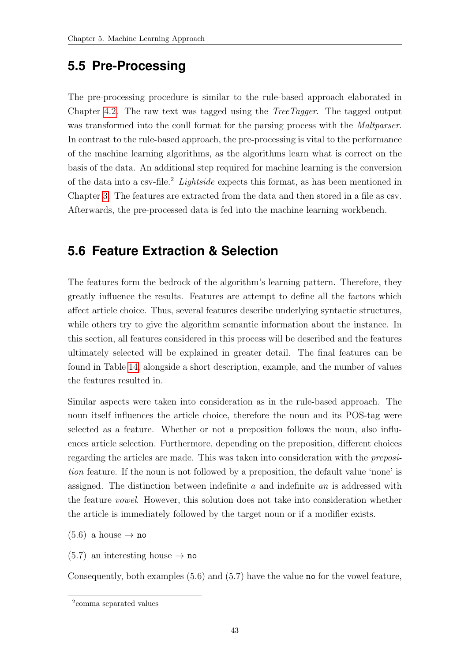# **5.5 Pre-Processing**

The pre-processing procedure is similar to the rule-based approach elaborated in Chapter [4.2.](#page-29-0) The raw text was tagged using the TreeTagger. The tagged output was transformed into the conll format for the parsing process with the *Maltparser*. In contrast to the rule-based approach, the pre-processing is vital to the performance of the machine learning algorithms, as the algorithms learn what is correct on the basis of the data. An additional step required for machine learning is the conversion of the data into a csv-file.<sup>2</sup> Lightside expects this format, as has been mentioned in Chapter [3.](#page-21-1) The features are extracted from the data and then stored in a file as csv. Afterwards, the pre-processed data is fed into the machine learning workbench.

# <span id="page-51-0"></span>**5.6 Feature Extraction & Selection**

The features form the bedrock of the algorithm's learning pattern. Therefore, they greatly influence the results. Features are attempt to define all the factors which affect article choice. Thus, several features describe underlying syntactic structures, while others try to give the algorithm semantic information about the instance. In this section, all features considered in this process will be described and the features ultimately selected will be explained in greater detail. The final features can be found in Table [14,](#page-53-0) alongside a short description, example, and the number of values the features resulted in.

Similar aspects were taken into consideration as in the rule-based approach. The noun itself influences the article choice, therefore the noun and its POS-tag were selected as a feature. Whether or not a preposition follows the noun, also influences article selection. Furthermore, depending on the preposition, different choices regarding the articles are made. This was taken into consideration with the preposition feature. If the noun is not followed by a preposition, the default value 'none' is assigned. The distinction between indefinite a and indefinite an is addressed with the feature vowel. However, this solution does not take into consideration whether the article is immediately followed by the target noun or if a modifier exists.

 $(5.6)$  a house  $\rightarrow$  no

 $(5.7)$  an interesting house  $\rightarrow$  no

Consequently, both examples (5.6) and (5.7) have the value no for the vowel feature,

<sup>2</sup> comma separated values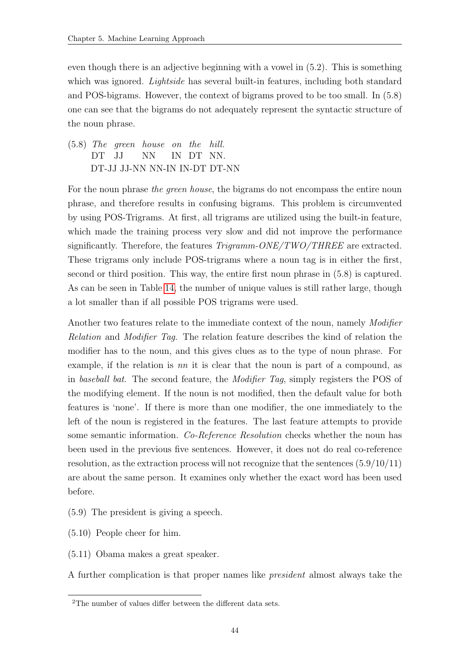even though there is an adjective beginning with a vowel in (5.2). This is something which was ignored. *Lightside* has several built-in features, including both standard and POS-bigrams. However, the context of bigrams proved to be too small. In (5.8) one can see that the bigrams do not adequately represent the syntactic structure of the noun phrase.

(5.8) The green house on the DT JJ NN IN DT NN. hill. DT-JJ JJ-NN NN-IN IN-DT DT-NN

For the noun phrase the green house, the bigrams do not encompass the entire noun phrase, and therefore results in confusing bigrams. This problem is circumvented by using POS-Trigrams. At first, all trigrams are utilized using the built-in feature, which made the training process very slow and did not improve the performance significantly. Therefore, the features  $Trigramm-ONE/TWO/THREE$  are extracted. These trigrams only include POS-trigrams where a noun tag is in either the first, second or third position. This way, the entire first noun phrase in (5.8) is captured. As can be seen in Table [14,](#page-53-0) the number of unique values is still rather large, though a lot smaller than if all possible POS trigrams were used.

Another two features relate to the immediate context of the noun, namely *Modifier* Relation and Modifier Tag. The relation feature describes the kind of relation the modifier has to the noun, and this gives clues as to the type of noun phrase. For example, if the relation is nn it is clear that the noun is part of a compound, as in baseball bat. The second feature, the Modifier Tag, simply registers the POS of the modifying element. If the noun is not modified, then the default value for both features is 'none'. If there is more than one modifier, the one immediately to the left of the noun is registered in the features. The last feature attempts to provide some semantic information. Co-Reference Resolution checks whether the noun has been used in the previous five sentences. However, it does not do real co-reference resolution, as the extraction process will not recognize that the sentences (5.9/10/11) are about the same person. It examines only whether the exact word has been used before.

- (5.9) The president is giving a speech.
- (5.10) People cheer for him.
- (5.11) Obama makes a great speaker.

A further complication is that proper names like president almost always take the

<sup>&</sup>lt;sup>2</sup>The number of values differ between the different data sets.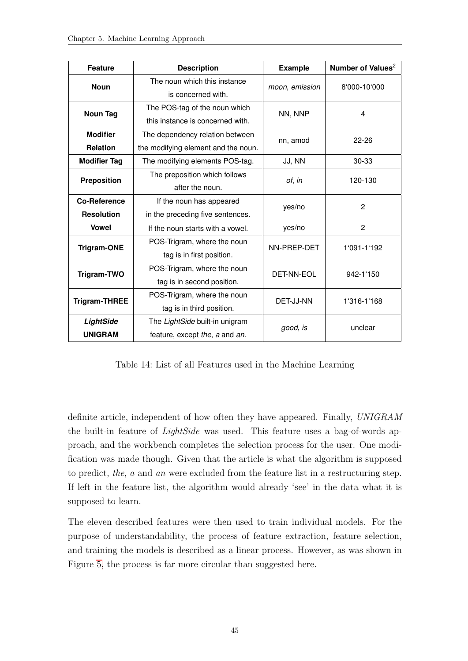<span id="page-53-0"></span>

| <b>Feature</b>                           | <b>Description</b>                                                     | <b>Example</b> | Number of Values <sup>2</sup> |
|------------------------------------------|------------------------------------------------------------------------|----------------|-------------------------------|
| <b>Noun</b>                              | The noun which this instance<br>is concerned with.                     | moon, emission | 8'000-10'000                  |
| <b>Noun Tag</b>                          | The POS-tag of the noun which<br>this instance is concerned with.      | NN, NNP        | 4                             |
| <b>Modifier</b>                          | The dependency relation between                                        | nn, amod       | $22 - 26$                     |
| <b>Relation</b><br><b>Modifier Tag</b>   | the modifying element and the noun.<br>The modifying elements POS-tag. | JJ, NN         | 30-33                         |
| <b>Preposition</b>                       | The preposition which follows<br>after the noun.                       | of, in         | 120-130                       |
| <b>Co-Reference</b><br><b>Resolution</b> | If the noun has appeared<br>in the preceding five sentences.           | yes/no         | 2                             |
| <b>Vowel</b>                             | If the noun starts with a vowel.                                       | yes/no         | 2                             |
| <b>Trigram-ONE</b>                       | POS-Trigram, where the noun<br>tag is in first position.               | NN-PREP-DET    | 1'091-1'192                   |
| Trigram-TWO                              | POS-Trigram, where the noun<br>tag is in second position.              | DET-NN-EOL     | 942-1'150                     |
| <b>Trigram-THREE</b>                     | POS-Trigram, where the noun<br>tag is in third position.               | DET-JJ-NN      | 1'316-1'168                   |
| LightSide<br><b>UNIGRAM</b>              | The LightSide built-in unigram<br>feature, except the, a and an.       | good, is       | unclear                       |

Table 14: List of all Features used in the Machine Learning

definite article, independent of how often they have appeared. Finally, UNIGRAM the built-in feature of LightSide was used. This feature uses a bag-of-words approach, and the workbench completes the selection process for the user. One modification was made though. Given that the article is what the algorithm is supposed to predict, the, a and an were excluded from the feature list in a restructuring step. If left in the feature list, the algorithm would already 'see' in the data what it is supposed to learn.

The eleven described features were then used to train individual models. For the purpose of understandability, the process of feature extraction, feature selection, and training the models is described as a linear process. However, as was shown in Figure [5,](#page-43-0) the process is far more circular than suggested here.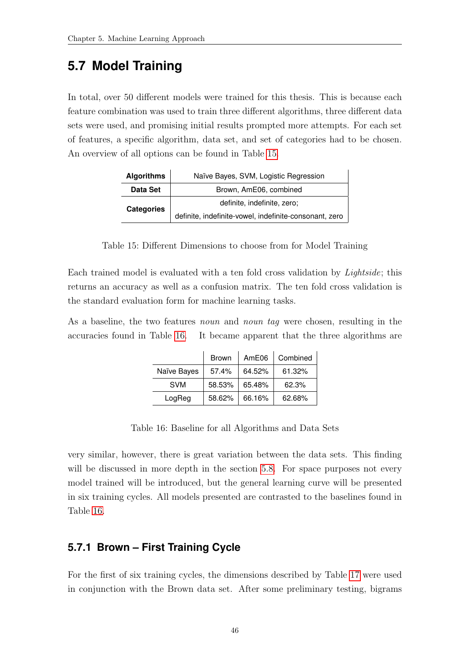### **5.7 Model Training**

In total, over 50 different models were trained for this thesis. This is because each feature combination was used to train three different algorithms, three different data sets were used, and promising initial results prompted more attempts. For each set of features, a specific algorithm, data set, and set of categories had to be chosen. An overview of all options can be found in Table [15.](#page-54-0)

<span id="page-54-0"></span>

| <b>Algorithms</b> | Naïve Bayes, SVM, Logistic Regression                  |  |  |
|-------------------|--------------------------------------------------------|--|--|
| Data Set          | Brown, AmE06, combined                                 |  |  |
| <b>Categories</b> | definite, indefinite, zero;                            |  |  |
|                   | definite, indefinite-vowel, indefinite-consonant, zero |  |  |

Table 15: Different Dimensions to choose from for Model Training

Each trained model is evaluated with a ten fold cross validation by Lightside; this returns an accuracy as well as a confusion matrix. The ten fold cross validation is the standard evaluation form for machine learning tasks.

<span id="page-54-1"></span>As a baseline, the two features *noun* and *noun tag* were chosen, resulting in the accuracies found in Table [16.](#page-54-1) It became apparent that the three algorithms are

|             | <b>Brown</b> | AmE06  | Combined |
|-------------|--------------|--------|----------|
| Naïve Bayes | 57.4%        | 64.52% | 61.32%   |
| <b>SVM</b>  | 58.53%       | 65.48% | 62.3%    |
| LogReg      | 58.62%       | 66.16% | 62.68%   |

Table 16: Baseline for all Algorithms and Data Sets

very similar, however, there is great variation between the data sets. This finding will be discussed in more depth in the section [5.8.](#page-63-0) For space purposes not every model trained will be introduced, but the general learning curve will be presented in six training cycles. All models presented are contrasted to the baselines found in Table [16.](#page-54-1)

### **5.7.1 Brown – First Training Cycle**

For the first of six training cycles, the dimensions described by Table [17](#page-55-0) were used in conjunction with the Brown data set. After some preliminary testing, bigrams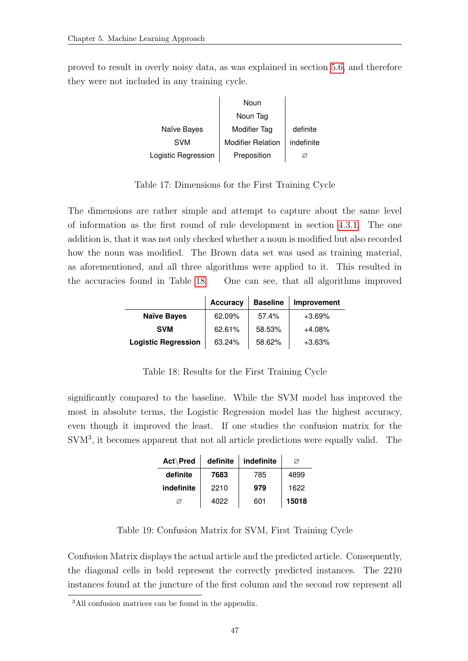<span id="page-55-0"></span>proved to result in overly noisy data, as was explained in section [5.6,](#page-51-0) and therefore they were not included in any training cycle.

|                     | Noun                     |            |
|---------------------|--------------------------|------------|
|                     | Noun Tag                 |            |
| Naïve Bayes         | Modifier Tag             | definite   |
| <b>SVM</b>          | <b>Modifier Relation</b> | indefinite |
| Logistic Regression | Preposition              |            |

Table 17: Dimensions for the First Training Cycle

The dimensions are rather simple and attempt to capture about the same level of information as the first round of rule development in section [4.3.1.](#page-31-0) The one addition is, that it was not only checked whether a noun is modified but also recorded how the noun was modified. The Brown data set was used as training material, as aforementioned, and all three algorithms were applied to it. This resulted in the accuracies found in Table [18.](#page-55-1) One can see, that all algorithms improved

<span id="page-55-1"></span>

|                            | <b>Accuracy</b> | <b>Baseline</b> | Improvement |
|----------------------------|-----------------|-----------------|-------------|
| <b>Naïve Bayes</b>         | 62.09%          | 57.4%           | $+3.69\%$   |
| <b>SVM</b>                 | 62.61%          | 58.53%          | $+4.08%$    |
| <b>Logistic Regression</b> | 63.24%          | 58.62%          | $+3.63%$    |

Table 18: Results for the First Training Cycle

significantly compared to the baseline. While the SVM model has improved the most in absolute terms, the Logistic Regression model has the highest accuracy, even though it improved the least. If one studies the confusion matrix for the SVM<sup>3</sup>, it becomes apparent that not all article predictions were equally valid. The

| Act\Pred   | definite | indefinite | Ø     |
|------------|----------|------------|-------|
| definite   | 7683     | 785        | 4899  |
| indefinite | 2210     | 979        | 1622  |
| Ø          | 4022     | 601        | 15018 |

Table 19: Confusion Matrix for SVM, First Training Cycle

Confusion Matrix displays the actual article and the predicted article. Consequently, the diagonal cells in bold represent the correctly predicted instances. The 2210 instances found at the juncture of the first column and the second row represent all

<sup>&</sup>lt;sup>3</sup>All confusion matrices can be found in the appendix.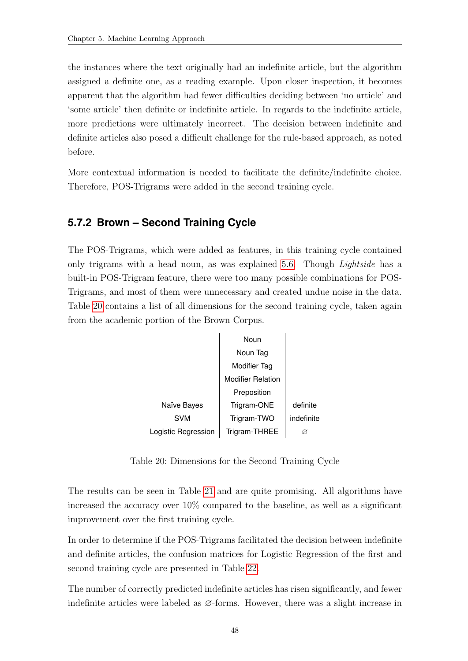the instances where the text originally had an indefinite article, but the algorithm assigned a definite one, as a reading example. Upon closer inspection, it becomes apparent that the algorithm had fewer difficulties deciding between 'no article' and 'some article' then definite or indefinite article. In regards to the indefinite article, more predictions were ultimately incorrect. The decision between indefinite and definite articles also posed a difficult challenge for the rule-based approach, as noted before.

More contextual information is needed to facilitate the definite/indefinite choice. Therefore, POS-Trigrams were added in the second training cycle.

### **5.7.2 Brown – Second Training Cycle**

The POS-Trigrams, which were added as features, in this training cycle contained only trigrams with a head noun, as was explained [5.6.](#page-51-0) Though *Lightside* has a built-in POS-Trigram feature, there were too many possible combinations for POS-Trigrams, and most of them were unnecessary and created undue noise in the data. Table [20](#page-56-0) contains a list of all dimensions for the second training cycle, taken again from the academic portion of the Brown Corpus.

<span id="page-56-0"></span>

Table 20: Dimensions for the Second Training Cycle

The results can be seen in Table [21](#page-57-0) and are quite promising. All algorithms have increased the accuracy over 10% compared to the baseline, as well as a significant improvement over the first training cycle.

In order to determine if the POS-Trigrams facilitated the decision between indefinite and definite articles, the confusion matrices for Logistic Regression of the first and second training cycle are presented in Table [22.](#page-57-1)

The number of correctly predicted indefinite articles has risen significantly, and fewer indefinite articles were labeled as ∅-forms. However, there was a slight increase in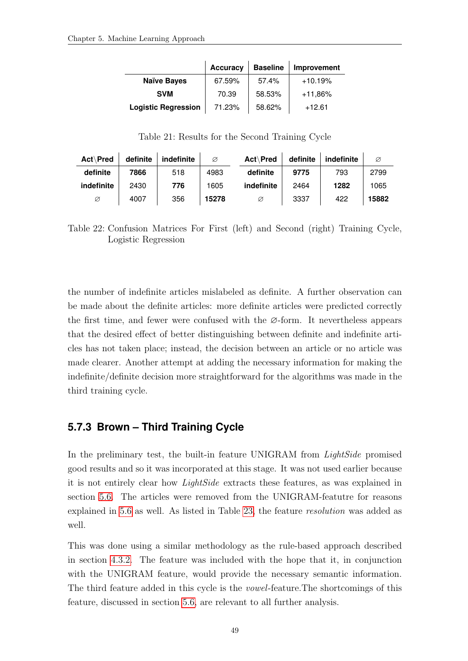<span id="page-57-0"></span>

|                            | <b>Accuracy</b> | <b>Baseline</b> | Improvement |
|----------------------------|-----------------|-----------------|-------------|
| <b>Naïve Bayes</b>         | 67.59%          | 57.4%           | $+10.19%$   |
| <b>SVM</b>                 | 70.39           | 58.53%          | $+11,86%$   |
| <b>Logistic Regression</b> | 71.23%          | 58.62%          | $+12.61$    |

Table 21: Results for the Second Training Cycle

<span id="page-57-1"></span>

| Act\Pred   | definite | indefinite | Ø     | Act\Pred   | definite | indefinite | Ø     |
|------------|----------|------------|-------|------------|----------|------------|-------|
| definite   | 7866     | 518        | 4983  | definite   | 9775     | 793        | 2799  |
| indefinite | 2430     | 776        | 1605  | indefinite | 2464     | 1282       | 1065  |
| Ø          | 4007     | 356        | 15278 | Ø          | 3337     | 422        | 15882 |

Table 22: Confusion Matrices For First (left) and Second (right) Training Cycle, Logistic Regression

the number of indefinite articles mislabeled as definite. A further observation can be made about the definite articles: more definite articles were predicted correctly the first time, and fewer were confused with the ∅-form. It nevertheless appears that the desired effect of better distinguishing between definite and indefinite articles has not taken place; instead, the decision between an article or no article was made clearer. Another attempt at adding the necessary information for making the indefinite/definite decision more straightforward for the algorithms was made in the third training cycle.

### **5.7.3 Brown – Third Training Cycle**

In the preliminary test, the built-in feature UNIGRAM from *LightSide* promised good results and so it was incorporated at this stage. It was not used earlier because it is not entirely clear how LightSide extracts these features, as was explained in section [5.6.](#page-51-0) The articles were removed from the UNIGRAM-featutre for reasons explained in [5.6](#page-51-0) as well. As listed in Table [23,](#page-58-0) the feature resolution was added as well.

This was done using a similar methodology as the rule-based approach described in section [4.3.2.](#page-32-0) The feature was included with the hope that it, in conjunction with the UNIGRAM feature, would provide the necessary semantic information. The third feature added in this cycle is the vowel-feature.The shortcomings of this feature, discussed in section [5.6,](#page-51-0) are relevant to all further analysis.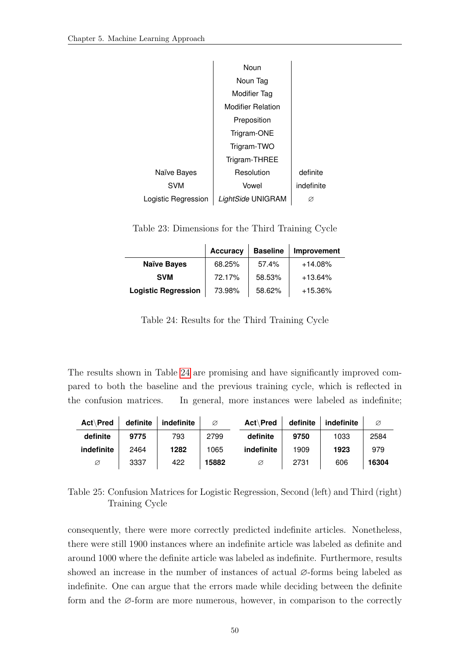<span id="page-58-0"></span>

|                     | Noun                     |            |
|---------------------|--------------------------|------------|
|                     | Noun Tag                 |            |
|                     | Modifier Tag             |            |
|                     | <b>Modifier Relation</b> |            |
|                     | Preposition              |            |
|                     | Trigram-ONE              |            |
|                     | Trigram-TWO              |            |
|                     | Trigram-THREE            |            |
| Naïve Bayes         | Resolution               | definite   |
| <b>SVM</b>          | Vowel                    | indefinite |
| Logistic Regression | LightSide UNIGRAM        | Ø          |

Table 23: Dimensions for the Third Training Cycle

<span id="page-58-1"></span>

|                            | <b>Accuracy</b> | <b>Baseline</b> | Improvement |
|----------------------------|-----------------|-----------------|-------------|
| <b>Naïve Bayes</b>         | 68.25%          | 57.4%           | $+14.08%$   |
| <b>SVM</b>                 | 72.17%          | 58.53%          | $+13.64%$   |
| <b>Logistic Regression</b> | 73.98%          | 58.62%          | $+15.36\%$  |

Table 24: Results for the Third Training Cycle

The results shown in Table [24](#page-58-1) are promising and have significantly improved compared to both the baseline and the previous training cycle, which is reflected in the confusion matrices. In general, more instances were labeled as indefinite;

<span id="page-58-2"></span>

| <b>Act</b> Pred | definite | indefinite | Ø     | <b>Act</b> Pred | definite | indefinite | Ø     |
|-----------------|----------|------------|-------|-----------------|----------|------------|-------|
| definite        | 9775     | 793        | 2799  | definite        | 9750     | 1033       | 2584  |
| indefinite      | 2464     | 1282       | 1065  | indefinite      | 1909     | 1923       | 979   |
| Ø               | 3337     | 422        | 15882 | Ø               | 2731     | 606        | 16304 |

Table 25: Confusion Matrices for Logistic Regression, Second (left) and Third (right) Training Cycle

consequently, there were more correctly predicted indefinite articles. Nonetheless, there were still 1900 instances where an indefinite article was labeled as definite and around 1000 where the definite article was labeled as indefinite. Furthermore, results showed an increase in the number of instances of actual ∅-forms being labeled as indefinite. One can argue that the errors made while deciding between the definite form and the ∅-form are more numerous, however, in comparison to the correctly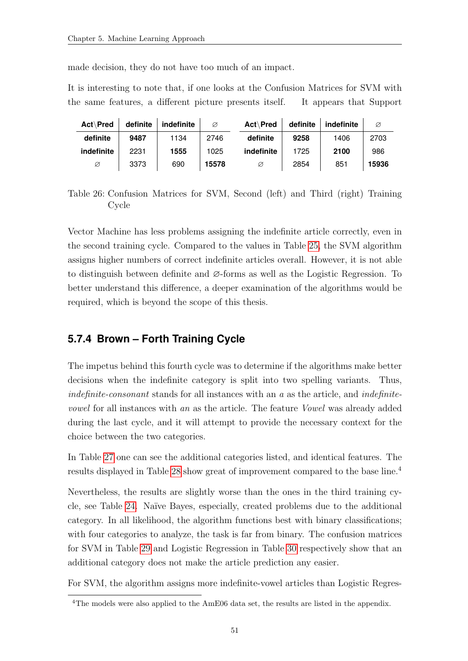made decision, they do not have too much of an impact.

It is interesting to note that, if one looks at the Confusion Matrices for SVM with the same features, a different picture presents itself. It appears that Support

| Act\Pred   | definite | indefinite | Ø     | <b>Act</b> Pred | definite | indefinite | Ø     |
|------------|----------|------------|-------|-----------------|----------|------------|-------|
| definite   | 9487     | 1134       | 2746  | definite        | 9258     | 1406       | 2703  |
| indefinite | 2231     | 1555       | 1025  | indefinite      | 1725     | 2100       | 986   |
| Ø          | 3373     | 690        | 15578 | Ø               | 2854     | 851        | 15936 |

Table 26: Confusion Matrices for SVM, Second (left) and Third (right) Training Cycle

Vector Machine has less problems assigning the indefinite article correctly, even in the second training cycle. Compared to the values in Table [25,](#page-58-2) the SVM algorithm assigns higher numbers of correct indefinite articles overall. However, it is not able to distinguish between definite and ∅-forms as well as the Logistic Regression. To better understand this difference, a deeper examination of the algorithms would be required, which is beyond the scope of this thesis.

### **5.7.4 Brown – Forth Training Cycle**

The impetus behind this fourth cycle was to determine if the algorithms make better decisions when the indefinite category is split into two spelling variants. Thus, indefinite-consonant stands for all instances with an  $a$  as the article, and *indefinite*vowel for all instances with an as the article. The feature Vowel was already added during the last cycle, and it will attempt to provide the necessary context for the choice between the two categories.

In Table [27](#page-60-0) one can see the additional categories listed, and identical features. The results displayed in Table [28](#page-60-1) show great of improvement compared to the base line.<sup>4</sup>

Nevertheless, the results are slightly worse than the ones in the third training cycle, see Table [24.](#page-58-1) Na¨ıve Bayes, especially, created problems due to the additional category. In all likelihood, the algorithm functions best with binary classifications; with four categories to analyze, the task is far from binary. The confusion matrices for SVM in Table [29](#page-61-0) and Logistic Regression in Table [30](#page-61-1) respectively show that an additional category does not make the article prediction any easier.

For SVM, the algorithm assigns more indefinite-vowel articles than Logistic Regres-

<sup>&</sup>lt;sup>4</sup>The models were also applied to the AmE06 data set, the results are listed in the appendix.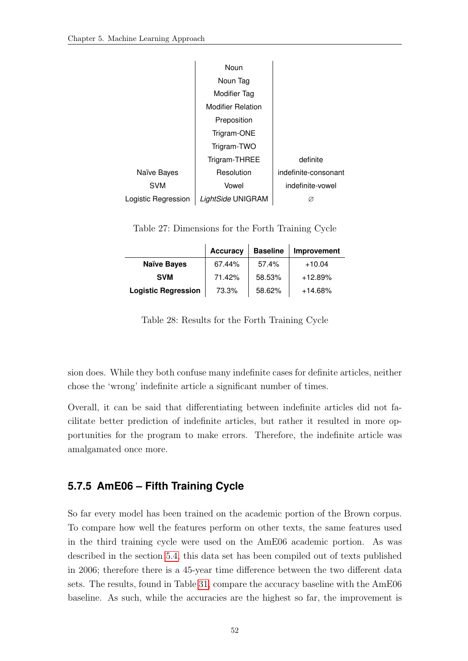<span id="page-60-0"></span>

|                     | Noun                     |                      |
|---------------------|--------------------------|----------------------|
|                     | Noun Tag                 |                      |
|                     | <b>Modifier Tag</b>      |                      |
|                     | <b>Modifier Relation</b> |                      |
|                     | Preposition              |                      |
|                     | Trigram-ONE              |                      |
|                     | Trigram-TWO              |                      |
|                     | Trigram-THREE            | definite             |
| Naïve Bayes         | Resolution               | indefinite-consonant |
| <b>SVM</b>          | Vowel                    | indefinite-vowel     |
| Logistic Regression | LightSide UNIGRAM        | Ø                    |

Table 27: Dimensions for the Forth Training Cycle

<span id="page-60-1"></span>

|                            | <b>Accuracy</b> | <b>Baseline</b> | Improvement |
|----------------------------|-----------------|-----------------|-------------|
| <b>Naïve Bayes</b>         | 67.44%          | 57.4%           | $+10.04$    |
| <b>SVM</b>                 | 71.42%          | 58.53%          | $+12.89%$   |
| <b>Logistic Regression</b> | 73.3%           | 58.62%          | $+14.68%$   |

Table 28: Results for the Forth Training Cycle

sion does. While they both confuse many indefinite cases for definite articles, neither chose the 'wrong' indefinite article a significant number of times.

Overall, it can be said that differentiating between indefinite articles did not facilitate better prediction of indefinite articles, but rather it resulted in more opportunities for the program to make errors. Therefore, the indefinite article was amalgamated once more.

### **5.7.5 AmE06 – Fifth Training Cycle**

So far every model has been trained on the academic portion of the Brown corpus. To compare how well the features perform on other texts, the same features used in the third training cycle were used on the AmE06 academic portion. As was described in the section [5.4,](#page-49-0) this data set has been compiled out of texts published in 2006; therefore there is a 45-year time difference between the two different data sets. The results, found in Table [31,](#page-61-2) compare the accuracy baseline with the AmE06 baseline. As such, while the accuracies are the highest so far, the improvement is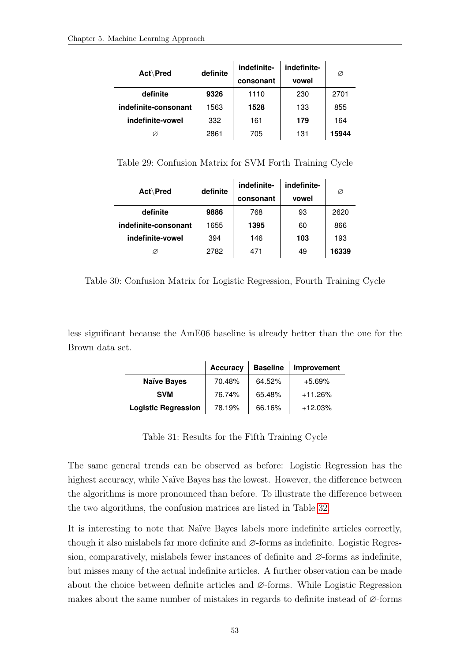<span id="page-61-0"></span>

| Act\Pred             | definite | indefinite-<br>consonant | indefinite-<br>vowel | Ø     |
|----------------------|----------|--------------------------|----------------------|-------|
| definite             | 9326     | 1110                     | 230                  | 2701  |
| indefinite-consonant | 1563     | 1528                     | 133                  | 855   |
| indefinite-vowel     | 332      | 161                      | 179                  | 164   |
| Ø                    | 2861     | 705                      | 131                  | 15944 |

Table 29: Confusion Matrix for SVM Forth Training Cycle

<span id="page-61-1"></span>

| Act\Pred             | definite | indefinite- | indefinite- | Ø     |
|----------------------|----------|-------------|-------------|-------|
|                      |          | consonant   | vowel       |       |
| definite             | 9886     | 768         | 93          | 2620  |
| indefinite-consonant | 1655     | 1395        | 60          | 866   |
| indefinite-vowel     | 394      | 146         | 103         | 193   |
|                      | 2782     | 471         | 49          | 16339 |

Table 30: Confusion Matrix for Logistic Regression, Fourth Training Cycle

<span id="page-61-2"></span>less significant because the AmE06 baseline is already better than the one for the Brown data set.

|                            | <b>Accuracy</b> | <b>Baseline</b> | Improvement |
|----------------------------|-----------------|-----------------|-------------|
| <b>Naïve Bayes</b>         | 70.48%          | 64.52%          | $+5.69\%$   |
| <b>SVM</b>                 | 76.74%          | 65.48%          | $+11.26%$   |
| <b>Logistic Regression</b> | 78.19%          | 66.16%          | $+12.03%$   |

Table 31: Results for the Fifth Training Cycle

The same general trends can be observed as before: Logistic Regression has the highest accuracy, while Naïve Bayes has the lowest. However, the difference between the algorithms is more pronounced than before. To illustrate the difference between the two algorithms, the confusion matrices are listed in Table [32.](#page-62-0)

It is interesting to note that Naïve Bayes labels more indefinite articles correctly, though it also mislabels far more definite and ∅-forms as indefinite. Logistic Regression, comparatively, mislabels fewer instances of definite and  $\varnothing$ -forms as indefinite, but misses many of the actual indefinite articles. A further observation can be made about the choice between definite articles and ∅-forms. While Logistic Regression makes about the same number of mistakes in regards to definite instead of ∅-forms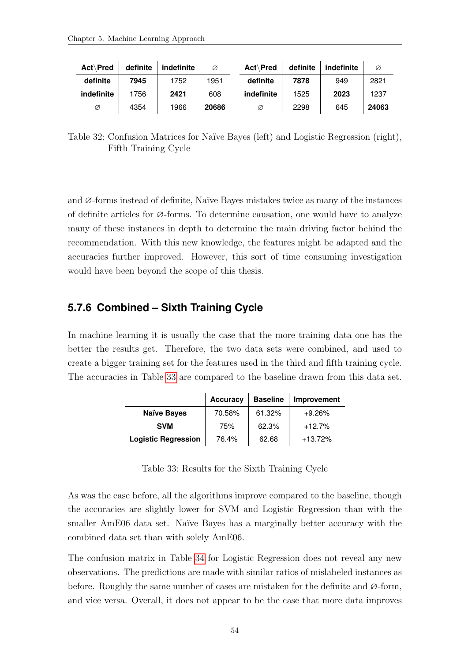<span id="page-62-0"></span>

| Act Pred   | definite | indefinite | Ø     | Act\Pred   | definite | indefinite | Ø     |
|------------|----------|------------|-------|------------|----------|------------|-------|
| definite   | 7945     | 1752       | 1951  | definite   | 7878     | 949        | 2821  |
| indefinite | 1756     | 2421       | 608   | indefinite | 1525     | 2023       | 1237  |
| Ø          | 4354     | 1966       | 20686 | Ø          | 2298     | 645        | 24063 |

Table 32: Confusion Matrices for Naïve Bayes (left) and Logistic Regression (right), Fifth Training Cycle

and  $\varnothing$ -forms instead of definite, Naïve Bayes mistakes twice as many of the instances of definite articles for ∅-forms. To determine causation, one would have to analyze many of these instances in depth to determine the main driving factor behind the recommendation. With this new knowledge, the features might be adapted and the accuracies further improved. However, this sort of time consuming investigation would have been beyond the scope of this thesis.

#### **5.7.6 Combined – Sixth Training Cycle**

<span id="page-62-1"></span>In machine learning it is usually the case that the more training data one has the better the results get. Therefore, the two data sets were combined, and used to create a bigger training set for the features used in the third and fifth training cycle. The accuracies in Table [33](#page-62-1) are compared to the baseline drawn from this data set.

|                            | <b>Accuracy</b> | <b>Baseline</b> | Improvement |
|----------------------------|-----------------|-----------------|-------------|
| <b>Naïve Bayes</b>         | 70.58%          | 61.32%          | $+9.26\%$   |
| <b>SVM</b>                 | 75%             | 62.3%           | $+12.7%$    |
| <b>Logistic Regression</b> | 76.4%           | 62.68           | $+13.72%$   |

Table 33: Results for the Sixth Training Cycle

As was the case before, all the algorithms improve compared to the baseline, though the accuracies are slightly lower for SVM and Logistic Regression than with the smaller AmE06 data set. Naïve Bayes has a marginally better accuracy with the combined data set than with solely AmE06.

The confusion matrix in Table [34](#page-63-1) for Logistic Regression does not reveal any new observations. The predictions are made with similar ratios of mislabeled instances as before. Roughly the same number of cases are mistaken for the definite and  $\varnothing$ -form, and vice versa. Overall, it does not appear to be the case that more data improves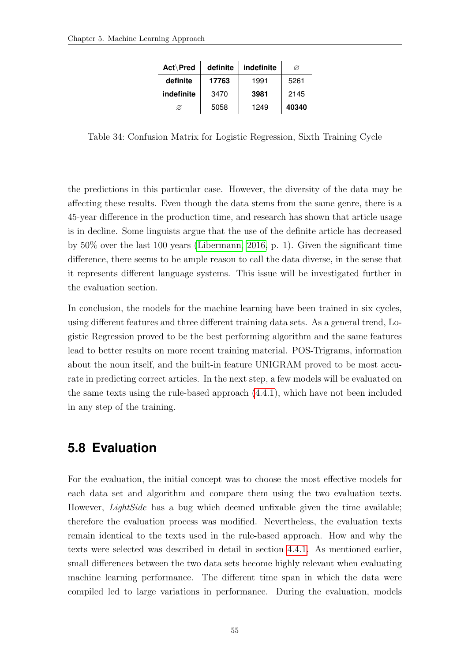| Act\Pred   | definite | indefinite | Ø     |
|------------|----------|------------|-------|
| definite   | 17763    | 1991       | 5261  |
| indefinite | 3470     | 3981       | 2145  |
| Ø          | 5058     | 1249       | 40340 |

<span id="page-63-1"></span>Table 34: Confusion Matrix for Logistic Regression, Sixth Training Cycle

the predictions in this particular case. However, the diversity of the data may be affecting these results. Even though the data stems from the same genre, there is a 45-year difference in the production time, and research has shown that article usage is in decline. Some linguists argue that the use of the definite article has decreased by 50% over the last 100 years [\(Libermann, 2016,](#page-82-2) p. 1). Given the significant time difference, there seems to be ample reason to call the data diverse, in the sense that it represents different language systems. This issue will be investigated further in the evaluation section.

In conclusion, the models for the machine learning have been trained in six cycles, using different features and three different training data sets. As a general trend, Logistic Regression proved to be the best performing algorithm and the same features lead to better results on more recent training material. POS-Trigrams, information about the noun itself, and the built-in feature UNIGRAM proved to be most accurate in predicting correct articles. In the next step, a few models will be evaluated on the same texts using the rule-based approach [\(4.4.1\)](#page-35-0), which have not been included in any step of the training.

### <span id="page-63-0"></span>**5.8 Evaluation**

For the evaluation, the initial concept was to choose the most effective models for each data set and algorithm and compare them using the two evaluation texts. However, *LightSide* has a bug which deemed unfixable given the time available; therefore the evaluation process was modified. Nevertheless, the evaluation texts remain identical to the texts used in the rule-based approach. How and why the texts were selected was described in detail in section [4.4.1.](#page-35-0) As mentioned earlier, small differences between the two data sets become highly relevant when evaluating machine learning performance. The different time span in which the data were compiled led to large variations in performance. During the evaluation, models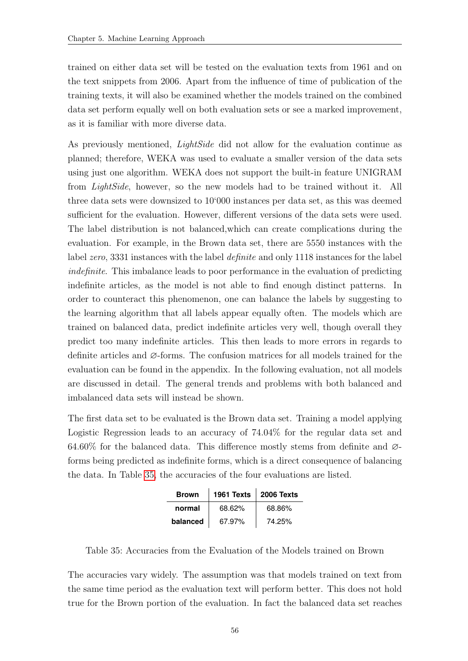trained on either data set will be tested on the evaluation texts from 1961 and on the text snippets from 2006. Apart from the influence of time of publication of the training texts, it will also be examined whether the models trained on the combined data set perform equally well on both evaluation sets or see a marked improvement, as it is familiar with more diverse data.

As previously mentioned, *LightSide* did not allow for the evaluation continue as planned; therefore, WEKA was used to evaluate a smaller version of the data sets using just one algorithm. WEKA does not support the built-in feature UNIGRAM from LightSide, however, so the new models had to be trained without it. All three data sets were downsized to 10'000 instances per data set, as this was deemed sufficient for the evaluation. However, different versions of the data sets were used. The label distribution is not balanced,which can create complications during the evaluation. For example, in the Brown data set, there are 5550 instances with the label zero, 3331 instances with the label definite and only 1118 instances for the label indefinite. This imbalance leads to poor performance in the evaluation of predicting indefinite articles, as the model is not able to find enough distinct patterns. In order to counteract this phenomenon, one can balance the labels by suggesting to the learning algorithm that all labels appear equally often. The models which are trained on balanced data, predict indefinite articles very well, though overall they predict too many indefinite articles. This then leads to more errors in regards to definite articles and ∅-forms. The confusion matrices for all models trained for the evaluation can be found in the appendix. In the following evaluation, not all models are discussed in detail. The general trends and problems with both balanced and imbalanced data sets will instead be shown.

The first data set to be evaluated is the Brown data set. Training a model applying Logistic Regression leads to an accuracy of 74.04% for the regular data set and 64.60% for the balanced data. This difference mostly stems from definite and  $\varnothing$ forms being predicted as indefinite forms, which is a direct consequence of balancing the data. In Table [35,](#page-64-0) the accuracies of the four evaluations are listed.

| <b>Brown</b> | 1961 Texts | <b>2006 Texts</b> |
|--------------|------------|-------------------|
| normal       | 68.62%     | 68.86%            |
| balanced     | 67.97%     | 74.25%            |

<span id="page-64-0"></span>Table 35: Accuracies from the Evaluation of the Models trained on Brown

The accuracies vary widely. The assumption was that models trained on text from the same time period as the evaluation text will perform better. This does not hold true for the Brown portion of the evaluation. In fact the balanced data set reaches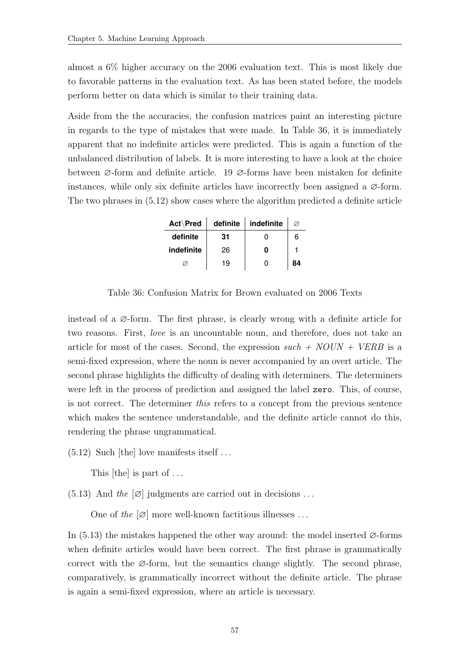almost a 6% higher accuracy on the 2006 evaluation text. This is most likely due to favorable patterns in the evaluation text. As has been stated before, the models perform better on data which is similar to their training data.

Aside from the the accuracies, the confusion matrices paint an interesting picture in regards to the type of mistakes that were made. In Table 36, it is immediately apparent that no indefinite articles were predicted. This is again a function of the unbalanced distribution of labels. It is more interesting to have a look at the choice between ∅-form and definite article. 19 ∅-forms have been mistaken for definite instances, while only six definite articles have incorrectly been assigned a  $\varnothing$ -form. The two phrases in (5.12) show cases where the algorithm predicted a definite article

| Act\Pred   | definite | indefinite |    |
|------------|----------|------------|----|
| definite   | 31       |            | 6  |
| indefinite | 26       |            |    |
|            | 19       |            | 84 |

Table 36: Confusion Matrix for Brown evaluated on 2006 Texts

instead of a  $\varnothing$ -form. The first phrase, is clearly wrong with a definite article for two reasons. First, love is an uncountable noun, and therefore, does not take an article for most of the cases. Second, the expression  $such + NOUN + VERB$  is a semi-fixed expression, where the noun is never accompanied by an overt article. The second phrase highlights the difficulty of dealing with determiners. The determiners were left in the process of prediction and assigned the label zero. This, of course, is not correct. The determiner this refers to a concept from the previous sentence which makes the sentence understandable, and the definite article cannot do this, rendering the phrase ungrammatical.

 $(5.12)$  Such [the] love manifests itself ...

This [the] is part of ...

(5.13) And the  $[\emptyset]$  judgments are carried out in decisions ...

One of the  $[\emptyset]$  more well-known factitious illnesses ...

In (5.13) the mistakes happened the other way around: the model inserted  $\varnothing$ -forms when definite articles would have been correct. The first phrase is grammatically correct with the  $\varnothing$ -form, but the semantics change slightly. The second phrase, comparatively, is grammatically incorrect without the definite article. The phrase is again a semi-fixed expression, where an article is necessary.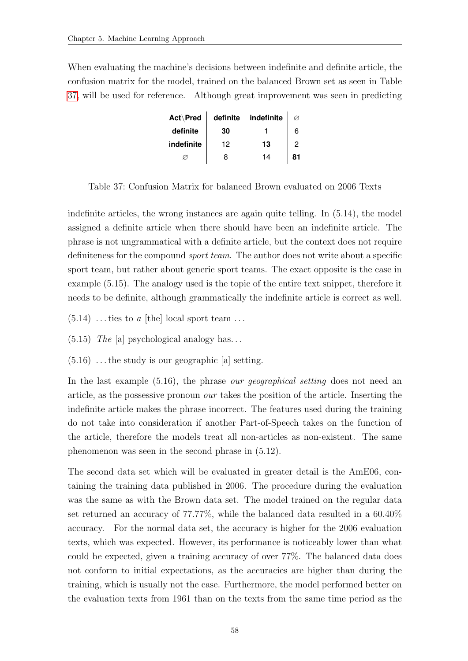<span id="page-66-0"></span>When evaluating the machine's decisions between indefinite and definite article, the confusion matrix for the model, trained on the balanced Brown set as seen in Table [37,](#page-66-0) will be used for reference. Although great improvement was seen in predicting

| Act\Pred   | definite | indefinite |    |
|------------|----------|------------|----|
| definite   | 30       |            |    |
| indefinite | 12       | 13         |    |
|            | 8        | 14         | 81 |

Table 37: Confusion Matrix for balanced Brown evaluated on 2006 Texts

indefinite articles, the wrong instances are again quite telling. In (5.14), the model assigned a definite article when there should have been an indefinite article. The phrase is not ungrammatical with a definite article, but the context does not require definiteness for the compound *sport team*. The author does not write about a specific sport team, but rather about generic sport teams. The exact opposite is the case in example (5.15). The analogy used is the topic of the entire text snippet, therefore it needs to be definite, although grammatically the indefinite article is correct as well.

- $(5.14)$  ... ties to a [the] local sport team ...
- $(5.15)$  The [a] psychological analogy has...
- $(5.16)$ ... the study is our geographic [a] setting.

In the last example  $(5.16)$ , the phrase *our geographical setting* does not need an article, as the possessive pronoun our takes the position of the article. Inserting the indefinite article makes the phrase incorrect. The features used during the training do not take into consideration if another Part-of-Speech takes on the function of the article, therefore the models treat all non-articles as non-existent. The same phenomenon was seen in the second phrase in (5.12).

The second data set which will be evaluated in greater detail is the AmE06, containing the training data published in 2006. The procedure during the evaluation was the same as with the Brown data set. The model trained on the regular data set returned an accuracy of 77.77%, while the balanced data resulted in a 60.40% accuracy. For the normal data set, the accuracy is higher for the 2006 evaluation texts, which was expected. However, its performance is noticeably lower than what could be expected, given a training accuracy of over 77%. The balanced data does not conform to initial expectations, as the accuracies are higher than during the training, which is usually not the case. Furthermore, the model performed better on the evaluation texts from 1961 than on the texts from the same time period as the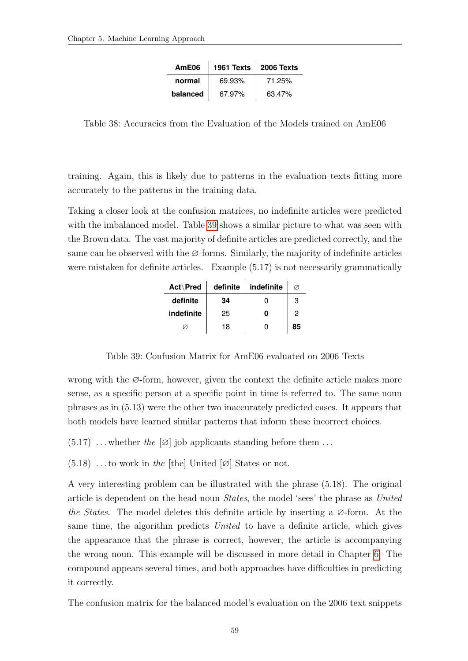| AmE06    | 1961 Texts | 2006 Texts |
|----------|------------|------------|
| normal   | 69.93%     | 71.25%     |
| balanced | 67.97%     | 63.47%     |

Table 38: Accuracies from the Evaluation of the Models trained on AmE06

training. Again, this is likely due to patterns in the evaluation texts fitting more accurately to the patterns in the training data.

<span id="page-67-0"></span>Taking a closer look at the confusion matrices, no indefinite articles were predicted with the imbalanced model. Table [39](#page-67-0) shows a similar picture to what was seen with the Brown data. The vast majority of definite articles are predicted correctly, and the same can be observed with the  $\varnothing$ -forms. Similarly, the majority of indefinite articles were mistaken for definite articles. Example (5.17) is not necessarily grammatically

| Act\Pred   | definite | indefinite | Ø  |
|------------|----------|------------|----|
| definite   | 34       |            | 3  |
| indefinite | 25       | ი          | 2  |
|            | 18       | O          | 85 |

Table 39: Confusion Matrix for AmE06 evaluated on 2006 Texts

wrong with the  $\varnothing$ -form, however, given the context the definite article makes more sense, as a specific person at a specific point in time is referred to. The same noun phrases as in (5.13) were the other two inaccurately predicted cases. It appears that both models have learned similar patterns that inform these incorrect choices.

- $(5.17)$ ... whether the  $[\emptyset]$  job applicants standing before them ...
- $(5.18)$  ...to work in the [the] United  $[\emptyset]$  States or not.

A very interesting problem can be illustrated with the phrase (5.18). The original article is dependent on the head noun States, the model 'sees' the phrase as United the States. The model deletes this definite article by inserting a  $\varnothing$ -form. At the same time, the algorithm predicts United to have a definite article, which gives the appearance that the phrase is correct, however, the article is accompanying the wrong noun. This example will be discussed in more detail in Chapter [6.](#page-72-0) The compound appears several times, and both approaches have difficulties in predicting it correctly.

The confusion matrix for the balanced model's evaluation on the 2006 text snippets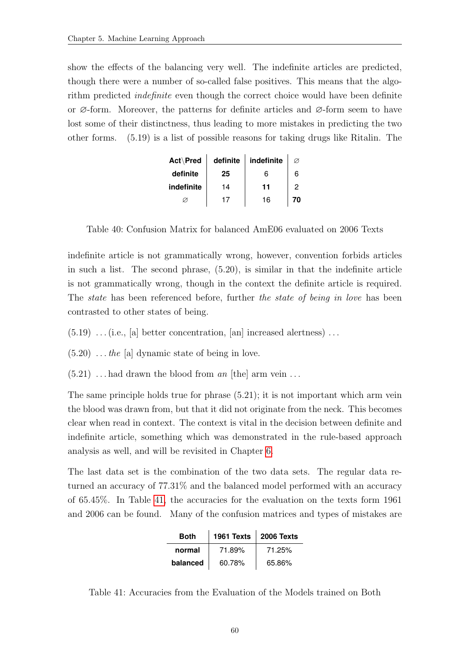show the effects of the balancing very well. The indefinite articles are predicted, though there were a number of so-called false positives. This means that the algorithm predicted indefinite even though the correct choice would have been definite or ∅-form. Moreover, the patterns for definite articles and ∅-form seem to have lost some of their distinctness, thus leading to more mistakes in predicting the two other forms. (5.19) is a list of possible reasons for taking drugs like Ritalin. The

| Act\Pred   | definite | indefinite |   |
|------------|----------|------------|---|
| definite   | 25       | 6          | 6 |
| indefinite | 14       | 11         |   |
|            |          | 16         |   |

Table 40: Confusion Matrix for balanced AmE06 evaluated on 2006 Texts

indefinite article is not grammatically wrong, however, convention forbids articles in such a list. The second phrase, (5.20), is similar in that the indefinite article is not grammatically wrong, though in the context the definite article is required. The *state* has been referenced before, further the *state* of being in love has been contrasted to other states of being.

- $(5.19)$  ... (i.e., [a] better concentration, [an] increased alertness)...
- $(5.20)$  ... the [a] dynamic state of being in love.
- $(5.21)$ ... had drawn the blood from an [the] arm vein...

The same principle holds true for phrase (5.21); it is not important which arm vein the blood was drawn from, but that it did not originate from the neck. This becomes clear when read in context. The context is vital in the decision between definite and indefinite article, something which was demonstrated in the rule-based approach analysis as well, and will be revisited in Chapter [6.](#page-72-0)

<span id="page-68-0"></span>The last data set is the combination of the two data sets. The regular data returned an accuracy of 77.31% and the balanced model performed with an accuracy of 65.45%. In Table [41,](#page-68-0) the accuracies for the evaluation on the texts form 1961 and 2006 can be found. Many of the confusion matrices and types of mistakes are

| <b>Both</b> | 1961 Texts | 2006 Texts |
|-------------|------------|------------|
| normal      | 71.89%     | 71.25%     |
| balanced    | 60.78%     | 65.86%     |

Table 41: Accuracies from the Evaluation of the Models trained on Both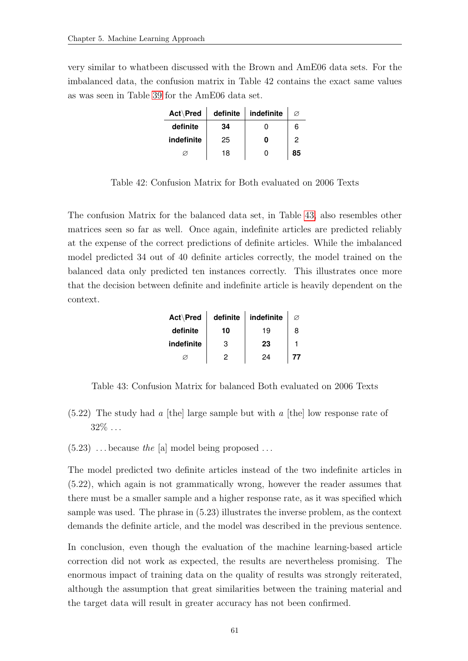very similar to whatbeen discussed with the Brown and AmE06 data sets. For the imbalanced data, the confusion matrix in Table 42 contains the exact same values as was seen in Table [39](#page-67-0) for the AmE06 data set.

| Act\Pred   | definite | indefinite | Ø  |
|------------|----------|------------|----|
| definite   | 34       |            | 6  |
| indefinite | 25       | ი          | 2  |
|            | 18       | O          | 85 |

Table 42: Confusion Matrix for Both evaluated on 2006 Texts

The confusion Matrix for the balanced data set, in Table [43,](#page-69-0) also resembles other matrices seen so far as well. Once again, indefinite articles are predicted reliably at the expense of the correct predictions of definite articles. While the imbalanced model predicted 34 out of 40 definite articles correctly, the model trained on the balanced data only predicted ten instances correctly. This illustrates once more that the decision between definite and indefinite article is heavily dependent on the context.

| Act\Pred   | definite | indefinite | Ø  |
|------------|----------|------------|----|
| definite   | 10       | 19         | 8  |
| indefinite | 3        | 23         |    |
|            | 2        | 24         | 77 |

<span id="page-69-0"></span>Table 43: Confusion Matrix for balanced Both evaluated on 2006 Texts

- $(5.22)$  The study had a [the] large sample but with a [the] low response rate of  $32\% \dots$
- $(5.23)$  ... because the [a] model being proposed ...

The model predicted two definite articles instead of the two indefinite articles in (5.22), which again is not grammatically wrong, however the reader assumes that there must be a smaller sample and a higher response rate, as it was specified which sample was used. The phrase in (5.23) illustrates the inverse problem, as the context demands the definite article, and the model was described in the previous sentence.

In conclusion, even though the evaluation of the machine learning-based article correction did not work as expected, the results are nevertheless promising. The enormous impact of training data on the quality of results was strongly reiterated, although the assumption that great similarities between the training material and the target data will result in greater accuracy has not been confirmed.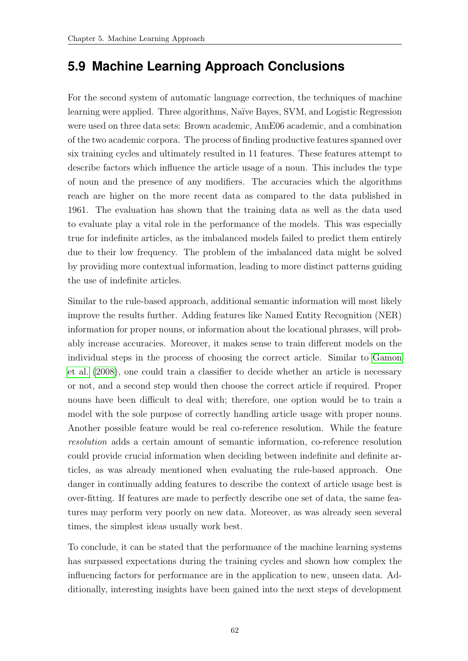### **5.9 Machine Learning Approach Conclusions**

For the second system of automatic language correction, the techniques of machine learning were applied. Three algorithms, Na¨ıve Bayes, SVM, and Logistic Regression were used on three data sets: Brown academic, AmE06 academic, and a combination of the two academic corpora. The process of finding productive features spanned over six training cycles and ultimately resulted in 11 features. These features attempt to describe factors which influence the article usage of a noun. This includes the type of noun and the presence of any modifiers. The accuracies which the algorithms reach are higher on the more recent data as compared to the data published in 1961. The evaluation has shown that the training data as well as the data used to evaluate play a vital role in the performance of the models. This was especially true for indefinite articles, as the imbalanced models failed to predict them entirely due to their low frequency. The problem of the imbalanced data might be solved by providing more contextual information, leading to more distinct patterns guiding the use of indefinite articles.

Similar to the rule-based approach, additional semantic information will most likely improve the results further. Adding features like Named Entity Recognition (NER) information for proper nouns, or information about the locational phrases, will probably increase accuracies. Moreover, it makes sense to train different models on the individual steps in the process of choosing the correct article. Similar to [Gamon](#page-81-2) [et al.](#page-81-2) [\(2008\)](#page-81-2), one could train a classifier to decide whether an article is necessary or not, and a second step would then choose the correct article if required. Proper nouns have been difficult to deal with; therefore, one option would be to train a model with the sole purpose of correctly handling article usage with proper nouns. Another possible feature would be real co-reference resolution. While the feature resolution adds a certain amount of semantic information, co-reference resolution could provide crucial information when deciding between indefinite and definite articles, as was already mentioned when evaluating the rule-based approach. One danger in continually adding features to describe the context of article usage best is over-fitting. If features are made to perfectly describe one set of data, the same features may perform very poorly on new data. Moreover, as was already seen several times, the simplest ideas usually work best.

To conclude, it can be stated that the performance of the machine learning systems has surpassed expectations during the training cycles and shown how complex the influencing factors for performance are in the application to new, unseen data. Additionally, interesting insights have been gained into the next steps of development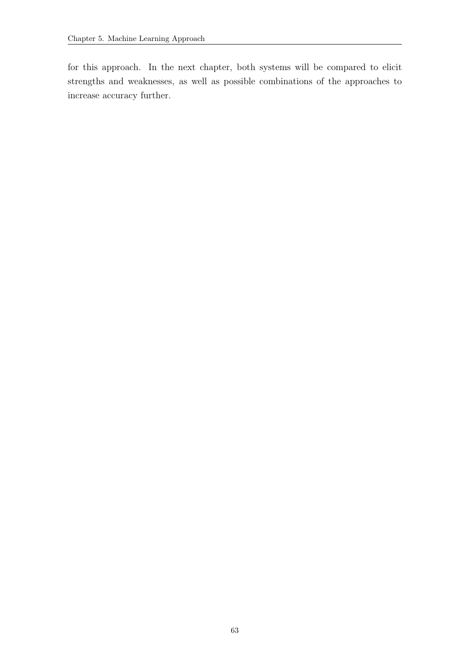for this approach. In the next chapter, both systems will be compared to elicit strengths and weaknesses, as well as possible combinations of the approaches to increase accuracy further.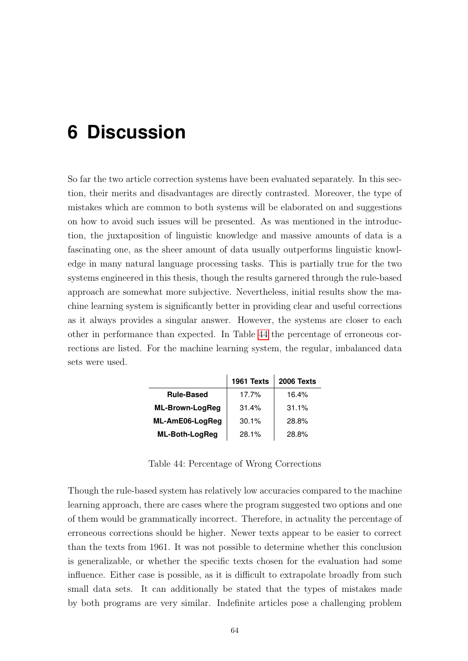# **6 Discussion**

So far the two article correction systems have been evaluated separately. In this section, their merits and disadvantages are directly contrasted. Moreover, the type of mistakes which are common to both systems will be elaborated on and suggestions on how to avoid such issues will be presented. As was mentioned in the introduction, the juxtaposition of linguistic knowledge and massive amounts of data is a fascinating one, as the sheer amount of data usually outperforms linguistic knowledge in many natural language processing tasks. This is partially true for the two systems engineered in this thesis, though the results garnered through the rule-based approach are somewhat more subjective. Nevertheless, initial results show the machine learning system is significantly better in providing clear and useful corrections as it always provides a singular answer. However, the systems are closer to each other in performance than expected. In Table [44](#page-72-0) the percentage of erroneous corrections are listed. For the machine learning system, the regular, imbalanced data sets were used.

<span id="page-72-0"></span>

|                        | 1961 Texts | 2006 Texts |
|------------------------|------------|------------|
| <b>Rule-Based</b>      | 17.7%      | 16.4%      |
| <b>ML-Brown-LogReg</b> | 31.4%      | 31.1%      |
| ML-AmE06-LogReg        | 30.1%      | 28.8%      |
| ML-Both-LogReg         | 28.1%      | 28.8%      |

Table 44: Percentage of Wrong Corrections

Though the rule-based system has relatively low accuracies compared to the machine learning approach, there are cases where the program suggested two options and one of them would be grammatically incorrect. Therefore, in actuality the percentage of erroneous corrections should be higher. Newer texts appear to be easier to correct than the texts from 1961. It was not possible to determine whether this conclusion is generalizable, or whether the specific texts chosen for the evaluation had some influence. Either case is possible, as it is difficult to extrapolate broadly from such small data sets. It can additionally be stated that the types of mistakes made by both programs are very similar. Indefinite articles pose a challenging problem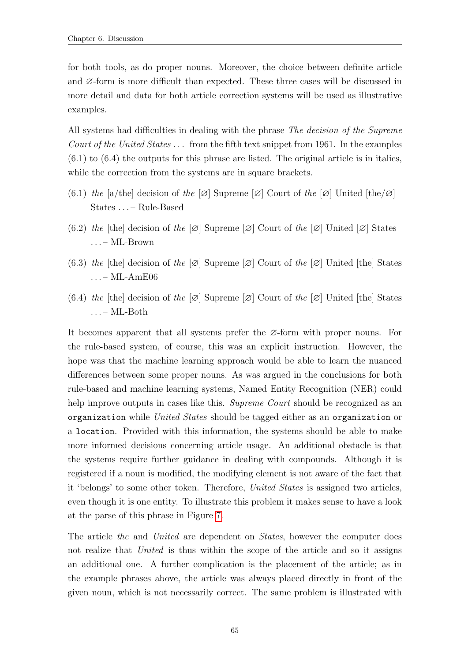for both tools, as do proper nouns. Moreover, the choice between definite article and ∅-form is more difficult than expected. These three cases will be discussed in more detail and data for both article correction systems will be used as illustrative examples.

All systems had difficulties in dealing with the phrase *The decision of the Supreme* Court of the United States  $\ldots$  from the fifth text snippet from 1961. In the examples (6.1) to (6.4) the outputs for this phrase are listed. The original article is in italics, while the correction from the systems are in square brackets.

- (6.1) the [a/the] decision of the  $\varnothing$ ] Supreme  $\varnothing$ ] Court of the  $\varnothing$ ] United [the/ $\varnothing$ ] States . . . – Rule-Based
- (6.2) the [the] decision of the  $[\emptyset]$  Supreme  $[\emptyset]$  Court of the  $[\emptyset]$  United  $[\emptyset]$  States . . . – ML-Brown
- (6.3) the [the] decision of the  $[\emptyset]$  Supreme  $[\emptyset]$  Court of the  $[\emptyset]$  United [the] States . . . – ML-AmE06
- (6.4) the [the] decision of the  $[\emptyset]$  Supreme  $[\emptyset]$  Court of the  $[\emptyset]$  United [the] States . . . – ML-Both

It becomes apparent that all systems prefer the ∅-form with proper nouns. For the rule-based system, of course, this was an explicit instruction. However, the hope was that the machine learning approach would be able to learn the nuanced differences between some proper nouns. As was argued in the conclusions for both rule-based and machine learning systems, Named Entity Recognition (NER) could help improve outputs in cases like this. Supreme Court should be recognized as an organization while United States should be tagged either as an organization or a location. Provided with this information, the systems should be able to make more informed decisions concerning article usage. An additional obstacle is that the systems require further guidance in dealing with compounds. Although it is registered if a noun is modified, the modifying element is not aware of the fact that it 'belongs' to some other token. Therefore, United States is assigned two articles, even though it is one entity. To illustrate this problem it makes sense to have a look at the parse of this phrase in Figure [7.](#page-74-0)

The article the and United are dependent on States, however the computer does not realize that United is thus within the scope of the article and so it assigns an additional one. A further complication is the placement of the article; as in the example phrases above, the article was always placed directly in front of the given noun, which is not necessarily correct. The same problem is illustrated with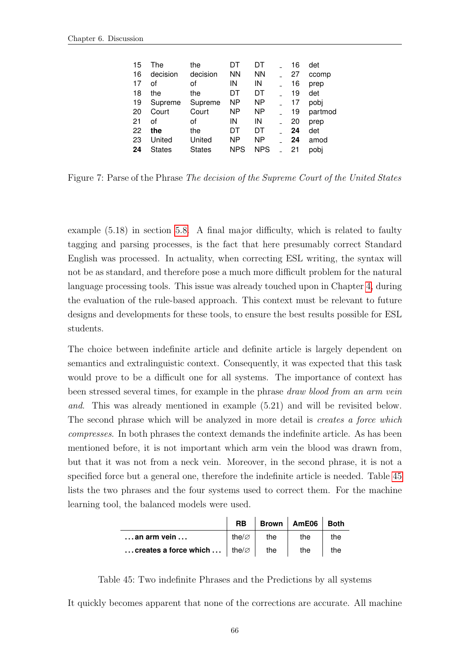<span id="page-74-0"></span>

| 15 | The           | the           | DT         | DT         | 16 | det     |
|----|---------------|---------------|------------|------------|----|---------|
| 16 | decision      | decision      | <b>NN</b>  | <b>NN</b>  | 27 | ccomp   |
| 17 | οf            | οf            | IN         | IN         | 16 | prep    |
| 18 | the           | the           | DT         | DT         | 19 | det     |
| 19 | Supreme       | Supreme       | <b>NP</b>  | NP         | 17 | pobi    |
| 20 | Court         | Court         | ΝP         | <b>NP</b>  | 19 | partmod |
| 21 | οf            | οf            | IN         | IN         | 20 | prep    |
| 22 | the           | the           | DT         | DT         | 24 | det     |
| 23 | United        | United        | ΝP         | NP         | 24 | amod    |
| 24 | <b>States</b> | <b>States</b> | <b>NPS</b> | <b>NPS</b> | 21 | pobi    |
|    |               |               |            |            |    |         |

Figure 7: Parse of the Phrase The decision of the Supreme Court of the United States

example (5.18) in section [5.8.](#page-63-0) A final major difficulty, which is related to faulty tagging and parsing processes, is the fact that here presumably correct Standard English was processed. In actuality, when correcting ESL writing, the syntax will not be as standard, and therefore pose a much more difficult problem for the natural language processing tools. This issue was already touched upon in Chapter [4,](#page-26-0) during the evaluation of the rule-based approach. This context must be relevant to future designs and developments for these tools, to ensure the best results possible for ESL students.

The choice between indefinite article and definite article is largely dependent on semantics and extralinguistic context. Consequently, it was expected that this task would prove to be a difficult one for all systems. The importance of context has been stressed several times, for example in the phrase draw blood from an arm vein and. This was already mentioned in example (5.21) and will be revisited below. The second phrase which will be analyzed in more detail is *creates a force which* compresses. In both phrases the context demands the indefinite article. As has been mentioned before, it is not important which arm vein the blood was drawn from, but that it was not from a neck vein. Moreover, in the second phrase, it is not a specified force but a general one, therefore the indefinite article is needed. Table [45](#page-74-1) lists the two phrases and the four systems used to correct them. For the machine learning tool, the balanced models were used.

<span id="page-74-1"></span>

|                                                                       |                    |     | RB   Brown   AmE06   Both |     |
|-----------------------------------------------------------------------|--------------------|-----|---------------------------|-----|
| $\ldots$ an arm vein $\ldots$                                         | the/ $\varnothing$ | the | the                       | the |
| creates a force which $\vert$ the $\vert$ the $\vert$ the $\vert$ the |                    |     |                           |     |

Table 45: Two indefinite Phrases and the Predictions by all systems

It quickly becomes apparent that none of the corrections are accurate. All machine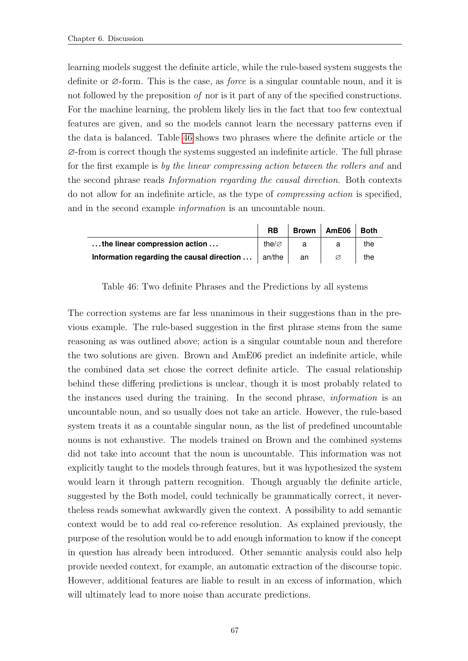learning models suggest the definite article, while the rule-based system suggests the definite or  $\varnothing$ -form. This is the case, as *force* is a singular countable noun, and it is not followed by the preposition of nor is it part of any of the specified constructions. For the machine learning, the problem likely lies in the fact that too few contextual features are given, and so the models cannot learn the necessary patterns even if the data is balanced. Table [46](#page-75-0) shows two phrases where the definite article or the ∅-from is correct though the systems suggested an indefinite article. The full phrase for the first example is by the linear compressing action between the rollers and and the second phrase reads Information regarding the causal direction. Both contexts do not allow for an indefinite article, as the type of compressing action is specified, and in the second example *information* is an uncountable noun.

<span id="page-75-0"></span>

|                                                                   | <b>RB</b>          | <b>Brown</b> | AmE06 | <b>Both</b> |
|-------------------------------------------------------------------|--------------------|--------------|-------|-------------|
| the linear compression action                                     | the/ $\varnothing$ |              |       | the         |
| <b>Information regarding the causal direction </b> $\vert$ an/the |                    | an           |       | the         |

Table 46: Two definite Phrases and the Predictions by all systems

The correction systems are far less unanimous in their suggestions than in the previous example. The rule-based suggestion in the first phrase stems from the same reasoning as was outlined above; action is a singular countable noun and therefore the two solutions are given. Brown and AmE06 predict an indefinite article, while the combined data set chose the correct definite article. The casual relationship behind these differing predictions is unclear, though it is most probably related to the instances used during the training. In the second phrase, information is an uncountable noun, and so usually does not take an article. However, the rule-based system treats it as a countable singular noun, as the list of predefined uncountable nouns is not exhaustive. The models trained on Brown and the combined systems did not take into account that the noun is uncountable. This information was not explicitly taught to the models through features, but it was hypothesized the system would learn it through pattern recognition. Though arguably the definite article, suggested by the Both model, could technically be grammatically correct, it nevertheless reads somewhat awkwardly given the context. A possibility to add semantic context would be to add real co-reference resolution. As explained previously, the purpose of the resolution would be to add enough information to know if the concept in question has already been introduced. Other semantic analysis could also help provide needed context, for example, an automatic extraction of the discourse topic. However, additional features are liable to result in an excess of information, which will ultimately lead to more noise than accurate predictions.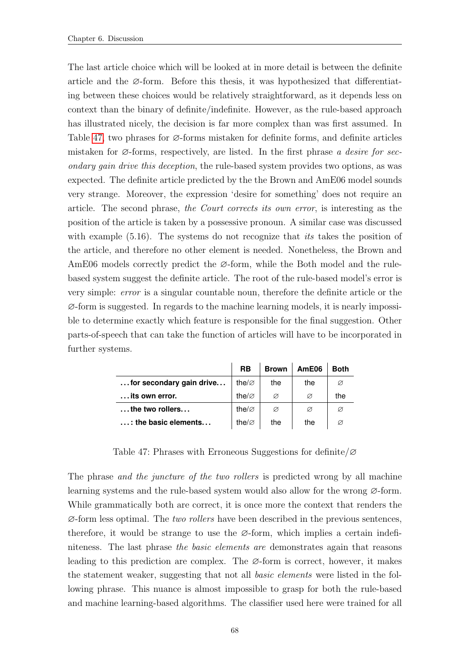The last article choice which will be looked at in more detail is between the definite article and the ∅-form. Before this thesis, it was hypothesized that differentiating between these choices would be relatively straightforward, as it depends less on context than the binary of definite/indefinite. However, as the rule-based approach has illustrated nicely, the decision is far more complex than was first assumed. In Table [47,](#page-76-0) two phrases for ∅-forms mistaken for definite forms, and definite articles mistaken for  $\varnothing$ -forms, respectively, are listed. In the first phrase a desire for secondary gain drive this deception, the rule-based system provides two options, as was expected. The definite article predicted by the the Brown and AmE06 model sounds very strange. Moreover, the expression 'desire for something' does not require an article. The second phrase, the Court corrects its own error, is interesting as the position of the article is taken by a possessive pronoun. A similar case was discussed with example (5.16). The systems do not recognize that *its* takes the position of the article, and therefore no other element is needed. Nonetheless, the Brown and AmE06 models correctly predict the ∅-form, while the Both model and the rulebased system suggest the definite article. The root of the rule-based model's error is very simple: error is a singular countable noun, therefore the definite article or the ∅-form is suggested. In regards to the machine learning models, it is nearly impossible to determine exactly which feature is responsible for the final suggestion. Other parts-of-speech that can take the function of articles will have to be incorporated in further systems.

<span id="page-76-0"></span>

|                               | <b>RB</b>          | <b>Brown</b> | AmE06 | <b>Both</b> |
|-------------------------------|--------------------|--------------|-------|-------------|
| for secondary gain drive      | the/ $\varnothing$ | the          | the   | Ø           |
| its own error.                | the/ $\varnothing$ | Ø            | Ø     | the         |
| $\dots$ the two rollers       | the/ $\varnothing$ | Ø            | Ø     | Ø           |
| $\ldots$ : the basic elements | the/ $\varnothing$ | the          | the   |             |

Table 47: Phrases with Erroneous Suggestions for definite/∅

The phrase *and the juncture of the two rollers* is predicted wrong by all machine learning systems and the rule-based system would also allow for the wrong ∅-form. While grammatically both are correct, it is once more the context that renders the  $\varnothing$ -form less optimal. The *two rollers* have been described in the previous sentences, therefore, it would be strange to use the  $\varnothing$ -form, which implies a certain indefiniteness. The last phrase the basic elements are demonstrates again that reasons leading to this prediction are complex. The ∅-form is correct, however, it makes the statement weaker, suggesting that not all basic elements were listed in the following phrase. This nuance is almost impossible to grasp for both the rule-based and machine learning-based algorithms. The classifier used here were trained for all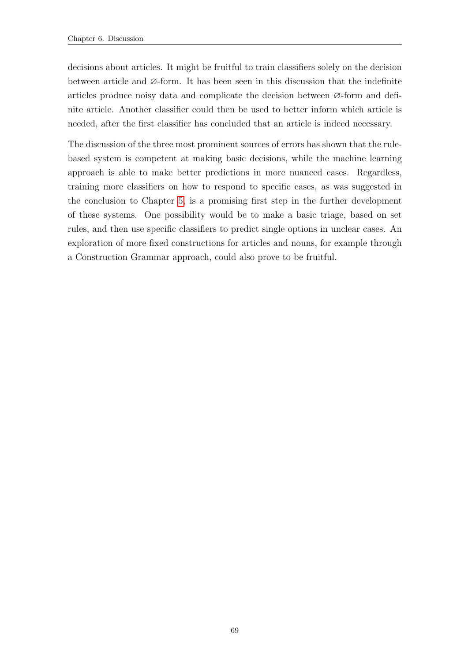decisions about articles. It might be fruitful to train classifiers solely on the decision between article and ∅-form. It has been seen in this discussion that the indefinite articles produce noisy data and complicate the decision between ∅-form and definite article. Another classifier could then be used to better inform which article is needed, after the first classifier has concluded that an article is indeed necessary.

The discussion of the three most prominent sources of errors has shown that the rulebased system is competent at making basic decisions, while the machine learning approach is able to make better predictions in more nuanced cases. Regardless, training more classifiers on how to respond to specific cases, as was suggested in the conclusion to Chapter [5,](#page-41-0) is a promising first step in the further development of these systems. One possibility would be to make a basic triage, based on set rules, and then use specific classifiers to predict single options in unclear cases. An exploration of more fixed constructions for articles and nouns, for example through a Construction Grammar approach, could also prove to be fruitful.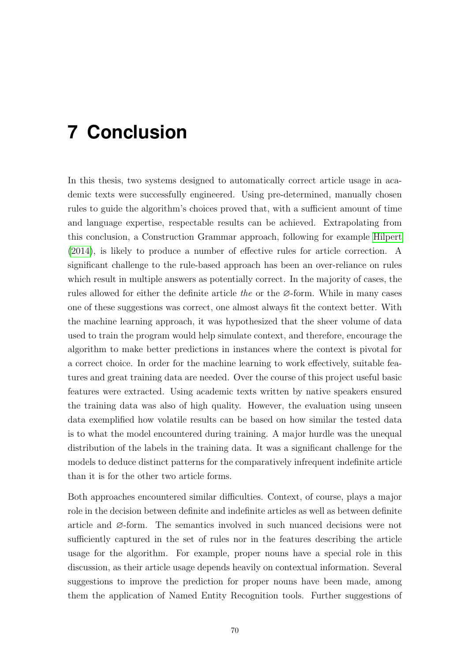# **7 Conclusion**

In this thesis, two systems designed to automatically correct article usage in academic texts were successfully engineered. Using pre-determined, manually chosen rules to guide the algorithm's choices proved that, with a sufficient amount of time and language expertise, respectable results can be achieved. Extrapolating from this conclusion, a Construction Grammar approach, following for example [Hilpert](#page-81-0) [\(2014\)](#page-81-0), is likely to produce a number of effective rules for article correction. A significant challenge to the rule-based approach has been an over-reliance on rules which result in multiple answers as potentially correct. In the majority of cases, the rules allowed for either the definite article the or the  $\varnothing$ -form. While in many cases one of these suggestions was correct, one almost always fit the context better. With the machine learning approach, it was hypothesized that the sheer volume of data used to train the program would help simulate context, and therefore, encourage the algorithm to make better predictions in instances where the context is pivotal for a correct choice. In order for the machine learning to work effectively, suitable features and great training data are needed. Over the course of this project useful basic features were extracted. Using academic texts written by native speakers ensured the training data was also of high quality. However, the evaluation using unseen data exemplified how volatile results can be based on how similar the tested data is to what the model encountered during training. A major hurdle was the unequal distribution of the labels in the training data. It was a significant challenge for the models to deduce distinct patterns for the comparatively infrequent indefinite article than it is for the other two article forms.

Both approaches encountered similar difficulties. Context, of course, plays a major role in the decision between definite and indefinite articles as well as between definite article and ∅-form. The semantics involved in such nuanced decisions were not sufficiently captured in the set of rules nor in the features describing the article usage for the algorithm. For example, proper nouns have a special role in this discussion, as their article usage depends heavily on contextual information. Several suggestions to improve the prediction for proper nouns have been made, among them the application of Named Entity Recognition tools. Further suggestions of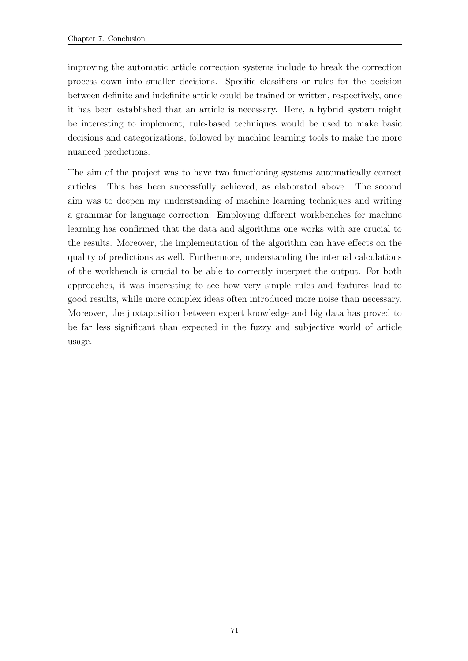improving the automatic article correction systems include to break the correction process down into smaller decisions. Specific classifiers or rules for the decision between definite and indefinite article could be trained or written, respectively, once it has been established that an article is necessary. Here, a hybrid system might be interesting to implement; rule-based techniques would be used to make basic decisions and categorizations, followed by machine learning tools to make the more nuanced predictions.

The aim of the project was to have two functioning systems automatically correct articles. This has been successfully achieved, as elaborated above. The second aim was to deepen my understanding of machine learning techniques and writing a grammar for language correction. Employing different workbenches for machine learning has confirmed that the data and algorithms one works with are crucial to the results. Moreover, the implementation of the algorithm can have effects on the quality of predictions as well. Furthermore, understanding the internal calculations of the workbench is crucial to be able to correctly interpret the output. For both approaches, it was interesting to see how very simple rules and features lead to good results, while more complex ideas often introduced more noise than necessary. Moreover, the juxtaposition between expert knowledge and big data has proved to be far less significant than expected in the fuzzy and subjective world of article usage.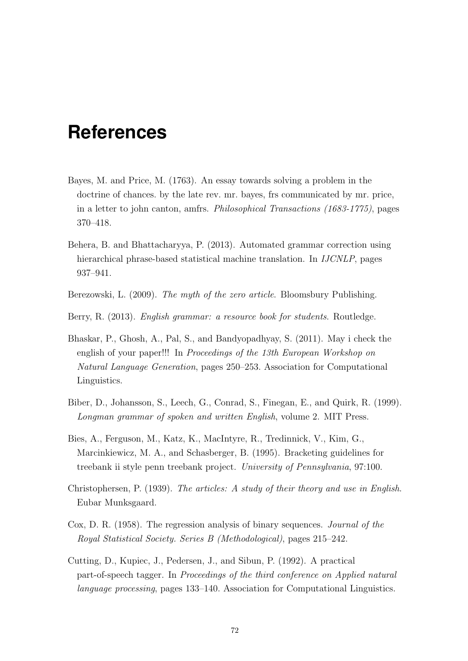## **References**

- Bayes, M. and Price, M. (1763). An essay towards solving a problem in the doctrine of chances. by the late rev. mr. bayes, frs communicated by mr. price, in a letter to john canton, amfrs. Philosophical Transactions (1683-1775), pages 370–418.
- Behera, B. and Bhattacharyya, P. (2013). Automated grammar correction using hierarchical phrase-based statistical machine translation. In IJCNLP, pages 937–941.
- Berezowski, L. (2009). The myth of the zero article. Bloomsbury Publishing.
- Berry, R. (2013). English grammar: a resource book for students. Routledge.
- Bhaskar, P., Ghosh, A., Pal, S., and Bandyopadhyay, S. (2011). May i check the english of your paper!!! In Proceedings of the 13th European Workshop on Natural Language Generation, pages 250–253. Association for Computational Linguistics.
- Biber, D., Johansson, S., Leech, G., Conrad, S., Finegan, E., and Quirk, R. (1999). Longman grammar of spoken and written English, volume 2. MIT Press.
- Bies, A., Ferguson, M., Katz, K., MacIntyre, R., Tredinnick, V., Kim, G., Marcinkiewicz, M. A., and Schasberger, B. (1995). Bracketing guidelines for treebank ii style penn treebank project. University of Pennsylvania, 97:100.
- Christophersen, P. (1939). The articles: A study of their theory and use in English. Eubar Munksgaard.
- Cox, D. R. (1958). The regression analysis of binary sequences. Journal of the Royal Statistical Society. Series B (Methodological), pages 215–242.
- Cutting, D., Kupiec, J., Pedersen, J., and Sibun, P. (1992). A practical part-of-speech tagger. In Proceedings of the third conference on Applied natural language processing, pages 133–140. Association for Computational Linguistics.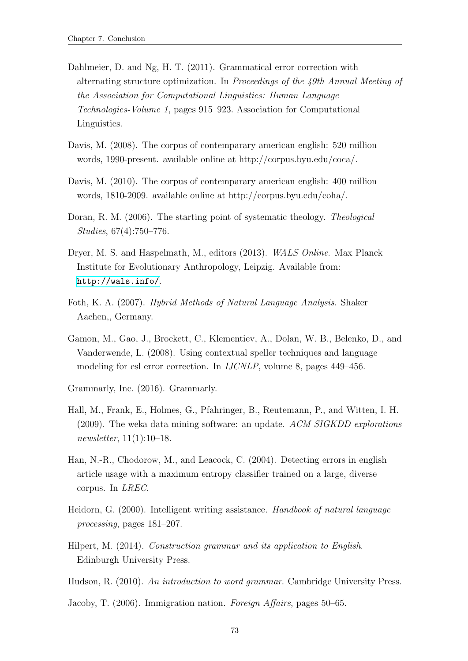- Dahlmeier, D. and Ng, H. T. (2011). Grammatical error correction with alternating structure optimization. In Proceedings of the 49th Annual Meeting of the Association for Computational Linguistics: Human Language Technologies-Volume 1, pages 915–923. Association for Computational Linguistics.
- Davis, M. (2008). The corpus of contemparary american english: 520 million words, 1990-present. available online at http://corpus.byu.edu/coca/.
- Davis, M. (2010). The corpus of contemparary american english: 400 million words, 1810-2009. available online at http://corpus.byu.edu/coha/.
- <span id="page-81-1"></span>Doran, R. M. (2006). The starting point of systematic theology. Theological Studies, 67(4):750–776.
- Dryer, M. S. and Haspelmath, M., editors (2013). WALS Online. Max Planck Institute for Evolutionary Anthropology, Leipzig. Available from: <http://wals.info/>.
- Foth, K. A. (2007). Hybrid Methods of Natural Language Analysis. Shaker Aachen,, Germany.
- Gamon, M., Gao, J., Brockett, C., Klementiev, A., Dolan, W. B., Belenko, D., and Vanderwende, L. (2008). Using contextual speller techniques and language modeling for esl error correction. In IJCNLP, volume 8, pages 449–456.
- Grammarly, Inc. (2016). Grammarly.
- Hall, M., Frank, E., Holmes, G., Pfahringer, B., Reutemann, P., and Witten, I. H. (2009). The weka data mining software: an update. ACM SIGKDD explorations newsletter, 11(1):10–18.
- Han, N.-R., Chodorow, M., and Leacock, C. (2004). Detecting errors in english article usage with a maximum entropy classifier trained on a large, diverse corpus. In LREC.
- Heidorn, G. (2000). Intelligent writing assistance. Handbook of natural language processing, pages 181–207.
- <span id="page-81-0"></span>Hilpert, M. (2014). Construction grammar and its application to English. Edinburgh University Press.
- Hudson, R. (2010). An introduction to word grammar. Cambridge University Press.
- <span id="page-81-2"></span>Jacoby, T. (2006). Immigration nation. Foreign Affairs, pages 50–65.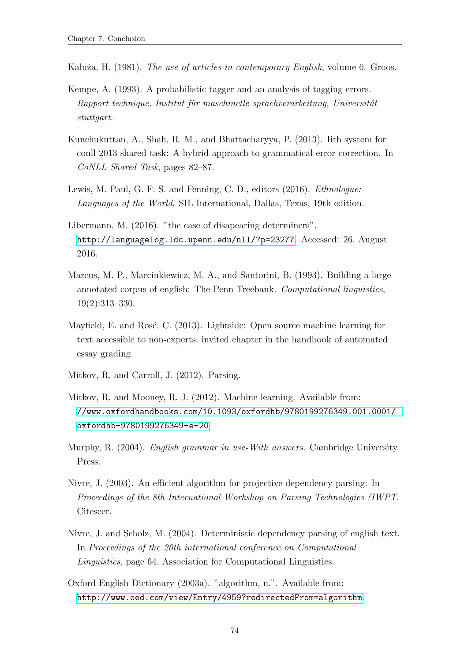- Ka luža, H. (1981). The use of articles in contemporary English, volume 6. Groos.
- Kempe, A. (1993). A probabilistic tagger and an analysis of tagging errors. Rapport technique, Institut für maschinelle sprachverarbeitung, Universität stuttgart.
- Kunchukuttan, A., Shah, R. M., and Bhattacharyya, P. (2013). Iitb system for conll 2013 shared task: A hybrid approach to grammatical error correction. In CoNLL Shared Task, pages 82–87.
- Lewis, M. Paul, G. F. S. and Fenning, C. D., editors (2016). Ethnologue: Languages of the World. SIL International, Dallas, Texas, 19th edition.
- Libermann, M. (2016). "the case of disapearing determiners". <http://languagelog.ldc.upenn.edu/nll/?p=23277>. Accessed: 26. August 2016.
- Marcus, M. P., Marcinkiewicz, M. A., and Santorini, B. (1993). Building a large annotated corpus of english: The Penn Treebank. Computational linguistics, 19(2):313–330.
- Mayfield, E. and Rosé, C.  $(2013)$ . Lightside: Open source machine learning for text accessible to non-experts. invited chapter in the handbook of automated essay grading.
- Mitkov, R. and Carroll, J. (2012). Parsing.
- Mitkov, R. and Mooney, R. J. (2012). Machine learning. Available from: [//www.oxfordhandbooks.com/10.1093/oxfordhb/9780199276349.001.0001/](//www.oxfordhandbooks.com/10.1093/oxfordhb/9780199276349.001.0001/oxfordhb-9780199276349-e-20) [oxfordhb-9780199276349-e-20](//www.oxfordhandbooks.com/10.1093/oxfordhb/9780199276349.001.0001/oxfordhb-9780199276349-e-20).
- Murphy, R. (2004). English grammar in use-With answers. Cambridge University Press.
- Nivre, J. (2003). An efficient algorithm for projective dependency parsing. In Proceedings of the 8th International Workshop on Parsing Technologies (IWPT. Citeseer.
- Nivre, J. and Scholz, M. (2004). Deterministic dependency parsing of english text. In Proceedings of the 20th international conference on Computational Linguistics, page 64. Association for Computational Linguistics.
- Oxford English Dictionary (2003a). "algorithm, n.". Available from: <http://www.oed.com/view/Entry/4959?redirectedFrom=algorithm>.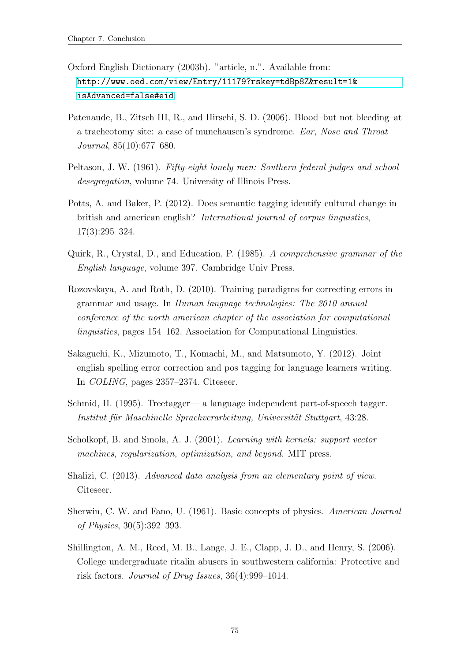- Oxford English Dictionary (2003b). "article, n.". Available from: [http://www.oed.com/view/Entry/11179?rskey=tdBp8Z&result=1&](http://www.oed.com/view/Entry/11179?rskey=tdBp8Z&result=1&isAdvanced=false#eid) [isAdvanced=false#eid](http://www.oed.com/view/Entry/11179?rskey=tdBp8Z&result=1&isAdvanced=false#eid).
- <span id="page-83-3"></span>Patenaude, B., Zitsch III, R., and Hirschi, S. D. (2006). Blood–but not bleeding–at a tracheotomy site: a case of munchausen's syndrome. Ear, Nose and Throat Journal, 85(10):677–680.
- <span id="page-83-1"></span>Peltason, J. W. (1961). Fifty-eight lonely men: Southern federal judges and school desegregation, volume 74. University of Illinois Press.
- Potts, A. and Baker, P. (2012). Does semantic tagging identify cultural change in british and american english? International journal of corpus linguistics, 17(3):295–324.
- Quirk, R., Crystal, D., and Education, P. (1985). A comprehensive grammar of the English language, volume 397. Cambridge Univ Press.
- Rozovskaya, A. and Roth, D. (2010). Training paradigms for correcting errors in grammar and usage. In Human language technologies: The 2010 annual conference of the north american chapter of the association for computational linguistics, pages 154–162. Association for Computational Linguistics.
- Sakaguchi, K., Mizumoto, T., Komachi, M., and Matsumoto, Y. (2012). Joint english spelling error correction and pos tagging for language learners writing. In COLING, pages 2357–2374. Citeseer.
- Schmid, H. (1995). Treetagger— a language independent part-of-speech tagger. Institut für Maschinelle Sprachverarbeitung, Universität Stuttgart, 43:28.
- Scholkopf, B. and Smola, A. J. (2001). Learning with kernels: support vector machines, regularization, optimization, and beyond. MIT press.
- Shalizi, C. (2013). Advanced data analysis from an elementary point of view. Citeseer.
- <span id="page-83-0"></span>Sherwin, C. W. and Fano, U. (1961). Basic concepts of physics. American Journal of Physics, 30(5):392–393.
- <span id="page-83-2"></span>Shillington, A. M., Reed, M. B., Lange, J. E., Clapp, J. D., and Henry, S. (2006). College undergraduate ritalin abusers in southwestern california: Protective and risk factors. Journal of Drug Issues, 36(4):999–1014.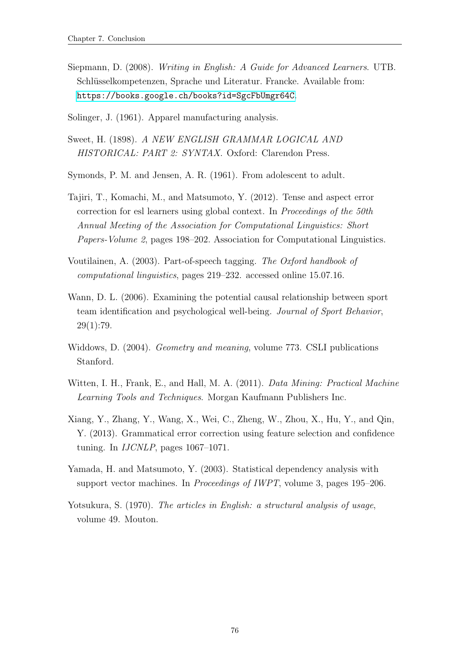- Siepmann, D. (2008). Writing in English: A Guide for Advanced Learners. UTB. Schlüsselkompetenzen, Sprache und Literatur. Francke. Available from: <https://books.google.ch/books?id=SgcFbUmgr64C>.
- <span id="page-84-1"></span>Solinger, J. (1961). Apparel manufacturing analysis.
- Sweet, H. (1898). A NEW ENGLISH GRAMMAR LOGICAL AND HISTORICAL: PART 2: SYNTAX. Oxford: Clarendon Press.
- <span id="page-84-0"></span>Symonds, P. M. and Jensen, A. R. (1961). From adolescent to adult.
- Tajiri, T., Komachi, M., and Matsumoto, Y. (2012). Tense and aspect error correction for esl learners using global context. In Proceedings of the 50th Annual Meeting of the Association for Computational Linguistics: Short Papers-Volume 2, pages 198–202. Association for Computational Linguistics.
- Voutilainen, A. (2003). Part-of-speech tagging. The Oxford handbook of computational linguistics, pages 219–232. accessed online 15.07.16.
- <span id="page-84-2"></span>Wann, D. L. (2006). Examining the potential causal relationship between sport team identification and psychological well-being. Journal of Sport Behavior,  $29(1):79.$
- Widdows, D. (2004). Geometry and meaning, volume 773. CSLI publications Stanford.
- Witten, I. H., Frank, E., and Hall, M. A. (2011). Data Mining: Practical Machine Learning Tools and Techniques. Morgan Kaufmann Publishers Inc.
- Xiang, Y., Zhang, Y., Wang, X., Wei, C., Zheng, W., Zhou, X., Hu, Y., and Qin, Y. (2013). Grammatical error correction using feature selection and confidence tuning. In IJCNLP, pages 1067–1071.
- Yamada, H. and Matsumoto, Y. (2003). Statistical dependency analysis with support vector machines. In Proceedings of IWPT, volume 3, pages 195–206.
- Yotsukura, S. (1970). The articles in English: a structural analysis of usage, volume 49. Mouton.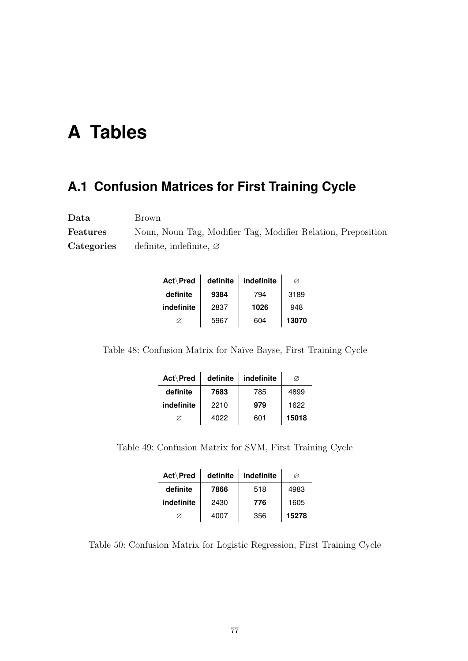## **A Tables**

### **A.1 Confusion Matrices for First Training Cycle**

Data Brown Features Noun, Noun Tag, Modifier Tag, Modifier Relation, Preposition Categories definite, indefinite, ∅

| Act\Pred   | definite | indefinite | Ø     |
|------------|----------|------------|-------|
| definite   | 9384     | 794        | 3189  |
| indefinite | 2837     | 1026       | 948   |
| Ø          | 5967     | 604        | 13070 |

Table 48: Confusion Matrix for Naïve Bayse, First Training Cycle

| Act\Pred   | definite | indefinite | Ø     |
|------------|----------|------------|-------|
| definite   | 7683     | 785        | 4899  |
| indefinite | 2210     | 979        | 1622  |
| Ø          | 4022     | 601        | 15018 |

Table 49: Confusion Matrix for SVM, First Training Cycle

| Act\Pred   | definite | indefinite | Ø     |
|------------|----------|------------|-------|
| definite   | 7866     | 518        | 4983  |
| indefinite | 2430     | 776        | 1605  |
| Ø          | 4007     | 356        | 15278 |

Table 50: Confusion Matrix for Logistic Regression, First Training Cycle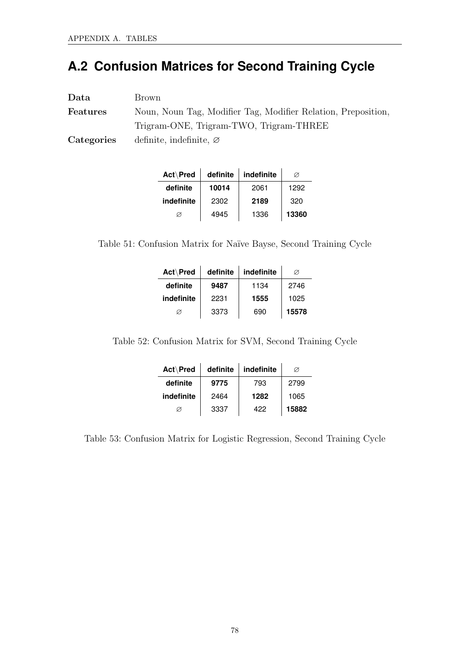## **A.2 Confusion Matrices for Second Training Cycle**

| Data       | Brown                                                         |
|------------|---------------------------------------------------------------|
| Features   | Noun, Noun Tag, Modifier Tag, Modifier Relation, Preposition, |
|            | Trigram-ONE, Trigram-TWO, Trigram-THREE                       |
| Categories | definite, indefinite, $\varnothing$                           |

| Act\Pred   | definite | indefinite | Ø     |
|------------|----------|------------|-------|
| definite   | 10014    | 2061       | 1292  |
| indefinite | 2302     | 2189       | 320   |
| Ø          | 4945     | 1336       | 13360 |

Table 51: Confusion Matrix for Naïve Bayse, Second Training Cycle

| Act\Pred   | definite | indefinite | Ø     |
|------------|----------|------------|-------|
| definite   | 9487     | 1134       | 2746  |
| indefinite | 2231     | 1555       | 1025  |
|            | 3373     | 690        | 15578 |

Table 52: Confusion Matrix for SVM, Second Training Cycle

| Act\Pred   | definite | indefinite | Ø     |
|------------|----------|------------|-------|
| definite   | 9775     | 793        | 2799  |
| indefinite | 2464     | 1282       | 1065  |
| Ø          | 3337     | 422        | 15882 |

Table 53: Confusion Matrix for Logistic Regression, Second Training Cycle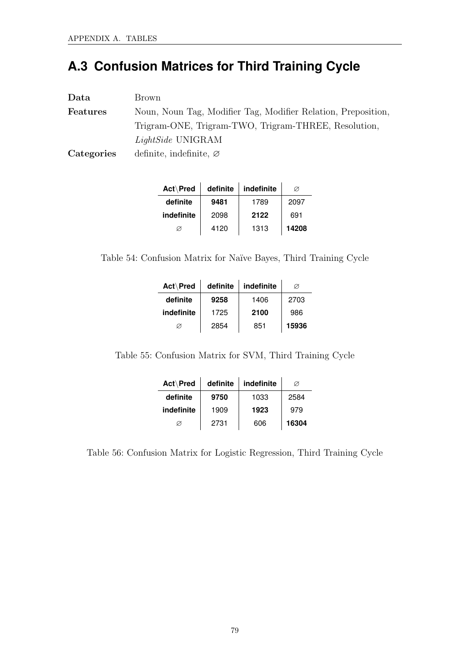## **A.3 Confusion Matrices for Third Training Cycle**

| Data            | Brown                                                         |  |  |  |  |
|-----------------|---------------------------------------------------------------|--|--|--|--|
| <b>Features</b> | Noun, Noun Tag, Modifier Tag, Modifier Relation, Preposition, |  |  |  |  |
|                 | Trigram-ONE, Trigram-TWO, Trigram-THREE, Resolution,          |  |  |  |  |
|                 | LightSide UNIGRAM                                             |  |  |  |  |
| Categories      | definite, indefinite, $\varnothing$                           |  |  |  |  |

| Act\Pred   | definite | indefinite | Ø     |
|------------|----------|------------|-------|
| definite   | 9481     | 1789       | 2097  |
| indefinite | 2098     | 2122       | 691   |
|            | 4120     | 1313       | 14208 |

Table 54: Confusion Matrix for Naïve Bayes, Third Training Cycle

| Act\Pred   | definite | indefinite | Ø     |
|------------|----------|------------|-------|
| definite   | 9258     | 1406       | 2703  |
| indefinite | 1725     | 2100       | 986   |
| Ø          | 2854     | 851        | 15936 |

Table 55: Confusion Matrix for SVM, Third Training Cycle

| Act\Pred   | definite | indefinite | Ø     |
|------------|----------|------------|-------|
| definite   | 9750     | 1033       | 2584  |
| indefinite | 1909     | 1923       | 979   |
|            | 2731     | 606        | 16304 |

Table 56: Confusion Matrix for Logistic Regression, Third Training Cycle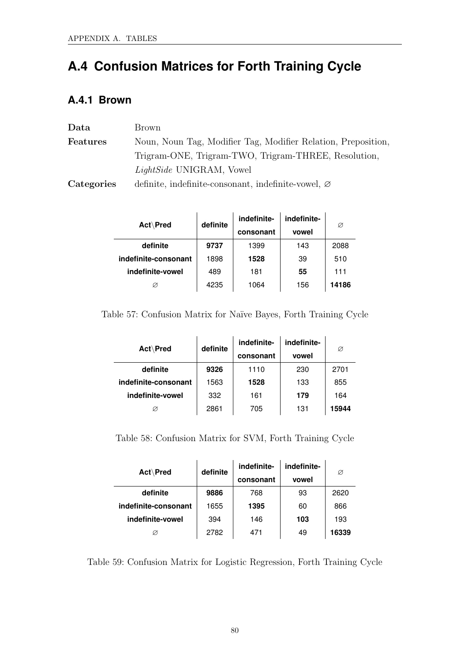## **A.4 Confusion Matrices for Forth Training Cycle**

### **A.4.1 Brown**

| Data            | Brown                                                           |
|-----------------|-----------------------------------------------------------------|
| <b>Features</b> | Noun, Noun Tag, Modifier Tag, Modifier Relation, Preposition,   |
|                 | Trigram-ONE, Trigram-TWO, Trigram-THREE, Resolution,            |
|                 | <i>LightSide</i> UNIGRAM, Vowel                                 |
| Categories      | definite, indefinite-consonant, indefinite-vowel, $\varnothing$ |

| <b>Act∖Pred</b>      | definite | indefinite- | indefinite- | Ø     |
|----------------------|----------|-------------|-------------|-------|
|                      |          | consonant   | vowel       |       |
| definite             | 9737     | 1399        | 143         | 2088  |
| indefinite-consonant | 1898     | 1528        | 39          | 510   |
| indefinite-vowel     | 489      | 181         | 55          | 111   |
|                      | 4235     | 1064        | 156         | 14186 |

Table 57: Confusion Matrix for Naïve Bayes, Forth Training Cycle

| Act\Pred             | definite | indefinite- | indefinite- | Ø     |
|----------------------|----------|-------------|-------------|-------|
|                      |          | consonant   | vowel       |       |
| definite             | 9326     | 1110        | 230         | 2701  |
| indefinite-consonant | 1563     | 1528        | 133         | 855   |
| indefinite-vowel     | 332      | 161         | 179         | 164   |
|                      | 2861     | 705         | 131         | 15944 |

Table 58: Confusion Matrix for SVM, Forth Training Cycle

| Act\Pred             | definite | indefinite- | indefinite- | Ø     |
|----------------------|----------|-------------|-------------|-------|
|                      |          | consonant   | vowel       |       |
| definite             | 9886     | 768         | 93          | 2620  |
| indefinite-consonant | 1655     | 1395        | 60          | 866   |
| indefinite-vowel     | 394      | 146         | 103         | 193   |
| Ø                    | 2782     | 471         | 49          | 16339 |

Table 59: Confusion Matrix for Logistic Regression, Forth Training Cycle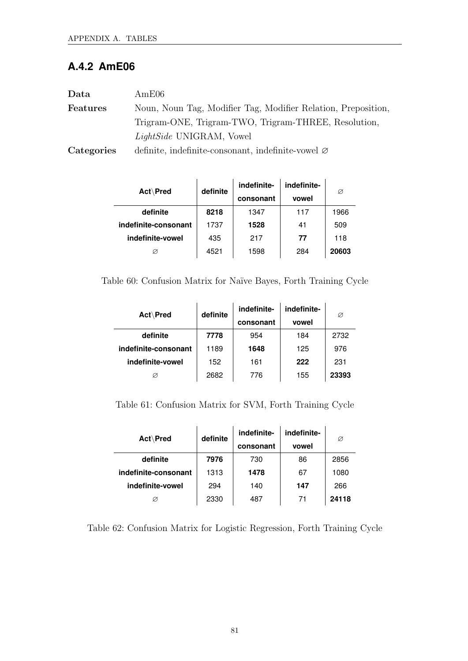### **A.4.2 AmE06**

| Data            | AmE06                                                          |
|-----------------|----------------------------------------------------------------|
| <b>Features</b> | Noun, Noun Tag, Modifier Tag, Modifier Relation, Preposition,  |
|                 | Trigram-ONE, Trigram-TWO, Trigram-THREE, Resolution,           |
|                 | <i>LightSide</i> UNIGRAM, Vowel                                |
| Categories      | definite, indefinite-consonant, indefinite-vowel $\varnothing$ |

| Act\Pred |                      | definite | indefinite- | indefinite- | Ø     |
|----------|----------------------|----------|-------------|-------------|-------|
|          |                      |          | consonant   | vowel       |       |
|          | definite             | 8218     | 1347        | 117         | 1966  |
|          | indefinite-consonant | 1737     | 1528        | 41          | 509   |
|          | indefinite-vowel     | 435      | 217         | 77          | 118   |
|          | Ø                    | 4521     | 1598        | 284         | 20603 |

Table 60: Confusion Matrix for Naïve Bayes, Forth Training Cycle

| Act\Pred             | definite | indefinite- | indefinite- | Ø     |
|----------------------|----------|-------------|-------------|-------|
|                      |          | consonant   | vowel       |       |
| definite             | 7778     | 954         | 184         | 2732  |
| indefinite-consonant | 1189     | 1648        | 125         | 976   |
| indefinite-vowel     | 152      | 161         | 222         | 231   |
|                      | 2682     | 776         | 155         | 23393 |

Table 61: Confusion Matrix for SVM, Forth Training Cycle

| Act\Pred             | definite | indefinite- | indefinite- | Ø     |
|----------------------|----------|-------------|-------------|-------|
|                      |          | consonant   | vowel       |       |
| definite             | 7976     | 730         | 86          | 2856  |
| indefinite-consonant | 1313     | 1478        | 67          | 1080  |
| indefinite-vowel     | 294      | 140         | 147         | 266   |
| Ø                    | 2330     | 487         | 71          | 24118 |

Table 62: Confusion Matrix for Logistic Regression, Forth Training Cycle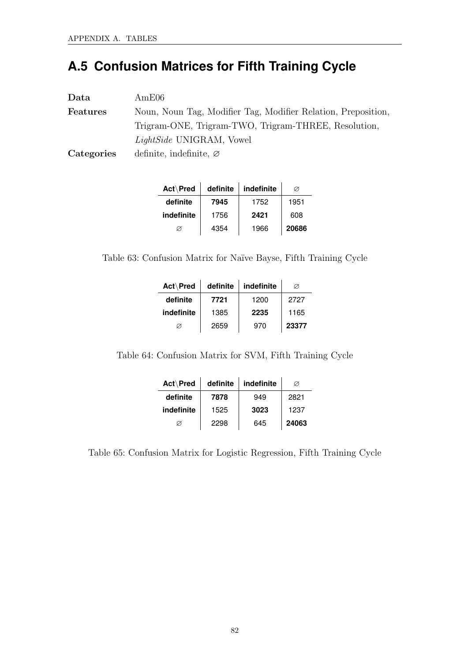## **A.5 Confusion Matrices for Fifth Training Cycle**

| Data            | AmE06                                                         |
|-----------------|---------------------------------------------------------------|
| <b>Features</b> | Noun, Noun Tag, Modifier Tag, Modifier Relation, Preposition, |
|                 | Trigram-ONE, Trigram-TWO, Trigram-THREE, Resolution,          |
|                 | <i>LightSide</i> UNIGRAM, Vowel                               |
| Categories      | definite, indefinite, $\varnothing$                           |

| Act\Pred   | definite | indefinite | Ø     |
|------------|----------|------------|-------|
| definite   | 7945     | 1752       | 1951  |
| indefinite | 1756     | 2421       | 608   |
| Ø          | 4354     | 1966       | 20686 |

Table 63: Confusion Matrix for Naïve Bayse, Fifth Training Cycle

| Act\Pred   | definite | indefinite | Ø     |
|------------|----------|------------|-------|
| definite   | 7721     | 1200       | 2727  |
| indefinite | 1385     | 2235       | 1165  |
|            | 2659     | 970        | 23377 |

Table 64: Confusion Matrix for SVM, Fifth Training Cycle

| Act\Pred   | definite | indefinite | Ø     |
|------------|----------|------------|-------|
| definite   | 7878     | 949        | 2821  |
| indefinite | 1525     | 3023       | 1237  |
| Ø          | 2298     | 645        | 24063 |

Table 65: Confusion Matrix for Logistic Regression, Fifth Training Cycle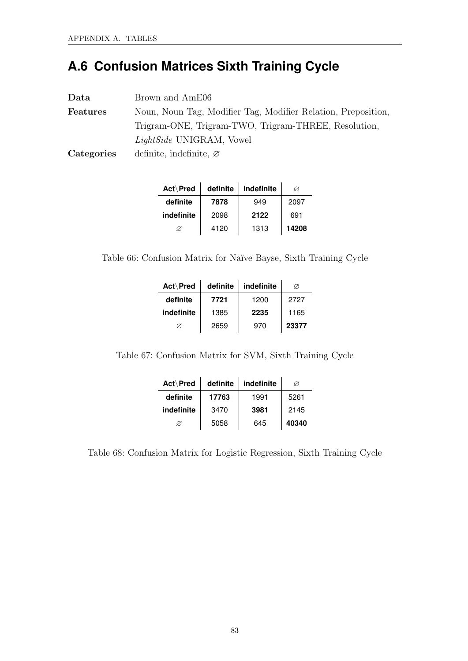## **A.6 Confusion Matrices Sixth Training Cycle**

| Data       | Brown and AmE06                                               |
|------------|---------------------------------------------------------------|
| Features   | Noun, Noun Tag, Modifier Tag, Modifier Relation, Preposition, |
|            | Trigram-ONE, Trigram-TWO, Trigram-THREE, Resolution,          |
|            | LightSide UNIGRAM, Vowel                                      |
| Categories | definite, indefinite, $\varnothing$                           |

| Act\Pred   | definite | indefinite | Ø     |
|------------|----------|------------|-------|
| definite   | 7878     | 949        | 2097  |
| indefinite | 2098     | 2122       | 691   |
| Ø          | 4120     | 1313       | 14208 |

Table 66: Confusion Matrix for Naïve Bayse, Sixth Training Cycle

| Act\Pred   | definite | indefinite | Ø     |
|------------|----------|------------|-------|
| definite   | 7721     | 1200       | 2727  |
| indefinite | 1385     | 2235       | 1165  |
| Ø          | 2659     | 970        | 23377 |

Table 67: Confusion Matrix for SVM, Sixth Training Cycle

| Act\Pred   | definite | indefinite | Ø     |
|------------|----------|------------|-------|
| definite   | 17763    | 1991       | 5261  |
| indefinite | 3470     | 3981       | 2145  |
| Ø          | 5058     | 645        | 40340 |

Table 68: Confusion Matrix for Logistic Regression, Sixth Training Cycle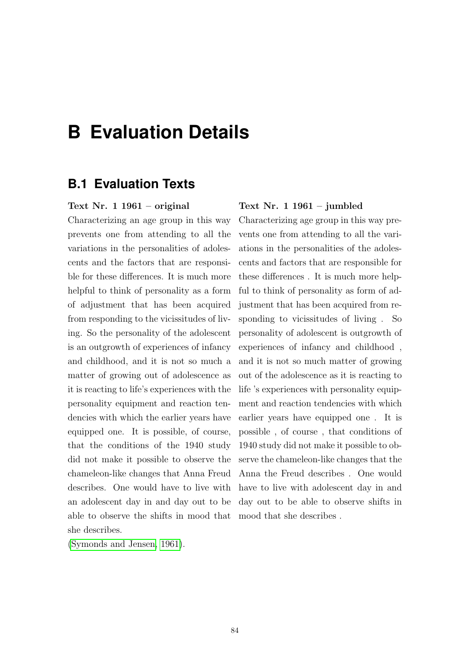## **B Evaluation Details**

### **B.1 Evaluation Texts**

#### Text Nr. 1 1961 – original

Characterizing an age group in this way prevents one from attending to all the variations in the personalities of adolescents and the factors that are responsible for these differences. It is much more helpful to think of personality as a form of adjustment that has been acquired from responding to the vicissitudes of living. So the personality of the adolescent is an outgrowth of experiences of infancy and childhood, and it is not so much a matter of growing out of adolescence as it is reacting to life's experiences with the personality equipment and reaction tendencies with which the earlier years have equipped one. It is possible, of course, that the conditions of the 1940 study did not make it possible to observe the chameleon-like changes that Anna Freud describes. One would have to live with an adolescent day in and day out to be able to observe the shifts in mood that she describes.

[\(Symonds and Jensen, 1961\)](#page-84-0).

#### Text Nr. 1 1961 – jumbled

Characterizing age group in this way prevents one from attending to all the variations in the personalities of the adolescents and factors that are responsible for these differences . It is much more helpful to think of personality as form of adjustment that has been acquired from responding to vicissitudes of living . So personality of adolescent is outgrowth of experiences of infancy and childhood , and it is not so much matter of growing out of the adolescence as it is reacting to life 's experiences with personality equipment and reaction tendencies with which earlier years have equipped one . It is possible , of course , that conditions of 1940 study did not make it possible to observe the chameleon-like changes that the Anna the Freud describes . One would have to live with adolescent day in and day out to be able to observe shifts in mood that she describes .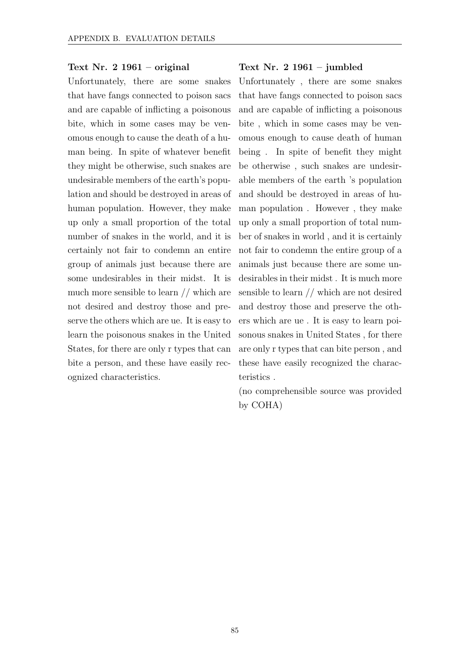### Text Nr. 2 1961 – original

Unfortunately, there are some snakes that have fangs connected to poison sacs and are capable of inflicting a poisonous bite, which in some cases may be venomous enough to cause the death of a human being. In spite of whatever benefit they might be otherwise, such snakes are undesirable members of the earth's population and should be destroyed in areas of human population. However, they make up only a small proportion of the total number of snakes in the world, and it is certainly not fair to condemn an entire group of animals just because there are some undesirables in their midst. It is much more sensible to learn // which are not desired and destroy those and preserve the others which are ue. It is easy to learn the poisonous snakes in the United States, for there are only r types that can bite a person, and these have easily recognized characteristics.

#### Text Nr. 2 1961 – jumbled

Unfortunately , there are some snakes that have fangs connected to poison sacs and are capable of inflicting a poisonous bite , which in some cases may be venomous enough to cause death of human being . In spite of benefit they might be otherwise , such snakes are undesirable members of the earth 's population and should be destroyed in areas of human population . However , they make up only a small proportion of total number of snakes in world , and it is certainly not fair to condemn the entire group of a animals just because there are some undesirables in their midst . It is much more sensible to learn // which are not desired and destroy those and preserve the others which are ue . It is easy to learn poisonous snakes in United States , for there are only r types that can bite person , and these have easily recognized the characteristics .

(no comprehensible source was provided by COHA)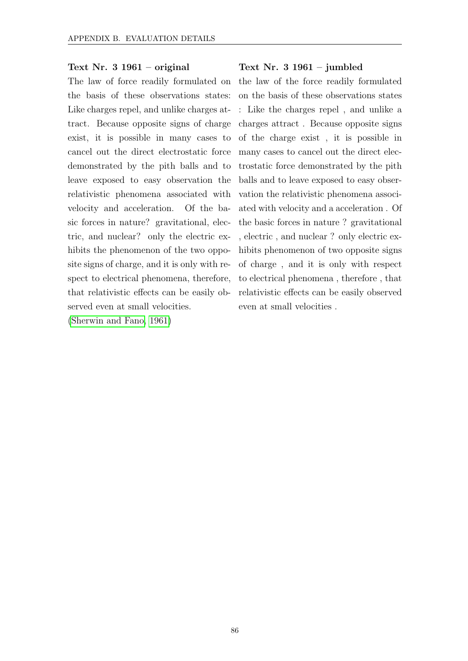#### Text Nr. 3 1961 – original

The law of force readily formulated on the basis of these observations states: Like charges repel, and unlike charges attract. Because opposite signs of charge exist, it is possible in many cases to cancel out the direct electrostatic force demonstrated by the pith balls and to leave exposed to easy observation the relativistic phenomena associated with velocity and acceleration. Of the basic forces in nature? gravitational, electric, and nuclear? only the electric exhibits the phenomenon of the two opposite signs of charge, and it is only with respect to electrical phenomena, therefore, that relativistic effects can be easily observed even at small velocities.

[\(Sherwin and Fano, 1961\)](#page-83-0)

#### Text Nr. 3 1961 – jumbled

the law of the force readily formulated on the basis of these observations states : Like the charges repel , and unlike a charges attract . Because opposite signs of the charge exist , it is possible in many cases to cancel out the direct electrostatic force demonstrated by the pith balls and to leave exposed to easy observation the relativistic phenomena associated with velocity and a acceleration . Of the basic forces in nature ? gravitational , electric , and nuclear ? only electric exhibits phenomenon of two opposite signs of charge , and it is only with respect to electrical phenomena , therefore , that relativistic effects can be easily observed even at small velocities .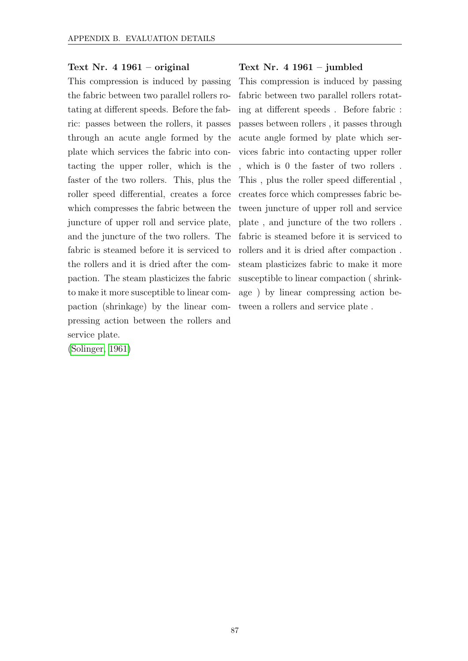### Text Nr. 4 1961 – original

This compression is induced by passing the fabric between two parallel rollers rotating at different speeds. Before the fabric: passes between the rollers, it passes through an acute angle formed by the plate which services the fabric into contacting the upper roller, which is the faster of the two rollers. This, plus the roller speed differential, creates a force which compresses the fabric between the juncture of upper roll and service plate, and the juncture of the two rollers. The fabric is steamed before it is serviced to the rollers and it is dried after the compaction. The steam plasticizes the fabric to make it more susceptible to linear compaction (shrinkage) by the linear compressing action between the rollers and service plate.

[\(Solinger, 1961\)](#page-84-1)

#### Text Nr. 4 1961 – jumbled

This compression is induced by passing fabric between two parallel rollers rotating at different speeds . Before fabric : passes between rollers , it passes through acute angle formed by plate which services fabric into contacting upper roller , which is 0 the faster of two rollers . This , plus the roller speed differential , creates force which compresses fabric between juncture of upper roll and service plate , and juncture of the two rollers . fabric is steamed before it is serviced to rollers and it is dried after compaction . steam plasticizes fabric to make it more susceptible to linear compaction ( shrinkage ) by linear compressing action between a rollers and service plate .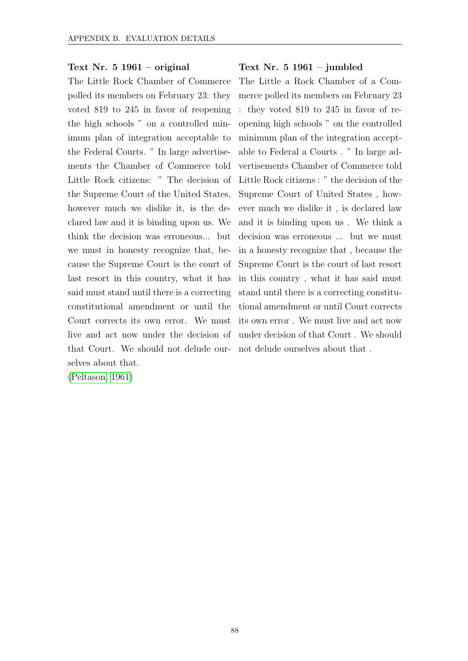### Text Nr. 5 1961 – original

The Little Rock Chamber of Commerce polled its members on February 23: they voted 819 to 245 in favor of reopening the high schools " on a controlled minimum plan of integration acceptable to the Federal Courts. " In large advertisements the Chamber of Commerce told Little Rock citizens: " The decision of the Supreme Court of the United States, however much we dislike it, is the declared law and it is binding upon us. We think the decision was erroneous... but we must in honesty recognize that, because the Supreme Court is the court of last resort in this country, what it has said must stand until there is a correcting constitutional amendment or until the Court corrects its own error. We must live and act now under the decision of that Court. We should not delude our-not delude ourselves about that . selves about that.

[\(Peltason, 1961\)](#page-83-1)

### Text Nr. 5 1961 – jumbled

The Little a Rock Chamber of a Commerce polled its members on February 23 : they voted 819 to 245 in favor of reopening high schools " on the controlled minimum plan of the integration acceptable to Federal a Courts . " In large advertisements Chamber of Commerce told Little Rock citizens : " the decision of the Supreme Court of United States , however much we dislike it , is declared law and it is binding upon us . We think a decision was erroneous ... but we must in a honesty recognize that , because the Supreme Court is the court of last resort in this country , what it has said must stand until there is a correcting constitutional amendment or until Court corrects its own error . We must live and act now under decision of that Court . We should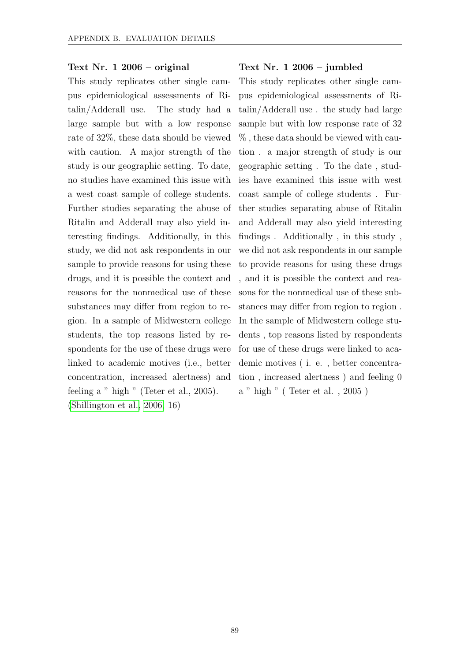### Text Nr. 1 2006 – original

This study replicates other single campus epidemiological assessments of Ritalin/Adderall use. The study had a large sample but with a low response rate of 32%, these data should be viewed with caution. A major strength of the study is our geographic setting. To date, no studies have examined this issue with a west coast sample of college students. Further studies separating the abuse of Ritalin and Adderall may also yield interesting findings. Additionally, in this study, we did not ask respondents in our sample to provide reasons for using these drugs, and it is possible the context and reasons for the nonmedical use of these substances may differ from region to region. In a sample of Midwestern college students, the top reasons listed by respondents for the use of these drugs were linked to academic motives (i.e., better concentration, increased alertness) and feeling a " high " (Teter et al., 2005). [\(Shillington et al., 2006,](#page-83-2) 16)

#### Text Nr. 1 2006 – jumbled

This study replicates other single campus epidemiological assessments of Ritalin/Adderall use . the study had large sample but with low response rate of 32 % , these data should be viewed with caution . a major strength of study is our geographic setting . To the date , studies have examined this issue with west coast sample of college students . Further studies separating abuse of Ritalin and Adderall may also yield interesting findings . Additionally , in this study , we did not ask respondents in our sample to provide reasons for using these drugs , and it is possible the context and reasons for the nonmedical use of these substances may differ from region to region . In the sample of Midwestern college students , top reasons listed by respondents for use of these drugs were linked to academic motives ( i. e. , better concentration , increased alertness ) and feeling 0 a " high " ( Teter et al. , 2005 )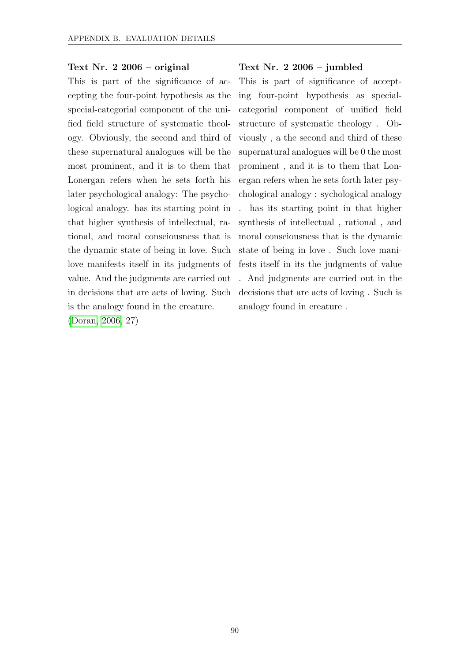#### Text Nr. 2 2006 – original

This is part of the significance of accepting the four-point hypothesis as the special-categorial component of the unified field structure of systematic theology. Obviously, the second and third of these supernatural analogues will be the most prominent, and it is to them that Lonergan refers when he sets forth his later psychological analogy: The psychological analogy. has its starting point in that higher synthesis of intellectual, rational, and moral consciousness that is the dynamic state of being in love. Such love manifests itself in its judgments of value. And the judgments are carried out in decisions that are acts of loving. Such is the analogy found in the creature.

[\(Doran, 2006,](#page-81-1) 27)

#### Text Nr. 2 2006 – jumbled

This is part of significance of accepting four-point hypothesis as specialcategorial component of unified field structure of systematic theology . Obviously , a the second and third of these supernatural analogues will be 0 the most prominent , and it is to them that Lonergan refers when he sets forth later psychological analogy : sychological analogy . has its starting point in that higher synthesis of intellectual , rational , and moral consciousness that is the dynamic state of being in love . Such love manifests itself in its the judgments of value . And judgments are carried out in the decisions that are acts of loving . Such is analogy found in creature .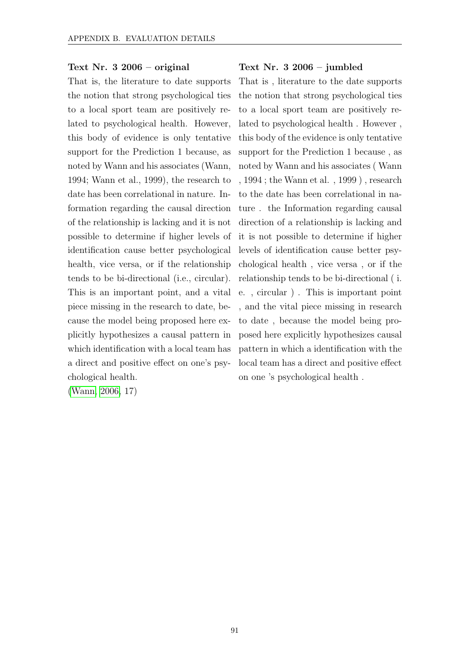#### Text Nr. 3 2006 – original

That is, the literature to date supports the notion that strong psychological ties to a local sport team are positively related to psychological health. However, this body of evidence is only tentative support for the Prediction 1 because, as noted by Wann and his associates (Wann, 1994; Wann et al., 1999), the research to date has been correlational in nature. Information regarding the causal direction of the relationship is lacking and it is not possible to determine if higher levels of identification cause better psychological health, vice versa, or if the relationship tends to be bi-directional (i.e., circular). This is an important point, and a vital piece missing in the research to date, because the model being proposed here explicitly hypothesizes a causal pattern in which identification with a local team has a direct and positive effect on one's psychological health.

[\(Wann, 2006,](#page-84-2) 17)

#### Text Nr. 3 2006 – jumbled

That is , literature to the date supports the notion that strong psychological ties to a local sport team are positively related to psychological health . However , this body of the evidence is only tentative support for the Prediction 1 because , as noted by Wann and his associates ( Wann , 1994 ; the Wann et al. , 1999 ) , research to the date has been correlational in nature . the Information regarding causal direction of a relationship is lacking and it is not possible to determine if higher levels of identification cause better psychological health , vice versa , or if the relationship tends to be bi-directional ( i. e. , circular ) . This is important point , and the vital piece missing in research to date , because the model being proposed here explicitly hypothesizes causal pattern in which a identification with the local team has a direct and positive effect on one 's psychological health .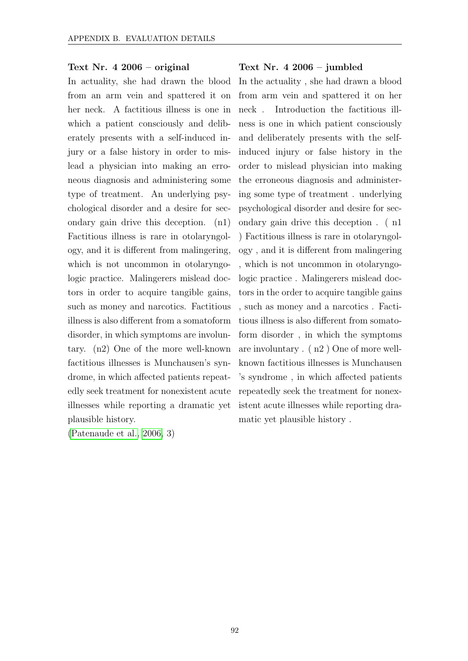### Text Nr. 4 2006 – original

In actuality, she had drawn the blood from an arm vein and spattered it on her neck. A factitious illness is one in which a patient consciously and deliberately presents with a self-induced injury or a false history in order to mislead a physician into making an erroneous diagnosis and administering some type of treatment. An underlying psychological disorder and a desire for secondary gain drive this deception. (n1) Factitious illness is rare in otolaryngology, and it is different from malingering, which is not uncommon in otolaryngologic practice. Malingerers mislead doctors in order to acquire tangible gains, such as money and narcotics. Factitious illness is also different from a somatoform disorder, in which symptoms are involuntary. (n2) One of the more well-known factitious illnesses is Munchausen's syndrome, in which affected patients repeatedly seek treatment for nonexistent acute illnesses while reporting a dramatic yet plausible history.

[\(Patenaude et al., 2006,](#page-83-3) 3)

#### Text Nr. 4 2006 – jumbled

In the actuality , she had drawn a blood from arm vein and spattered it on her neck . Introduction the factitious illness is one in which patient consciously and deliberately presents with the selfinduced injury or false history in the order to mislead physician into making the erroneous diagnosis and administering some type of treatment . underlying psychological disorder and desire for secondary gain drive this deception . ( n1 ) Factitious illness is rare in otolaryngology , and it is different from malingering , which is not uncommon in otolaryngologic practice . Malingerers mislead doctors in the order to acquire tangible gains , such as money and a narcotics . Factitious illness is also different from somatoform disorder , in which the symptoms are involuntary . ( n2 ) One of more wellknown factitious illnesses is Munchausen 's syndrome , in which affected patients repeatedly seek the treatment for nonexistent acute illnesses while reporting dramatic yet plausible history .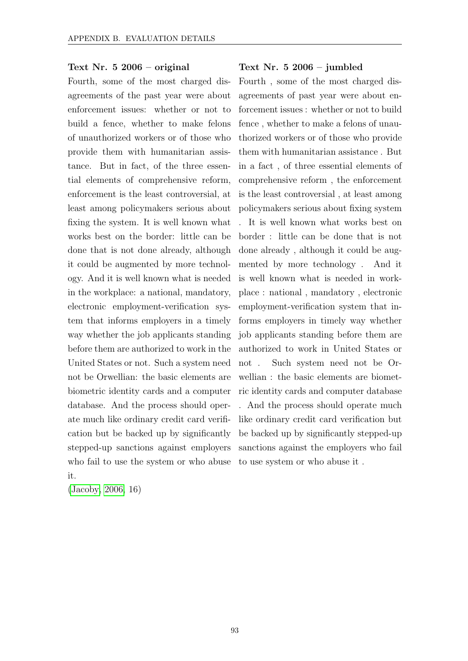### Text Nr. 5 2006 – original

Fourth, some of the most charged disagreements of the past year were about enforcement issues: whether or not to build a fence, whether to make felons of unauthorized workers or of those who provide them with humanitarian assistance. But in fact, of the three essential elements of comprehensive reform, enforcement is the least controversial, at least among policymakers serious about fixing the system. It is well known what works best on the border: little can be done that is not done already, although it could be augmented by more technology. And it is well known what is needed in the workplace: a national, mandatory, electronic employment-verification system that informs employers in a timely way whether the job applicants standing before them are authorized to work in the United States or not. Such a system need not be Orwellian: the basic elements are biometric identity cards and a computer database. And the process should operate much like ordinary credit card verification but be backed up by significantly stepped-up sanctions against employers who fail to use the system or who abuse it.

[\(Jacoby, 2006,](#page-81-2) 16)

#### Text Nr. 5 2006 – jumbled

Fourth , some of the most charged disagreements of past year were about enforcement issues : whether or not to build fence , whether to make a felons of unauthorized workers or of those who provide them with humanitarian assistance . But in a fact , of three essential elements of comprehensive reform , the enforcement is the least controversial , at least among policymakers serious about fixing system . It is well known what works best on border : little can be done that is not done already , although it could be augmented by more technology . And it is well known what is needed in workplace : national , mandatory , electronic employment-verification system that informs employers in timely way whether job applicants standing before them are authorized to work in United States or not . Such system need not be Orwellian : the basic elements are biometric identity cards and computer database . And the process should operate much like ordinary credit card verification but be backed up by significantly stepped-up sanctions against the employers who fail to use system or who abuse it .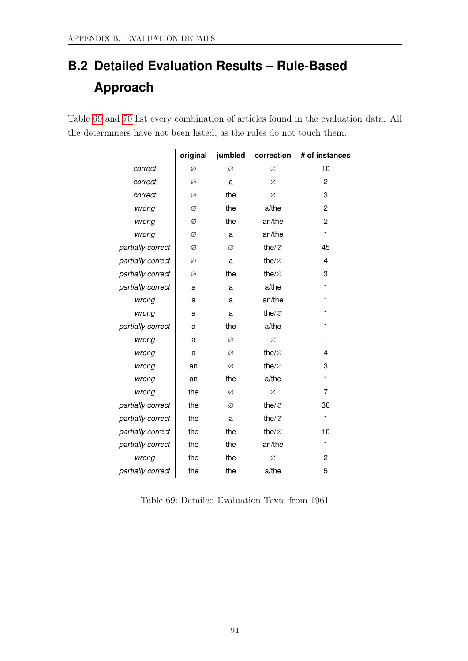## **B.2 Detailed Evaluation Results – Rule-Based Approach**

<span id="page-102-0"></span>Table [69](#page-102-0) and [70](#page-103-0) list every combination of articles found in the evaluation data. All the determiners have not been listed, as the rules do not touch them.

|                   | original | jumbled | correction         | # of instances |
|-------------------|----------|---------|--------------------|----------------|
| correct           | Ø        | Ø       | Ø                  | 10             |
| correct           | Ø        | a       | Ø                  | $\overline{c}$ |
| correct           | Ø        | the     | Ø                  | 3              |
| wrong             | Ø        | the     | a/the              | 2              |
| wrong             | Ø        | the     | an/the             | $\overline{c}$ |
| wrong             | Ø        | a       | an/the             | 1              |
| partially correct | Ø        | Ø       | the/ $\varnothing$ | 45             |
| partially correct | Ø        | a       | the/ $\varnothing$ | 4              |
| partially correct | Ø        | the     | the/ $\varnothing$ | 3              |
| partially correct | a        | a       | a/the              | 1              |
| wrong             | a        | a       | an/the             | 1              |
| wrong             | a        | a       | the/ $\varnothing$ | 1              |
| partially correct | a        | the     | a/the              | 1              |
| wrong             | a        | Ø       | Ø                  | 1              |
| wrong             | a        | Ø       | the/ $\varnothing$ | 4              |
| wrong             | an       | Ø       | the/ $\varnothing$ | 3              |
| wrong             | an       | the     | a/the              | 1              |
| wrong             | the      | Ø       | Ø                  | 7              |
| partially correct | the      | Ø       | the/ $\varnothing$ | 30             |
| partially correct | the      | a       | the/ $\varnothing$ | 1              |
| partially correct | the      | the     | the/ $\varnothing$ | 10             |
| partially correct | the      | the     | an/the             | 1              |
| wrong             | the      | the     | Ø                  | $\overline{c}$ |
| partially correct | the      | the     | a/the              | 5              |

Table 69: Detailed Evaluation Texts from 1961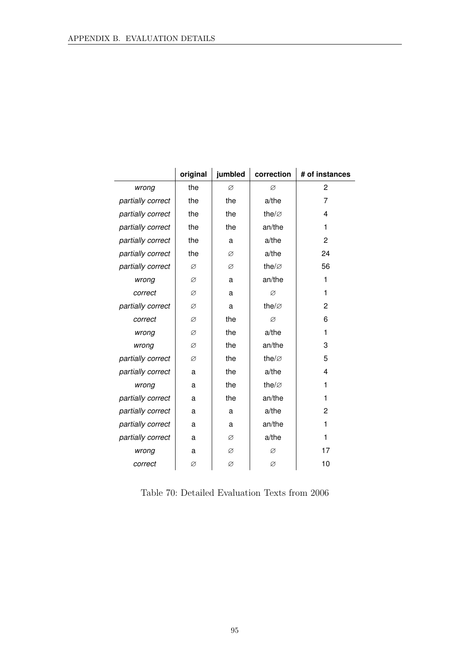<span id="page-103-0"></span>

|                   | original | jumbled | correction         | # of instances |
|-------------------|----------|---------|--------------------|----------------|
| wrong             | the      | Ø       | Ø                  | 2              |
| partially correct | the      | the     | a/the              | 7              |
| partially correct | the      | the     | the/ $\varnothing$ | 4              |
| partially correct | the      | the     | an/the             | 1              |
| partially correct | the      | a       | a/the              | $\overline{c}$ |
| partially correct | the      | Ø       | a/the              | 24             |
| partially correct | Ø        | Ø       | the/ $\varnothing$ | 56             |
| wrong             | Ø        | a       | an/the             | 1              |
| correct           | Ø        | a       | Ø                  | 1              |
| partially correct | Ø        | a       | the/ $\varnothing$ | 2              |
| correct           | Ø        | the     | Ø                  | 6              |
| wrong             | Ø        | the     | a/the              | 1              |
| wrong             | Ø        | the     | an/the             | 3              |
| partially correct | Ø        | the     | the/ $\varnothing$ | 5              |
| partially correct | a        | the     | a/the              | 4              |
| wrong             | a        | the     | the/ $\varnothing$ | 1              |
| partially correct | a        | the     | an/the             | 1              |
| partially correct | a        | a       | a/the              | 2              |
| partially correct | a        | a       | an/the             | 1              |
| partially correct | a        | Ø       | a/the              | 1              |
| wrong             | a        | Ø       | Ø                  | 17             |
| correct           | Ø        | Ø       | Ø                  | 10             |

Table 70: Detailed Evaluation Texts from 2006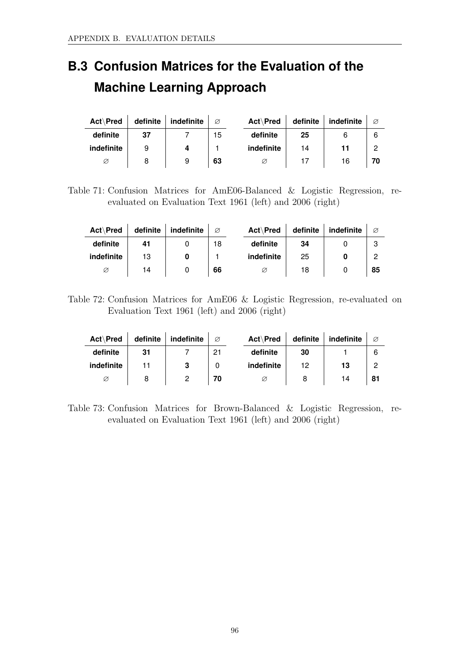## **B.3 Confusion Matrices for the Evaluation of the Machine Learning Approach**

| Act\Pred   | definite | indefinite | Ø  | Act\Pred   | definite | indefinite | Ø  |
|------------|----------|------------|----|------------|----------|------------|----|
| definite   | 37       |            | 15 | definite   | 25       |            | 6  |
| indefinite | 9        | 4          |    | indefinite | 14       | 11         | 2  |
| Ø          |          | 9          | 63 | Ø          |          | 16         | 70 |

Table 71: Confusion Matrices for AmE06-Balanced & Logistic Regression, reevaluated on Evaluation Text 1961 (left) and 2006 (right)

| Act\Pred   | definite | indefinite | Ø  | Act\Pred   | definite | indefinite | Ø  |
|------------|----------|------------|----|------------|----------|------------|----|
| definite   | 41       |            | 18 | definite   | 34       |            | 3  |
| indefinite | 13       |            |    | indefinite | 25       |            | ົ  |
| Ø          | 14       |            | 66 | Ø          | 18       |            | 85 |

Table 72: Confusion Matrices for AmE06 & Logistic Regression, re-evaluated on Evaluation Text 1961 (left) and 2006 (right)

| Act\Pred   | definite | indefinite | Ø  | Act\Pred   | definite | indefinite | Ø   |
|------------|----------|------------|----|------------|----------|------------|-----|
| definite   | 31       |            | 21 | definite   | 30       |            | 6   |
| indefinite |          | 3          |    | indefinite | 12       | 13         | 2   |
| Ø          |          |            | 70 |            |          | 14         | -81 |

Table 73: Confusion Matrices for Brown-Balanced & Logistic Regression, reevaluated on Evaluation Text 1961 (left) and 2006 (right)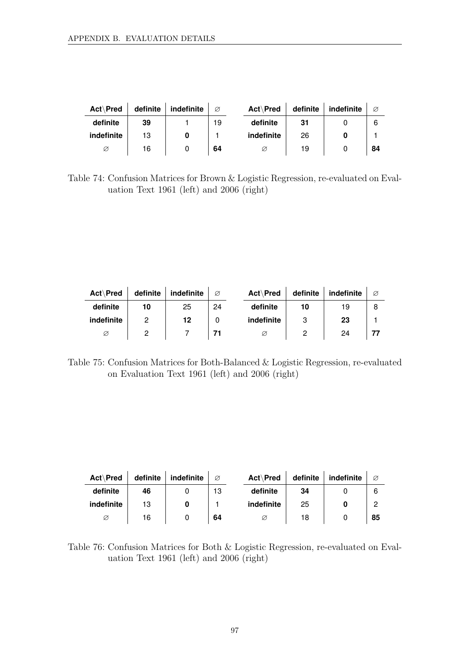| Act\Pred   | definite | indefinite | Ø  | Act\Pred   | definite | indefinite | Ø  |
|------------|----------|------------|----|------------|----------|------------|----|
| definite   | 39       |            | 19 | definite   | 31       |            | 6  |
| indefinite | 13       |            |    | indefinite | 26       |            |    |
| Ø          | 16       |            | 64 |            | 19       |            | 84 |

Table 74: Confusion Matrices for Brown & Logistic Regression, re-evaluated on Evaluation Text 1961 (left) and 2006 (right)

| Act\Pred   | definite | indefinite | Ø  | Act\Pred   | definite | indefinite | Ø |
|------------|----------|------------|----|------------|----------|------------|---|
| definite   | 10       | 25         | 24 | definite   | 10       | 19         |   |
| indefinite | 2        | 12         |    | indefinite | 3        | 23         |   |
| Ø          |          |            |    | Ø          | ŋ        | 24         |   |

Table 75: Confusion Matrices for Both-Balanced & Logistic Regression, re-evaluated on Evaluation Text 1961 (left) and 2006 (right)

| Act\Pred   | definite | indefinite | Ø  | Act\Pred   | definite | indefinite | Ø  |
|------------|----------|------------|----|------------|----------|------------|----|
| definite   | 46       |            | 13 | definite   | 34       |            | 6  |
| indefinite | 13       |            |    | indefinite | 25       |            |    |
| Ø          | 16       |            | 64 | Ø          | 18       |            | 85 |

Table 76: Confusion Matrices for Both & Logistic Regression, re-evaluated on Evaluation Text 1961 (left) and 2006 (right)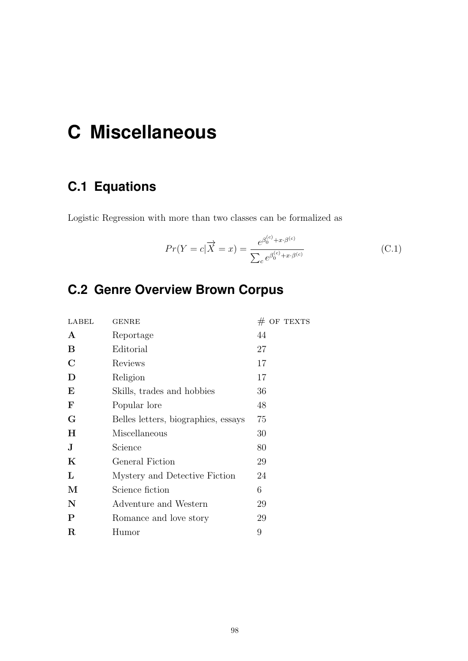# **C Miscellaneous**

## **C.1 Equations**

Logistic Regression with more than two classes can be formalized as

$$
Pr(Y = c | \overrightarrow{X} = x) = \frac{e^{\beta_0^{(c)} + x \cdot \beta^{(c)}}}{\sum_{c} e^{\beta_0^{(c)} + x \cdot \beta^{(c)}}}
$$
(C.1)

## **C.2 Genre Overview Brown Corpus**

| LABEL       | <b>GENRE</b>                        | $\#$ OF TEXTS |
|-------------|-------------------------------------|---------------|
| $\mathbf A$ | Reportage                           | 44            |
| B           | Editorial                           | 27            |
| $\mathbf C$ | Reviews                             | 17            |
| D           | Religion                            | 17            |
| E           | Skills, trades and hobbies          | 36            |
| $\mathbf F$ | Popular lore                        | 48            |
| G           | Belles letters, biographies, essays | 75            |
| $\bf H$     | Miscellaneous                       | 30            |
| J           | Science                             | 80            |
| K           | General Fiction                     | 29            |
| L           | Mystery and Detective Fiction       | 24            |
| М           | Science fiction                     | 6             |
| $\mathbf N$ | Adventure and Western               | 29            |
| $\mathbf P$ | Romance and love story              | 29            |
| R           | Humor                               | 9             |